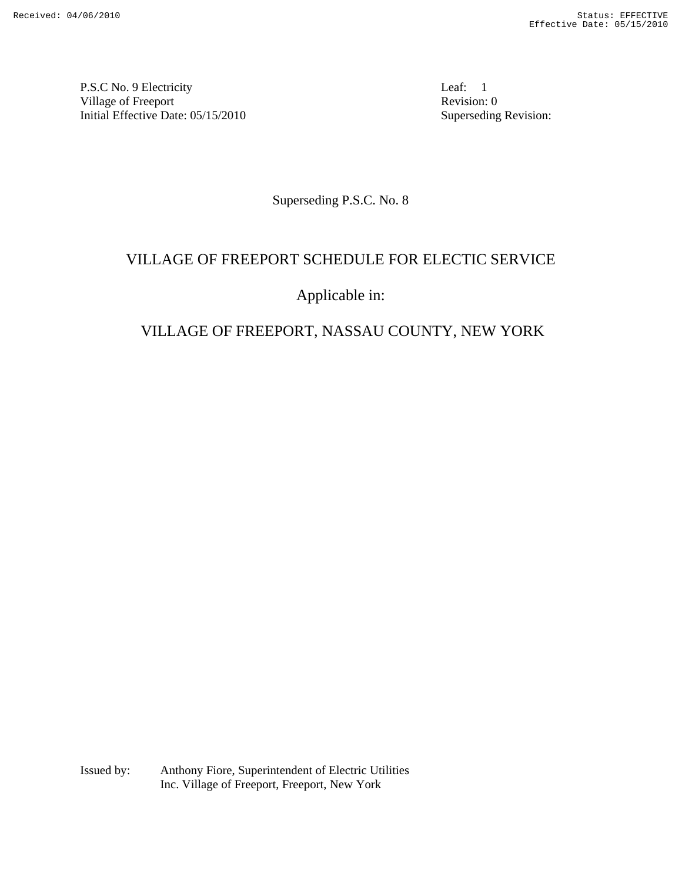P.S.C No. 9 Electricity Leaf: 1 Village of Freeport Revision: 0 Initial Effective Date: 05/15/2010 Superseding Revision:

Superseding P.S.C. No. 8

# VILLAGE OF FREEPORT SCHEDULE FOR ELECTIC SERVICE

# Applicable in:

# VILLAGE OF FREEPORT, NASSAU COUNTY, NEW YORK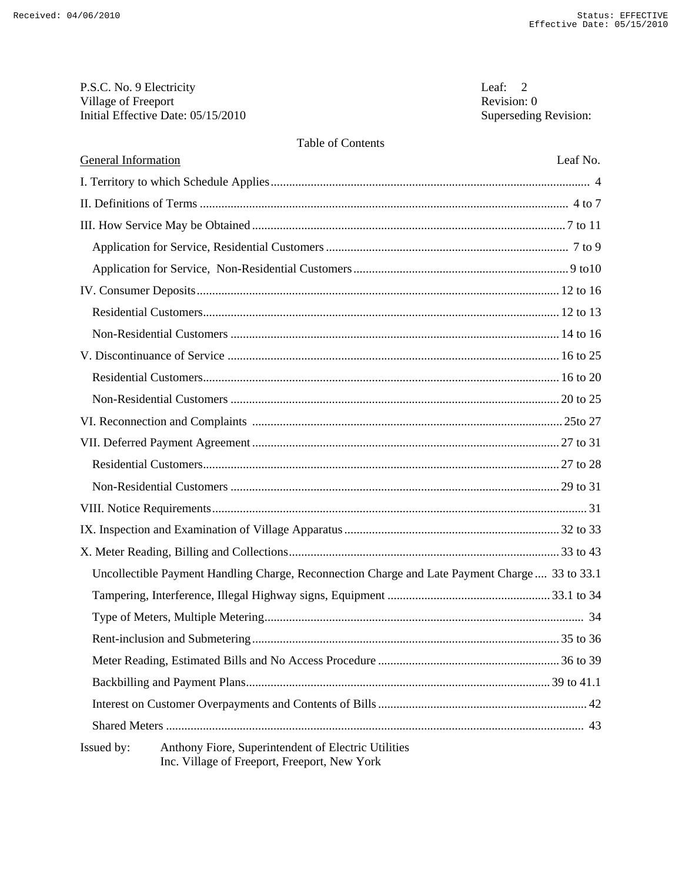| P.S.C. No. 9 Electricity           | Leaf: $2$             |
|------------------------------------|-----------------------|
| Village of Freeport                | Revision: 0           |
| Initial Effective Date: 05/15/2010 | Superseding Revision: |

## Table of Contents

| <b>General Information</b>                                                                                        | Leaf No. |
|-------------------------------------------------------------------------------------------------------------------|----------|
|                                                                                                                   |          |
|                                                                                                                   |          |
|                                                                                                                   |          |
|                                                                                                                   |          |
|                                                                                                                   |          |
|                                                                                                                   |          |
|                                                                                                                   |          |
|                                                                                                                   |          |
|                                                                                                                   |          |
|                                                                                                                   |          |
|                                                                                                                   |          |
|                                                                                                                   |          |
|                                                                                                                   |          |
|                                                                                                                   |          |
|                                                                                                                   |          |
|                                                                                                                   |          |
|                                                                                                                   |          |
|                                                                                                                   |          |
| Uncollectible Payment Handling Charge, Reconnection Charge and Late Payment Charge  33 to 33.1                    |          |
|                                                                                                                   |          |
|                                                                                                                   |          |
|                                                                                                                   |          |
|                                                                                                                   |          |
|                                                                                                                   |          |
|                                                                                                                   |          |
|                                                                                                                   |          |
| Issued by:<br>Anthony Fiore, Superintendent of Electric Utilities<br>Inc. Village of Freeport, Freeport, New York |          |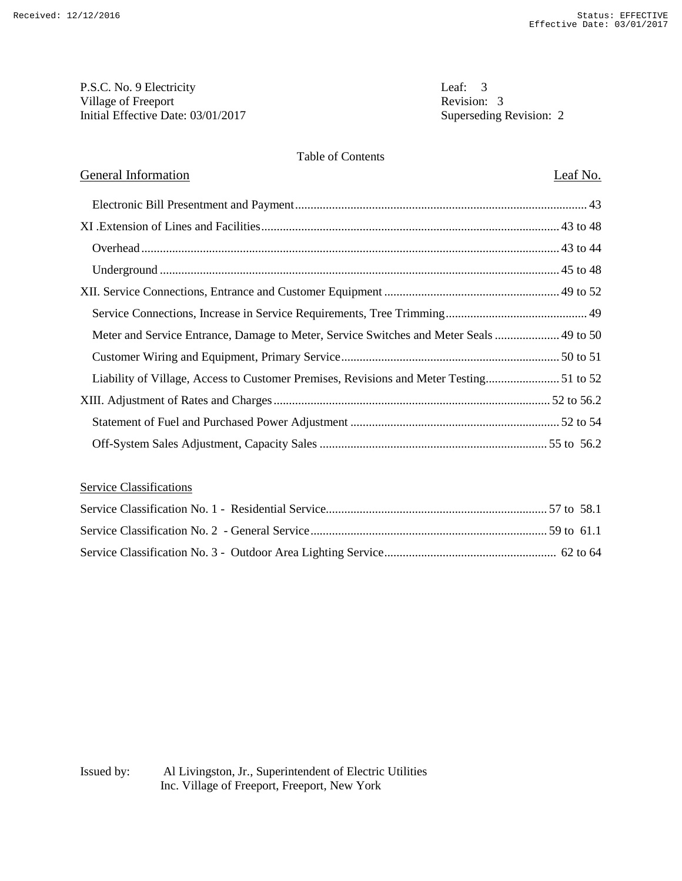P.S.C. No. 9 Electricity<br>
Village of Freeport<br>
Revision: 3 Village of Freeport Initial Effective Date: 03/01/2017 Superseding Revision: 2

#### Table of Contents

## General Information Leaf No.

| Meter and Service Entrance, Damage to Meter, Service Switches and Meter Seals  49 to 50 |  |
|-----------------------------------------------------------------------------------------|--|
|                                                                                         |  |
|                                                                                         |  |
|                                                                                         |  |
|                                                                                         |  |
|                                                                                         |  |

## Service Classifications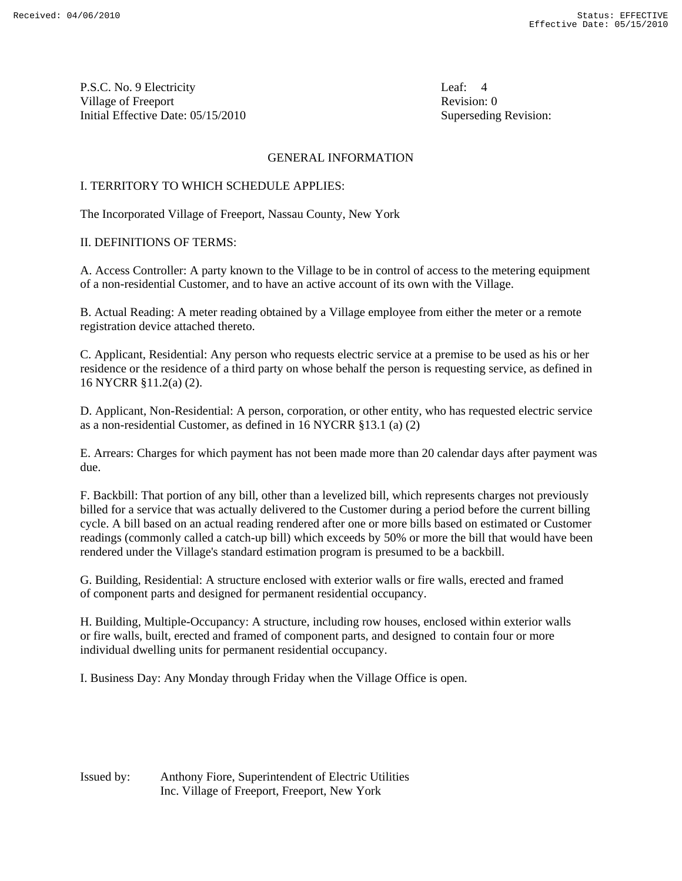P.S.C. No. 9 Electricity Leaf: 4 Village of Freeport **Revision:** 0 Initial Effective Date: 05/15/2010 Superseding Revision:

#### GENERAL INFORMATION

#### I. TERRITORY TO WHICH SCHEDULE APPLIES:

The Incorporated Village of Freeport, Nassau County, New York

#### II. DEFINITIONS OF TERMS:

A. Access Controller: A party known to the Village to be in control of access to the metering equipment of a non-residential Customer, and to have an active account of its own with the Village.

B. Actual Reading: A meter reading obtained by a Village employee from either the meter or a remote registration device attached thereto.

C. Applicant, Residential: Any person who requests electric service at a premise to be used as his or her residence or the residence of a third party on whose behalf the person is requesting service, as defined in 16 NYCRR §11.2(a) (2).

D. Applicant, Non-Residential: A person, corporation, or other entity, who has requested electric service as a non-residential Customer, as defined in 16 NYCRR §13.1 (a) (2)

E. Arrears: Charges for which payment has not been made more than 20 calendar days after payment was due.

F. Backbill: That portion of any bill, other than a levelized bill, which represents charges not previously billed for a service that was actually delivered to the Customer during a period before the current billing cycle. A bill based on an actual reading rendered after one or more bills based on estimated or Customer readings (commonly called a catch-up bill) which exceeds by 50% or more the bill that would have been rendered under the Village's standard estimation program is presumed to be a backbill.

G. Building, Residential: A structure enclosed with exterior walls or fire walls, erected and framed of component parts and designed for permanent residential occupancy.

H. Building, Multiple-Occupancy: A structure, including row houses, enclosed within exterior walls or fire walls, built, erected and framed of component parts, and designed to contain four or more individual dwelling units for permanent residential occupancy.

I. Business Day: Any Monday through Friday when the Village Office is open.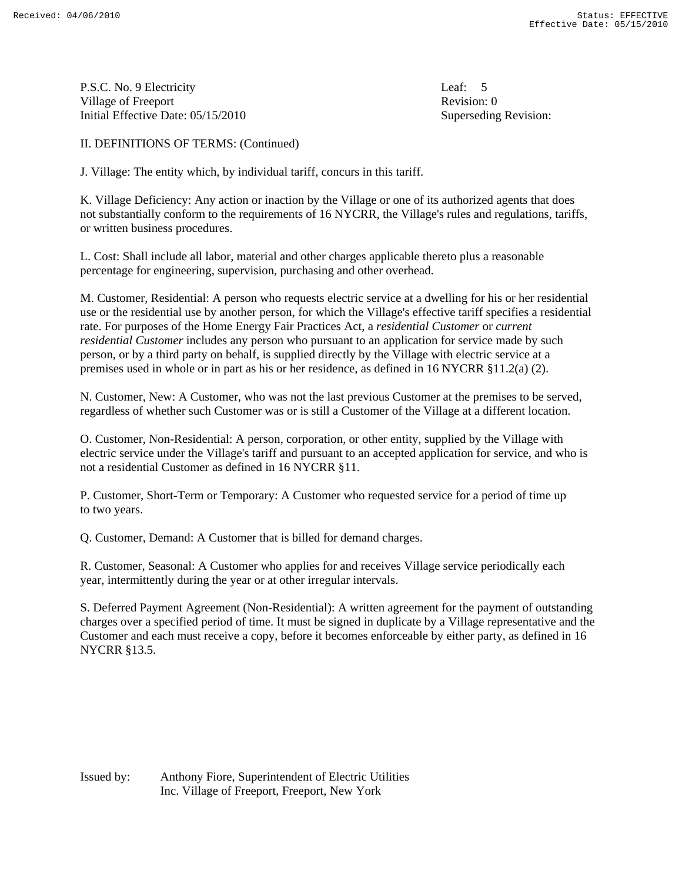P.S.C. No. 9 Electricity Leaf: 5 Village of Freeport **Revision:** 0 Initial Effective Date: 05/15/2010 Superseding Revision:

II. DEFINITIONS OF TERMS: (Continued)

J. Village: The entity which, by individual tariff, concurs in this tariff.

K. Village Deficiency: Any action or inaction by the Village or one of its authorized agents that does not substantially conform to the requirements of 16 NYCRR, the Village's rules and regulations, tariffs, or written business procedures.

L. Cost: Shall include all labor, material and other charges applicable thereto plus a reasonable percentage for engineering, supervision, purchasing and other overhead.

M. Customer, Residential: A person who requests electric service at a dwelling for his or her residential use or the residential use by another person, for which the Village's effective tariff specifies a residential rate. For purposes of the Home Energy Fair Practices Act, a *residential Customer* or *current residential Customer* includes any person who pursuant to an application for service made by such person, or by a third party on behalf, is supplied directly by the Village with electric service at a premises used in whole or in part as his or her residence, as defined in 16 NYCRR §11.2(a) (2).

N. Customer, New: A Customer, who was not the last previous Customer at the premises to be served, regardless of whether such Customer was or is still a Customer of the Village at a different location.

O. Customer, Non-Residential: A person, corporation, or other entity, supplied by the Village with electric service under the Village's tariff and pursuant to an accepted application for service, and who is not a residential Customer as defined in 16 NYCRR §11.

P. Customer, Short-Term or Temporary: A Customer who requested service for a period of time up to two years.

Q. Customer, Demand: A Customer that is billed for demand charges.

R. Customer, Seasonal: A Customer who applies for and receives Village service periodically each year, intermittently during the year or at other irregular intervals.

S. Deferred Payment Agreement (Non-Residential): A written agreement for the payment of outstanding charges over a specified period of time. It must be signed in duplicate by a Village representative and the Customer and each must receive a copy, before it becomes enforceable by either party, as defined in 16 NYCRR §13.5.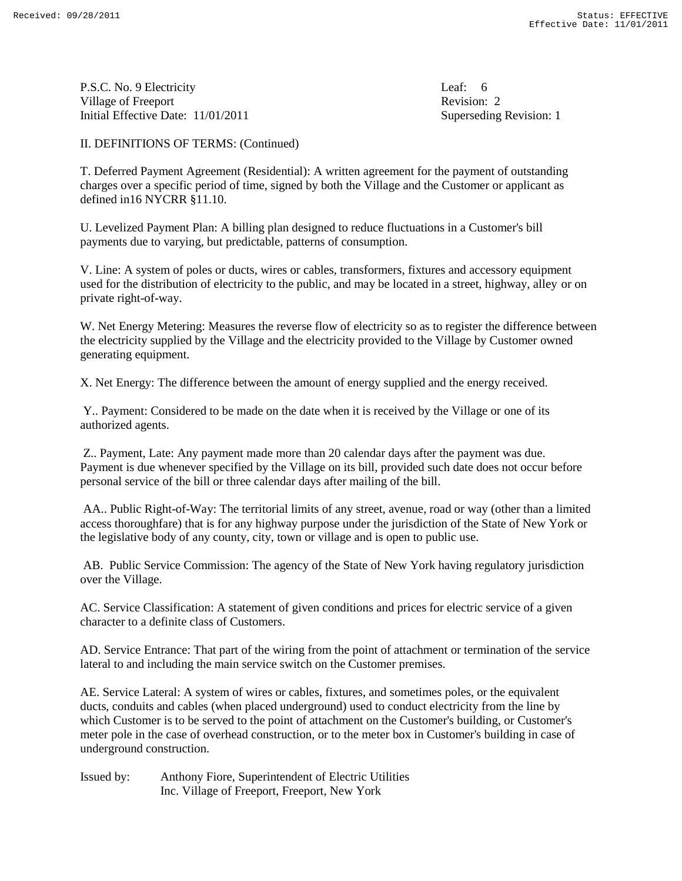P.S.C. No. 9 Electricity Leaf: 6 Village of Freeport **Revision: 2** Revision: 2 Initial Effective Date: 11/01/2011 Superseding Revision: 1

II. DEFINITIONS OF TERMS: (Continued)

T. Deferred Payment Agreement (Residential): A written agreement for the payment of outstanding charges over a specific period of time, signed by both the Village and the Customer or applicant as defined in16 NYCRR §11.10.

U. Levelized Payment Plan: A billing plan designed to reduce fluctuations in a Customer's bill payments due to varying, but predictable, patterns of consumption.

V. Line: A system of poles or ducts, wires or cables, transformers, fixtures and accessory equipment used for the distribution of electricity to the public, and may be located in a street, highway, alley or on private right-of-way.

W. Net Energy Metering: Measures the reverse flow of electricity so as to register the difference between the electricity supplied by the Village and the electricity provided to the Village by Customer owned generating equipment.

X. Net Energy: The difference between the amount of energy supplied and the energy received.

Y.. Payment: Considered to be made on the date when it is received by the Village or one of its authorized agents.

Z.. Payment, Late: Any payment made more than 20 calendar days after the payment was due. Payment is due whenever specified by the Village on its bill, provided such date does not occur before personal service of the bill or three calendar days after mailing of the bill.

AA.. Public Right-of-Way: The territorial limits of any street, avenue, road or way (other than a limited access thoroughfare) that is for any highway purpose under the jurisdiction of the State of New York or the legislative body of any county, city, town or village and is open to public use.

AB. Public Service Commission: The agency of the State of New York having regulatory jurisdiction over the Village.

AC. Service Classification: A statement of given conditions and prices for electric service of a given character to a definite class of Customers.

AD. Service Entrance: That part of the wiring from the point of attachment or termination of the service lateral to and including the main service switch on the Customer premises.

AE. Service Lateral: A system of wires or cables, fixtures, and sometimes poles, or the equivalent ducts, conduits and cables (when placed underground) used to conduct electricity from the line by which Customer is to be served to the point of attachment on the Customer's building, or Customer's meter pole in the case of overhead construction, or to the meter box in Customer's building in case of underground construction.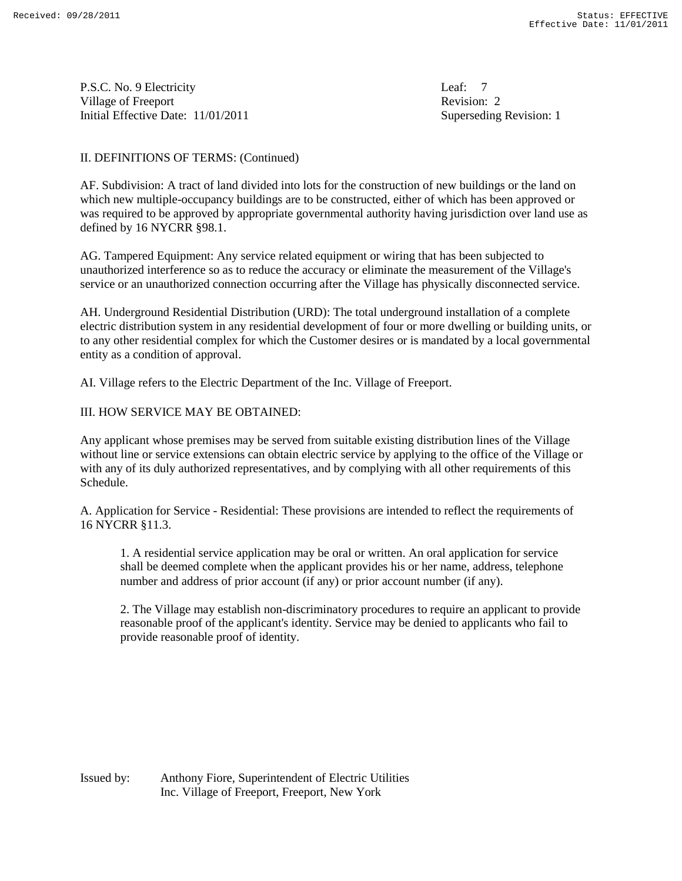P.S.C. No. 9 Electricity Leaf: 7 Village of Freeport **Revision: 2** Revision: 2 Initial Effective Date: 11/01/2011 Superseding Revision: 1

#### II. DEFINITIONS OF TERMS: (Continued)

AF. Subdivision: A tract of land divided into lots for the construction of new buildings or the land on which new multiple-occupancy buildings are to be constructed, either of which has been approved or was required to be approved by appropriate governmental authority having jurisdiction over land use as defined by 16 NYCRR §98.1.

AG. Tampered Equipment: Any service related equipment or wiring that has been subjected to unauthorized interference so as to reduce the accuracy or eliminate the measurement of the Village's service or an unauthorized connection occurring after the Village has physically disconnected service.

AH. Underground Residential Distribution (URD): The total underground installation of a complete electric distribution system in any residential development of four or more dwelling or building units, or to any other residential complex for which the Customer desires or is mandated by a local governmental entity as a condition of approval.

AI. Village refers to the Electric Department of the Inc. Village of Freeport.

#### III. HOW SERVICE MAY BE OBTAINED:

Any applicant whose premises may be served from suitable existing distribution lines of the Village without line or service extensions can obtain electric service by applying to the office of the Village or with any of its duly authorized representatives, and by complying with all other requirements of this Schedule.

A. Application for Service - Residential: These provisions are intended to reflect the requirements of 16 NYCRR §11.3.

1. A residential service application may be oral or written. An oral application for service shall be deemed complete when the applicant provides his or her name, address, telephone number and address of prior account (if any) or prior account number (if any).

2. The Village may establish non-discriminatory procedures to require an applicant to provide reasonable proof of the applicant's identity. Service may be denied to applicants who fail to provide reasonable proof of identity.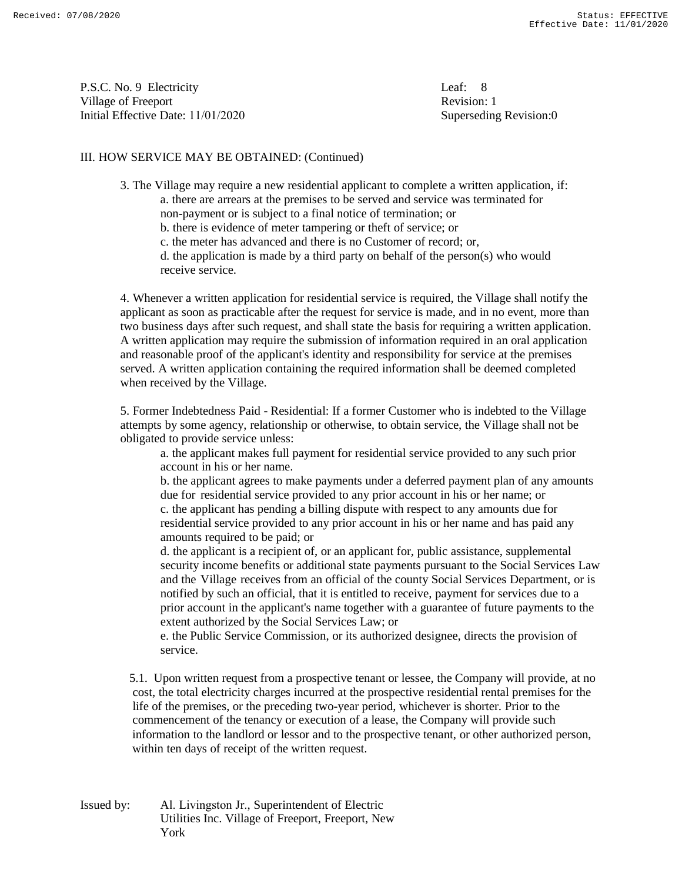P.S.C. No. 9 Electricity Village of Freeport Initial Effective Date: 11/01/2020 Superseding Revision:0

Leaf:  $8$ Revision: 1

#### III. HOW SERVICE MAY BE OBTAINED: (Continued)

3. The Village may require a new residential applicant to complete a written application, if: a. there are arrears at the premises to be served and service was terminated for

- non-payment or is subject to a final notice of termination; or b. there is evidence of meter tampering or theft of service; or
- c. the meter has advanced and there is no Customer of record; or,

d. the application is made by a third party on behalf of the person(s) who would receive service.

4. Whenever a written application for residential service is required, the Village shall notify the applicant as soon as practicable after the request for service is made, and in no event, more than two business days after such request, and shall state the basis for requiring a written application. A written application may require the submission of information required in an oral application and reasonable proof of the applicant's identity and responsibility for service at the premises served. A written application containing the required information shall be deemed completed when received by the Village.

5. Former Indebtedness Paid - Residential: If a former Customer who is indebted to the Village attempts by some agency, relationship or otherwise, to obtain service, the Village shall not be obligated to provide service unless:

a. the applicant makes full payment for residential service provided to any such prior account in his or her name.

b. the applicant agrees to make payments under a deferred payment plan of any amounts due for residential service provided to any prior account in his or her name; or c. the applicant has pending a billing dispute with respect to any amounts due for residential service provided to any prior account in his or her name and has paid any amounts required to be paid; or

d. the applicant is a recipient of, or an applicant for, public assistance, supplemental security income benefits or additional state payments pursuant to the Social Services Law and the Village receives from an official of the county Social Services Department, or is notified by such an official, that it is entitled to receive, payment for services due to a prior account in the applicant's name together with a guarantee of future payments to the extent authorized by the Social Services Law; or

e. the Public Service Commission, or its authorized designee, directs the provision of service.

 5.1. Upon written request from a prospective tenant or lessee, the Company will provide, at no cost, the total electricity charges incurred at the prospective residential rental premises for the life of the premises, or the preceding two-year period, whichever is shorter. Prior to the commencement of the tenancy or execution of a lease, the Company will provide such information to the landlord or lessor and to the prospective tenant, or other authorized person, within ten days of receipt of the written request.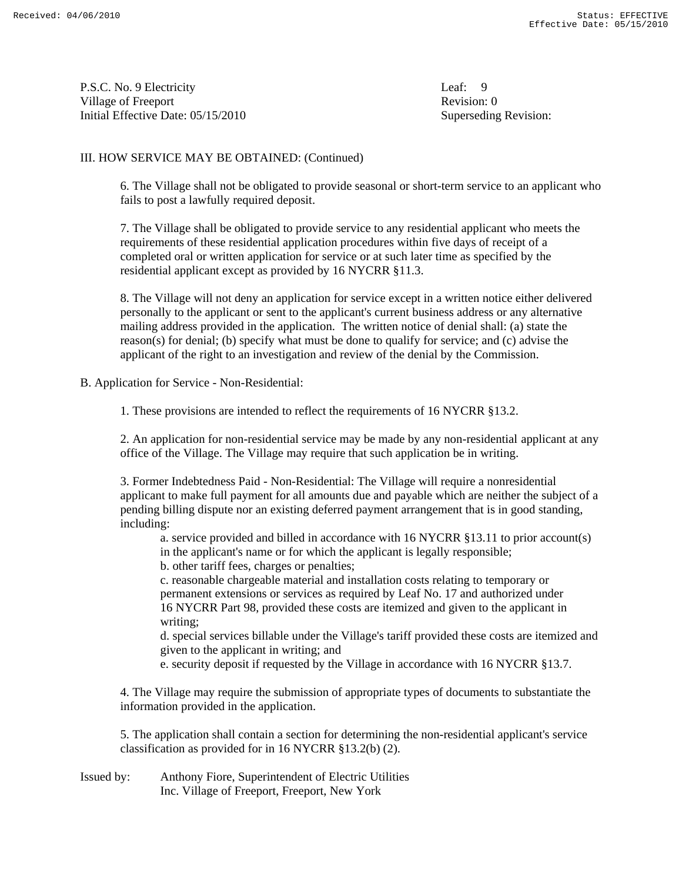P.S.C. No. 9 Electricity Leaf: 9 Village of Freeport **Revision:** 0 Initial Effective Date: 05/15/2010 Superseding Revision:

#### III. HOW SERVICE MAY BE OBTAINED: (Continued)

 6. The Village shall not be obligated to provide seasonal or short-term service to an applicant who fails to post a lawfully required deposit.

 7. The Village shall be obligated to provide service to any residential applicant who meets the requirements of these residential application procedures within five days of receipt of a completed oral or written application for service or at such later time as specified by the residential applicant except as provided by 16 NYCRR §11.3.

 8. The Village will not deny an application for service except in a written notice either delivered personally to the applicant or sent to the applicant's current business address or any alternative mailing address provided in the application. The written notice of denial shall: (a) state the reason(s) for denial; (b) specify what must be done to qualify for service; and (c) advise the applicant of the right to an investigation and review of the denial by the Commission.

B. Application for Service - Non-Residential:

1. These provisions are intended to reflect the requirements of 16 NYCRR §13.2.

 2. An application for non-residential service may be made by any non-residential applicant at any office of the Village. The Village may require that such application be in writing.

 3. Former Indebtedness Paid - Non-Residential: The Village will require a nonresidential applicant to make full payment for all amounts due and payable which are neither the subject of a pending billing dispute nor an existing deferred payment arrangement that is in good standing, including:

 a. service provided and billed in accordance with 16 NYCRR §13.11 to prior account(s) in the applicant's name or for which the applicant is legally responsible;

b. other tariff fees, charges or penalties;

 c. reasonable chargeable material and installation costs relating to temporary or permanent extensions or services as required by Leaf No. 17 and authorized under 16 NYCRR Part 98, provided these costs are itemized and given to the applicant in writing;

 d. special services billable under the Village's tariff provided these costs are itemized and given to the applicant in writing; and

e. security deposit if requested by the Village in accordance with 16 NYCRR §13.7.

 4. The Village may require the submission of appropriate types of documents to substantiate the information provided in the application.

 5. The application shall contain a section for determining the non-residential applicant's service classification as provided for in 16 NYCRR §13.2(b) (2).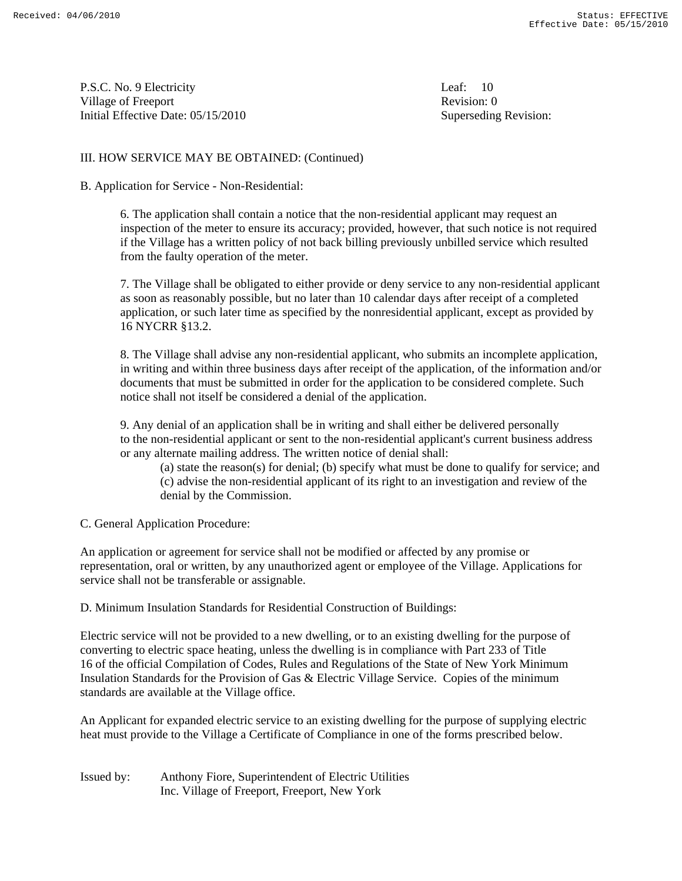P.S.C. No. 9 Electricity Leaf: 10 Village of Freeport **Revision:** 0 Initial Effective Date: 05/15/2010 Superseding Revision:

#### III. HOW SERVICE MAY BE OBTAINED: (Continued)

#### B. Application for Service - Non-Residential:

 6. The application shall contain a notice that the non-residential applicant may request an inspection of the meter to ensure its accuracy; provided, however, that such notice is not required if the Village has a written policy of not back billing previously unbilled service which resulted from the faulty operation of the meter.

 7. The Village shall be obligated to either provide or deny service to any non-residential applicant as soon as reasonably possible, but no later than 10 calendar days after receipt of a completed application, or such later time as specified by the nonresidential applicant, except as provided by 16 NYCRR §13.2.

 8. The Village shall advise any non-residential applicant, who submits an incomplete application, in writing and within three business days after receipt of the application, of the information and/or documents that must be submitted in order for the application to be considered complete. Such notice shall not itself be considered a denial of the application.

 9. Any denial of an application shall be in writing and shall either be delivered personally to the non-residential applicant or sent to the non-residential applicant's current business address or any alternate mailing address. The written notice of denial shall:

 (a) state the reason(s) for denial; (b) specify what must be done to qualify for service; and (c) advise the non-residential applicant of its right to an investigation and review of the denial by the Commission.

#### C. General Application Procedure:

An application or agreement for service shall not be modified or affected by any promise or representation, oral or written, by any unauthorized agent or employee of the Village. Applications for service shall not be transferable or assignable.

D. Minimum Insulation Standards for Residential Construction of Buildings:

Electric service will not be provided to a new dwelling, or to an existing dwelling for the purpose of converting to electric space heating, unless the dwelling is in compliance with Part 233 of Title 16 of the official Compilation of Codes, Rules and Regulations of the State of New York Minimum Insulation Standards for the Provision of Gas & Electric Village Service. Copies of the minimum standards are available at the Village office.

An Applicant for expanded electric service to an existing dwelling for the purpose of supplying electric heat must provide to the Village a Certificate of Compliance in one of the forms prescribed below.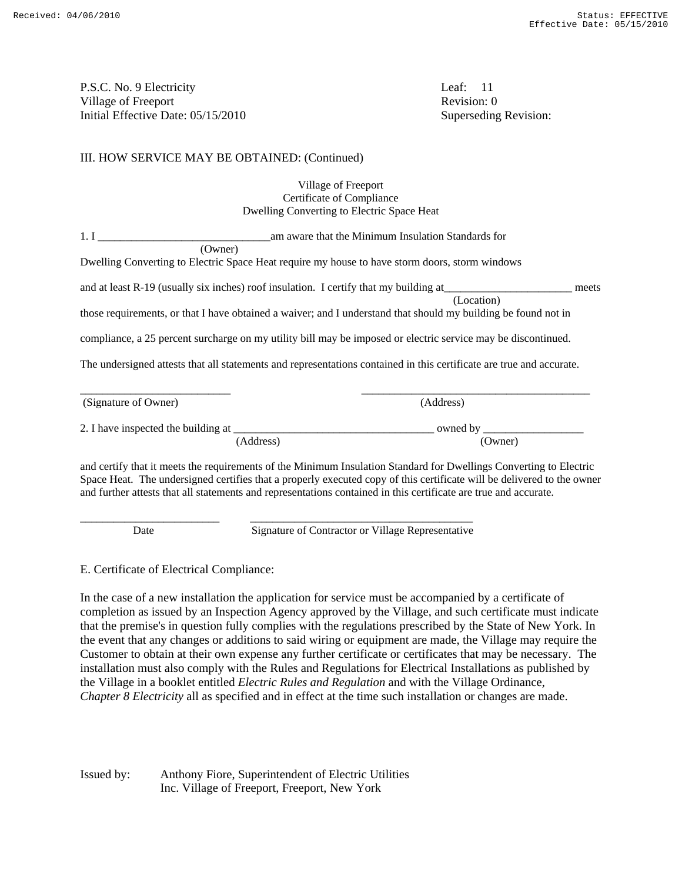P.S.C. No. 9 Electricity Leaf: 11 Village of Freeport Revision: 0 Initial Effective Date: 05/15/2010 Superseding Revision:

#### III. HOW SERVICE MAY BE OBTAINED: (Continued)

| Village of Freeport                        |
|--------------------------------------------|
| Certificate of Compliance                  |
| Dwelling Converting to Electric Space Heat |

| 1. I                 | am aware that the Minimum Insulation Standards for                                                                   |
|----------------------|----------------------------------------------------------------------------------------------------------------------|
| (Owner)              |                                                                                                                      |
|                      | Dwelling Converting to Electric Space Heat require my house to have storm doors, storm windows                       |
|                      | and at least R-19 (usually six inches) roof insulation. I certify that my building at<br>meets<br>(Location)         |
|                      | those requirements, or that I have obtained a waiver; and I understand that should my building be found not in       |
|                      | compliance, a 25 percent surcharge on my utility bill may be imposed or electric service may be discontinued.        |
|                      | The undersigned attests that all statements and representations contained in this certificate are true and accurate. |
| (Signature of Owner) | (Address)                                                                                                            |
|                      |                                                                                                                      |
|                      | (Address)<br>(Owner)                                                                                                 |
|                      |                                                                                                                      |

and certify that it meets the requirements of the Minimum Insulation Standard for Dwellings Converting to Electric Space Heat. The undersigned certifies that a properly executed copy of this certificate will be delivered to the owner and further attests that all statements and representations contained in this certificate are true and accurate.

\_\_\_\_\_\_\_\_\_\_\_\_\_\_\_\_\_\_\_\_\_\_\_\_\_ \_\_\_\_\_\_\_\_\_\_\_\_\_\_\_\_\_\_\_\_\_\_\_\_\_\_\_\_\_\_\_\_\_\_\_\_\_\_\_\_

Date Signature of Contractor or Village Representative

E. Certificate of Electrical Compliance:

In the case of a new installation the application for service must be accompanied by a certificate of completion as issued by an Inspection Agency approved by the Village, and such certificate must indicate that the premise's in question fully complies with the regulations prescribed by the State of New York. In the event that any changes or additions to said wiring or equipment are made, the Village may require the Customer to obtain at their own expense any further certificate or certificates that may be necessary. The installation must also comply with the Rules and Regulations for Electrical Installations as published by the Village in a booklet entitled *Electric Rules and Regulation* and with the Village Ordinance, *Chapter 8 Electricity* all as specified and in effect at the time such installation or changes are made.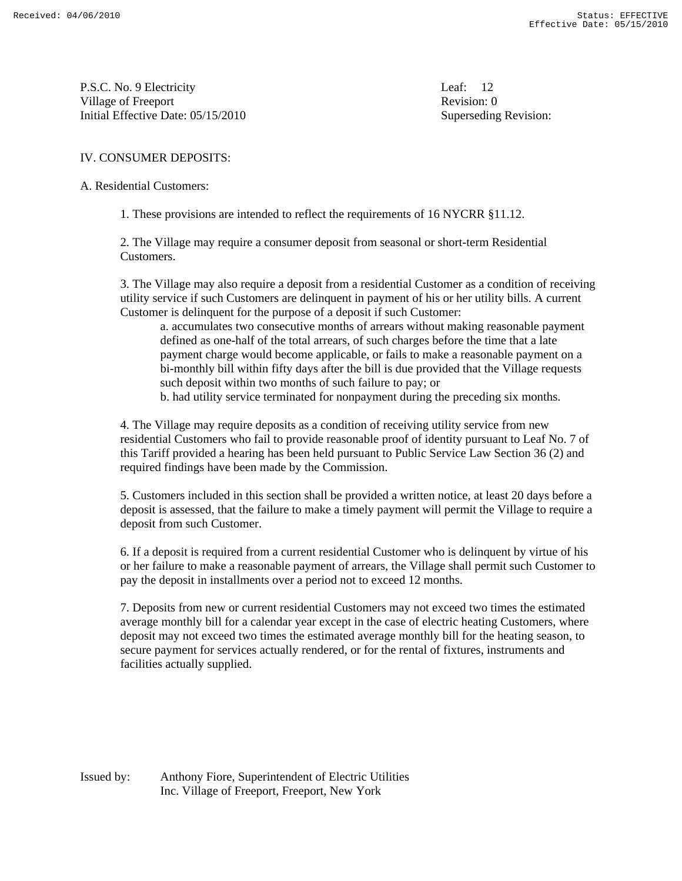P.S.C. No. 9 Electricity Leaf: 12 Village of Freeport **Revision:** 0 Initial Effective Date: 05/15/2010 Superseding Revision:

#### IV. CONSUMER DEPOSITS:

A. Residential Customers:

1. These provisions are intended to reflect the requirements of 16 NYCRR §11.12.

 2. The Village may require a consumer deposit from seasonal or short-term Residential Customers.

 3. The Village may also require a deposit from a residential Customer as a condition of receiving utility service if such Customers are delinquent in payment of his or her utility bills. A current Customer is delinquent for the purpose of a deposit if such Customer:

 a. accumulates two consecutive months of arrears without making reasonable payment defined as one-half of the total arrears, of such charges before the time that a late payment charge would become applicable, or fails to make a reasonable payment on a bi-monthly bill within fifty days after the bill is due provided that the Village requests such deposit within two months of such failure to pay; or

b. had utility service terminated for nonpayment during the preceding six months.

 4. The Village may require deposits as a condition of receiving utility service from new residential Customers who fail to provide reasonable proof of identity pursuant to Leaf No. 7 of this Tariff provided a hearing has been held pursuant to Public Service Law Section 36 (2) and required findings have been made by the Commission.

 5. Customers included in this section shall be provided a written notice, at least 20 days before a deposit is assessed, that the failure to make a timely payment will permit the Village to require a deposit from such Customer.

 6. If a deposit is required from a current residential Customer who is delinquent by virtue of his or her failure to make a reasonable payment of arrears, the Village shall permit such Customer to pay the deposit in installments over a period not to exceed 12 months.

 7. Deposits from new or current residential Customers may not exceed two times the estimated average monthly bill for a calendar year except in the case of electric heating Customers, where deposit may not exceed two times the estimated average monthly bill for the heating season, to secure payment for services actually rendered, or for the rental of fixtures, instruments and facilities actually supplied.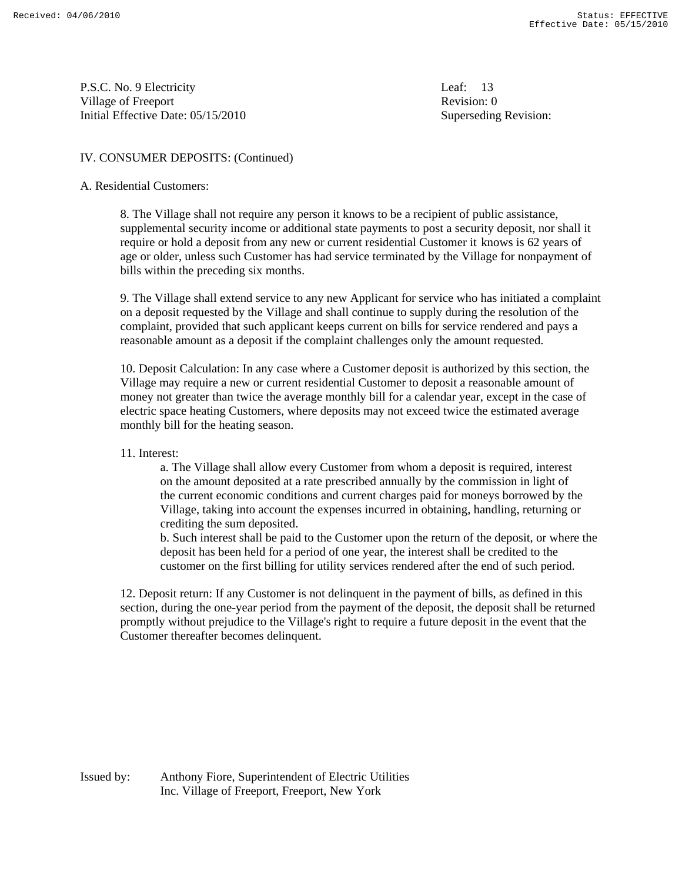P.S.C. No. 9 Electricity Leaf: 13 Village of Freeport **Revision:** 0 Initial Effective Date: 05/15/2010 Superseding Revision:

#### IV. CONSUMER DEPOSITS: (Continued)

#### A. Residential Customers:

 8. The Village shall not require any person it knows to be a recipient of public assistance, supplemental security income or additional state payments to post a security deposit, nor shall it require or hold a deposit from any new or current residential Customer it knows is 62 years of age or older, unless such Customer has had service terminated by the Village for nonpayment of bills within the preceding six months.

 9. The Village shall extend service to any new Applicant for service who has initiated a complaint on a deposit requested by the Village and shall continue to supply during the resolution of the complaint, provided that such applicant keeps current on bills for service rendered and pays a reasonable amount as a deposit if the complaint challenges only the amount requested.

 10. Deposit Calculation: In any case where a Customer deposit is authorized by this section, the Village may require a new or current residential Customer to deposit a reasonable amount of money not greater than twice the average monthly bill for a calendar year, except in the case of electric space heating Customers, where deposits may not exceed twice the estimated average monthly bill for the heating season.

#### 11. Interest:

 a. The Village shall allow every Customer from whom a deposit is required, interest on the amount deposited at a rate prescribed annually by the commission in light of the current economic conditions and current charges paid for moneys borrowed by the Village, taking into account the expenses incurred in obtaining, handling, returning or crediting the sum deposited.

 b. Such interest shall be paid to the Customer upon the return of the deposit, or where the deposit has been held for a period of one year, the interest shall be credited to the customer on the first billing for utility services rendered after the end of such period.

 12. Deposit return: If any Customer is not delinquent in the payment of bills, as defined in this section, during the one-year period from the payment of the deposit, the deposit shall be returned promptly without prejudice to the Village's right to require a future deposit in the event that the Customer thereafter becomes delinquent.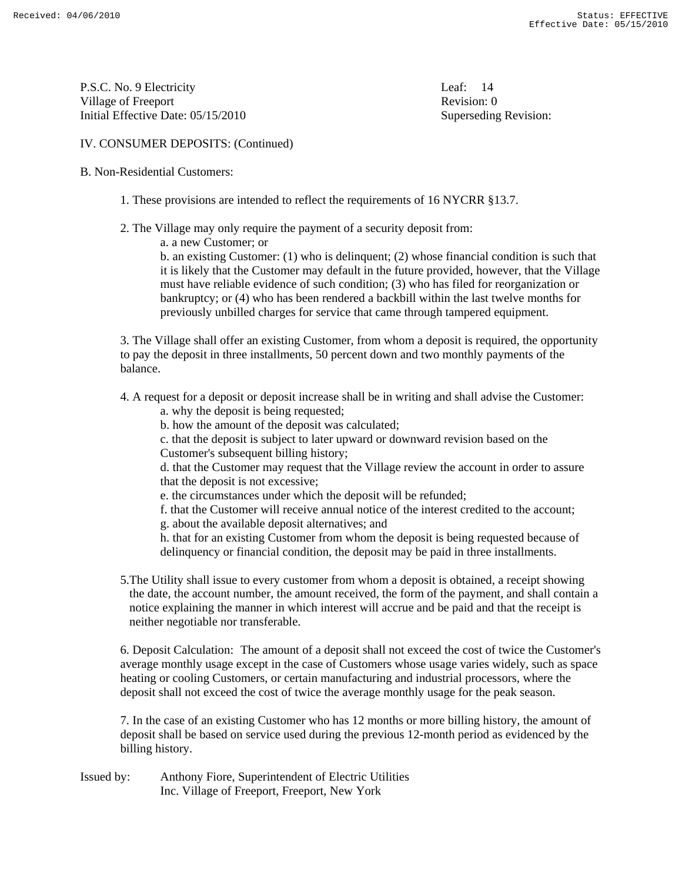P.S.C. No. 9 Electricity Leaf: 14 Village of Freeport **Revision:** 0 Initial Effective Date: 05/15/2010 Superseding Revision:

### IV. CONSUMER DEPOSITS: (Continued)

#### B. Non-Residential Customers:

- 1. These provisions are intended to reflect the requirements of 16 NYCRR §13.7.
- 2. The Village may only require the payment of a security deposit from:
	- a. a new Customer; or

 b. an existing Customer: (1) who is delinquent; (2) whose financial condition is such that it is likely that the Customer may default in the future provided, however, that the Village must have reliable evidence of such condition; (3) who has filed for reorganization or bankruptcy; or (4) who has been rendered a backbill within the last twelve months for previously unbilled charges for service that came through tampered equipment.

 3. The Village shall offer an existing Customer, from whom a deposit is required, the opportunity to pay the deposit in three installments, 50 percent down and two monthly payments of the balance.

4. A request for a deposit or deposit increase shall be in writing and shall advise the Customer:

- a. why the deposit is being requested;
- b. how the amount of the deposit was calculated;

 c. that the deposit is subject to later upward or downward revision based on the Customer's subsequent billing history;

 d. that the Customer may request that the Village review the account in order to assure that the deposit is not excessive;

e. the circumstances under which the deposit will be refunded;

f. that the Customer will receive annual notice of the interest credited to the account;

g. about the available deposit alternatives; and

 h. that for an existing Customer from whom the deposit is being requested because of delinquency or financial condition, the deposit may be paid in three installments.

 5.The Utility shall issue to every customer from whom a deposit is obtained, a receipt showing the date, the account number, the amount received, the form of the payment, and shall contain a notice explaining the manner in which interest will accrue and be paid and that the receipt is neither negotiable nor transferable.

 6. Deposit Calculation: The amount of a deposit shall not exceed the cost of twice the Customer's average monthly usage except in the case of Customers whose usage varies widely, such as space heating or cooling Customers, or certain manufacturing and industrial processors, where the deposit shall not exceed the cost of twice the average monthly usage for the peak season.

 7. In the case of an existing Customer who has 12 months or more billing history, the amount of deposit shall be based on service used during the previous 12-month period as evidenced by the billing history.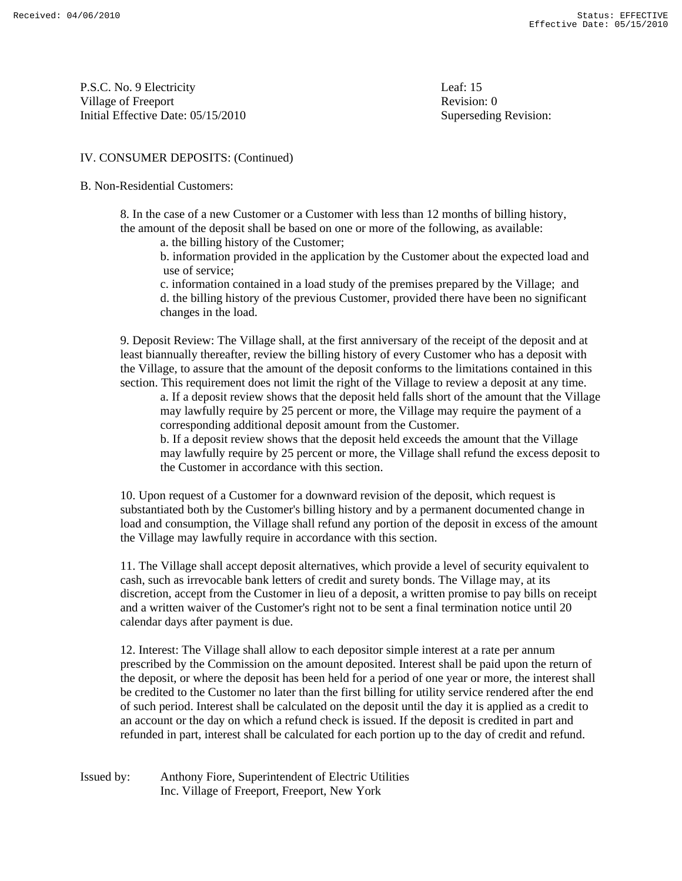P.S.C. No. 9 Electricity Leaf: 15 Village of Freeport **Revision:** 0 Initial Effective Date: 05/15/2010 Superseding Revision:

#### IV. CONSUMER DEPOSITS: (Continued)

#### B. Non-Residential Customers:

 8. In the case of a new Customer or a Customer with less than 12 months of billing history, the amount of the deposit shall be based on one or more of the following, as available:

a. the billing history of the Customer;

 b. information provided in the application by the Customer about the expected load and use of service;

 c. information contained in a load study of the premises prepared by the Village; and d. the billing history of the previous Customer, provided there have been no significant changes in the load.

 9. Deposit Review: The Village shall, at the first anniversary of the receipt of the deposit and at least biannually thereafter, review the billing history of every Customer who has a deposit with the Village, to assure that the amount of the deposit conforms to the limitations contained in this section. This requirement does not limit the right of the Village to review a deposit at any time.

 a. If a deposit review shows that the deposit held falls short of the amount that the Village may lawfully require by 25 percent or more, the Village may require the payment of a corresponding additional deposit amount from the Customer.

 b. If a deposit review shows that the deposit held exceeds the amount that the Village may lawfully require by 25 percent or more, the Village shall refund the excess deposit to the Customer in accordance with this section.

 10. Upon request of a Customer for a downward revision of the deposit, which request is substantiated both by the Customer's billing history and by a permanent documented change in load and consumption, the Village shall refund any portion of the deposit in excess of the amount the Village may lawfully require in accordance with this section.

 11. The Village shall accept deposit alternatives, which provide a level of security equivalent to cash, such as irrevocable bank letters of credit and surety bonds. The Village may, at its discretion, accept from the Customer in lieu of a deposit, a written promise to pay bills on receipt and a written waiver of the Customer's right not to be sent a final termination notice until 20 calendar days after payment is due.

 12. Interest: The Village shall allow to each depositor simple interest at a rate per annum prescribed by the Commission on the amount deposited. Interest shall be paid upon the return of the deposit, or where the deposit has been held for a period of one year or more, the interest shall be credited to the Customer no later than the first billing for utility service rendered after the end of such period. Interest shall be calculated on the deposit until the day it is applied as a credit to an account or the day on which a refund check is issued. If the deposit is credited in part and refunded in part, interest shall be calculated for each portion up to the day of credit and refund.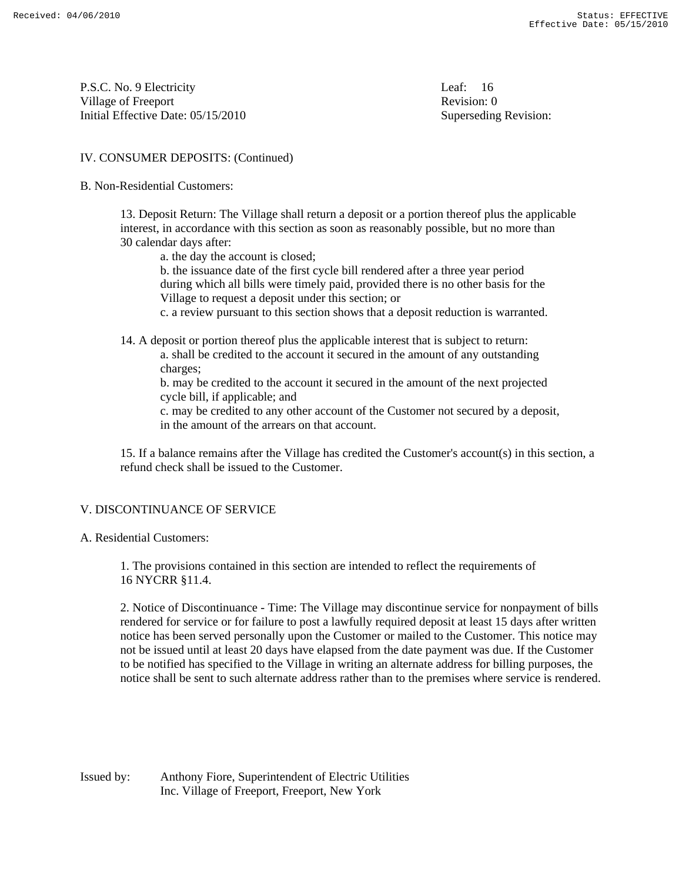P.S.C. No. 9 Electricity Leaf: 16 Village of Freeport Revision: 0 Initial Effective Date: 05/15/2010 Superseding Revision:

#### IV. CONSUMER DEPOSITS: (Continued)

#### B. Non-Residential Customers:

 13. Deposit Return: The Village shall return a deposit or a portion thereof plus the applicable interest, in accordance with this section as soon as reasonably possible, but no more than 30 calendar days after:

a. the day the account is closed;

 b. the issuance date of the first cycle bill rendered after a three year period during which all bills were timely paid, provided there is no other basis for the Village to request a deposit under this section; or

c. a review pursuant to this section shows that a deposit reduction is warranted.

- 14. A deposit or portion thereof plus the applicable interest that is subject to return:
	- a. shall be credited to the account it secured in the amount of any outstanding charges;

 b. may be credited to the account it secured in the amount of the next projected cycle bill, if applicable; and

 c. may be credited to any other account of the Customer not secured by a deposit, in the amount of the arrears on that account.

 15. If a balance remains after the Village has credited the Customer's account(s) in this section, a refund check shall be issued to the Customer.

#### V. DISCONTINUANCE OF SERVICE

A. Residential Customers:

 1. The provisions contained in this section are intended to reflect the requirements of 16 NYCRR §11.4.

 2. Notice of Discontinuance - Time: The Village may discontinue service for nonpayment of bills rendered for service or for failure to post a lawfully required deposit at least 15 days after written notice has been served personally upon the Customer or mailed to the Customer. This notice may not be issued until at least 20 days have elapsed from the date payment was due. If the Customer to be notified has specified to the Village in writing an alternate address for billing purposes, the notice shall be sent to such alternate address rather than to the premises where service is rendered.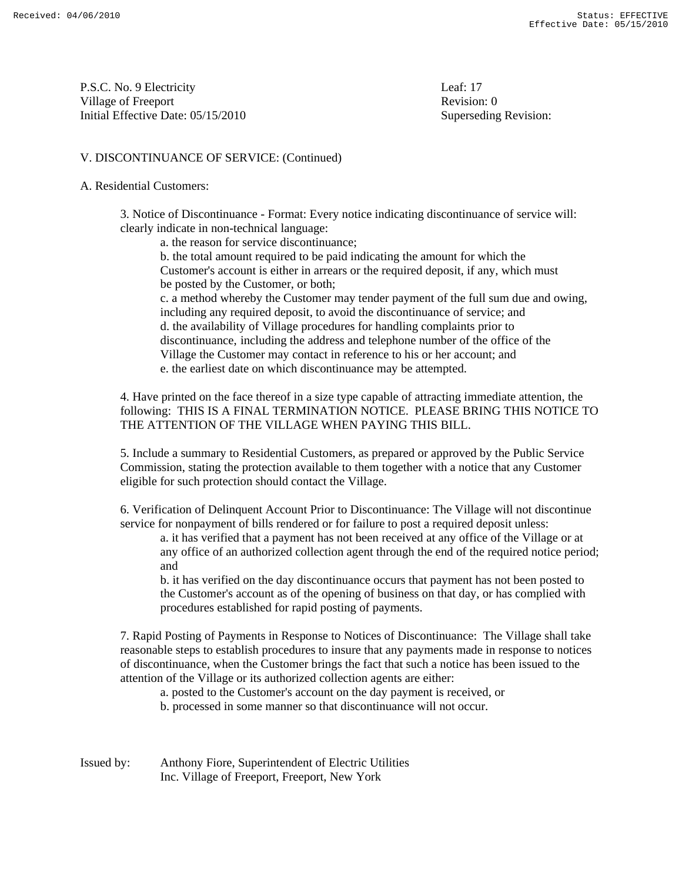P.S.C. No. 9 Electricity Leaf: 17 Village of Freeport Revision: 0 Initial Effective Date: 05/15/2010 Superseding Revision:

#### V. DISCONTINUANCE OF SERVICE: (Continued)

#### A. Residential Customers:

 3. Notice of Discontinuance - Format: Every notice indicating discontinuance of service will: clearly indicate in non-technical language:

a. the reason for service discontinuance;

 b. the total amount required to be paid indicating the amount for which the Customer's account is either in arrears or the required deposit, if any, which must be posted by the Customer, or both; c. a method whereby the Customer may tender payment of the full sum due and owing, including any required deposit, to avoid the discontinuance of service; and d. the availability of Village procedures for handling complaints prior to discontinuance, including the address and telephone number of the office of the Village the Customer may contact in reference to his or her account; and e. the earliest date on which discontinuance may be attempted.

 4. Have printed on the face thereof in a size type capable of attracting immediate attention, the following: THIS IS A FINAL TERMINATION NOTICE. PLEASE BRING THIS NOTICE TO THE ATTENTION OF THE VILLAGE WHEN PAYING THIS BILL.

 5. Include a summary to Residential Customers, as prepared or approved by the Public Service Commission, stating the protection available to them together with a notice that any Customer eligible for such protection should contact the Village.

 6. Verification of Delinquent Account Prior to Discontinuance: The Village will not discontinue service for nonpayment of bills rendered or for failure to post a required deposit unless:

 a. it has verified that a payment has not been received at any office of the Village or at any office of an authorized collection agent through the end of the required notice period; and

 b. it has verified on the day discontinuance occurs that payment has not been posted to the Customer's account as of the opening of business on that day, or has complied with procedures established for rapid posting of payments.

 7. Rapid Posting of Payments in Response to Notices of Discontinuance: The Village shall take reasonable steps to establish procedures to insure that any payments made in response to notices of discontinuance, when the Customer brings the fact that such a notice has been issued to the attention of the Village or its authorized collection agents are either:

a. posted to the Customer's account on the day payment is received, or

b. processed in some manner so that discontinuance will not occur.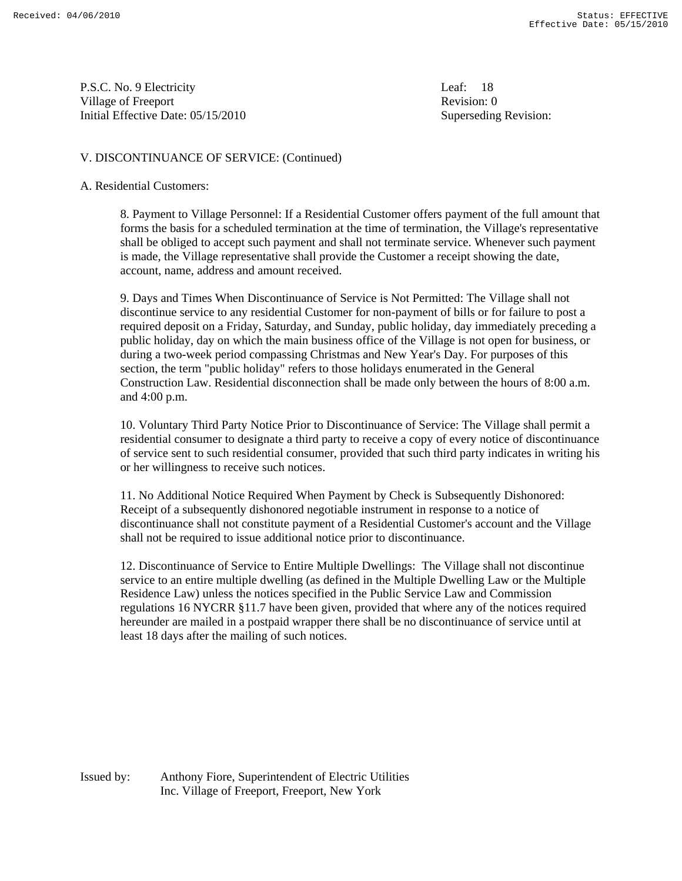P.S.C. No. 9 Electricity Leaf: 18 Village of Freeport **Revision:** 0 Initial Effective Date: 05/15/2010 Superseding Revision:

#### V. DISCONTINUANCE OF SERVICE: (Continued)

#### A. Residential Customers:

 8. Payment to Village Personnel: If a Residential Customer offers payment of the full amount that forms the basis for a scheduled termination at the time of termination, the Village's representative shall be obliged to accept such payment and shall not terminate service. Whenever such payment is made, the Village representative shall provide the Customer a receipt showing the date, account, name, address and amount received.

 9. Days and Times When Discontinuance of Service is Not Permitted: The Village shall not discontinue service to any residential Customer for non-payment of bills or for failure to post a required deposit on a Friday, Saturday, and Sunday, public holiday, day immediately preceding a public holiday, day on which the main business office of the Village is not open for business, or during a two-week period compassing Christmas and New Year's Day. For purposes of this section, the term "public holiday" refers to those holidays enumerated in the General Construction Law. Residential disconnection shall be made only between the hours of 8:00 a.m. and 4:00 p.m.

 10. Voluntary Third Party Notice Prior to Discontinuance of Service: The Village shall permit a residential consumer to designate a third party to receive a copy of every notice of discontinuance of service sent to such residential consumer, provided that such third party indicates in writing his or her willingness to receive such notices.

 11. No Additional Notice Required When Payment by Check is Subsequently Dishonored: Receipt of a subsequently dishonored negotiable instrument in response to a notice of discontinuance shall not constitute payment of a Residential Customer's account and the Village shall not be required to issue additional notice prior to discontinuance.

 12. Discontinuance of Service to Entire Multiple Dwellings: The Village shall not discontinue service to an entire multiple dwelling (as defined in the Multiple Dwelling Law or the Multiple Residence Law) unless the notices specified in the Public Service Law and Commission regulations 16 NYCRR §11.7 have been given, provided that where any of the notices required hereunder are mailed in a postpaid wrapper there shall be no discontinuance of service until at least 18 days after the mailing of such notices.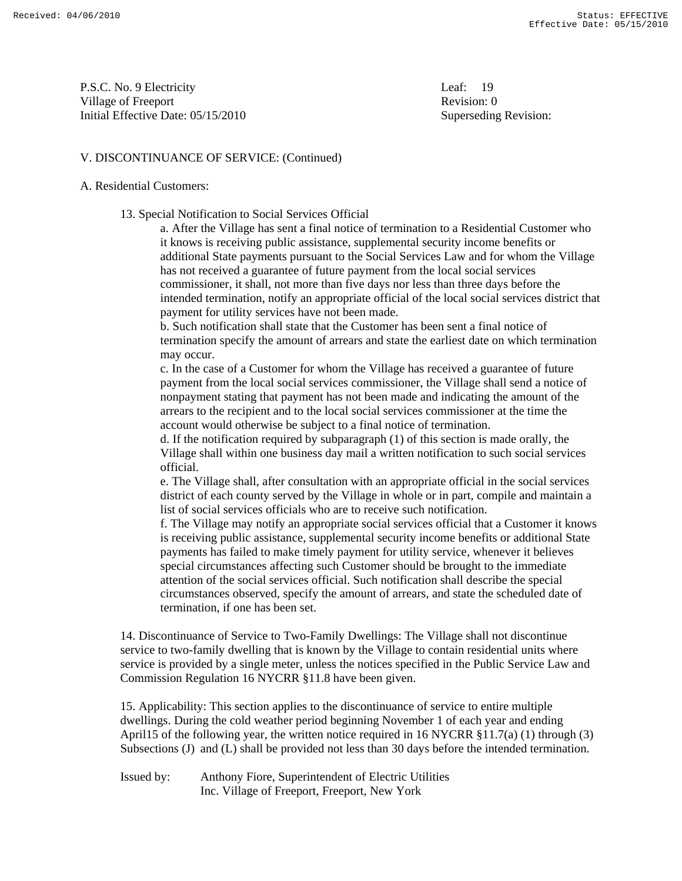P.S.C. No. 9 Electricity Leaf: 19 Village of Freeport **Revision:** 0 Initial Effective Date: 05/15/2010 Superseding Revision:

#### V. DISCONTINUANCE OF SERVICE: (Continued)

#### A. Residential Customers:

13. Special Notification to Social Services Official

 a. After the Village has sent a final notice of termination to a Residential Customer who it knows is receiving public assistance, supplemental security income benefits or additional State payments pursuant to the Social Services Law and for whom the Village has not received a guarantee of future payment from the local social services commissioner, it shall, not more than five days nor less than three days before the intended termination, notify an appropriate official of the local social services district that payment for utility services have not been made.

 b. Such notification shall state that the Customer has been sent a final notice of termination specify the amount of arrears and state the earliest date on which termination may occur.

 c. In the case of a Customer for whom the Village has received a guarantee of future payment from the local social services commissioner, the Village shall send a notice of nonpayment stating that payment has not been made and indicating the amount of the arrears to the recipient and to the local social services commissioner at the time the account would otherwise be subject to a final notice of termination.

 d. If the notification required by subparagraph (1) of this section is made orally, the Village shall within one business day mail a written notification to such social services official.

 e. The Village shall, after consultation with an appropriate official in the social services district of each county served by the Village in whole or in part, compile and maintain a list of social services officials who are to receive such notification.

 f. The Village may notify an appropriate social services official that a Customer it knows is receiving public assistance, supplemental security income benefits or additional State payments has failed to make timely payment for utility service, whenever it believes special circumstances affecting such Customer should be brought to the immediate attention of the social services official. Such notification shall describe the special circumstances observed, specify the amount of arrears, and state the scheduled date of termination, if one has been set.

 14. Discontinuance of Service to Two-Family Dwellings: The Village shall not discontinue service to two-family dwelling that is known by the Village to contain residential units where service is provided by a single meter, unless the notices specified in the Public Service Law and Commission Regulation 16 NYCRR §11.8 have been given.

 15. Applicability: This section applies to the discontinuance of service to entire multiple dwellings. During the cold weather period beginning November 1 of each year and ending April15 of the following year, the written notice required in 16 NYCRR §11.7(a) (1) through (3) Subsections (J) and (L) shall be provided not less than 30 days before the intended termination.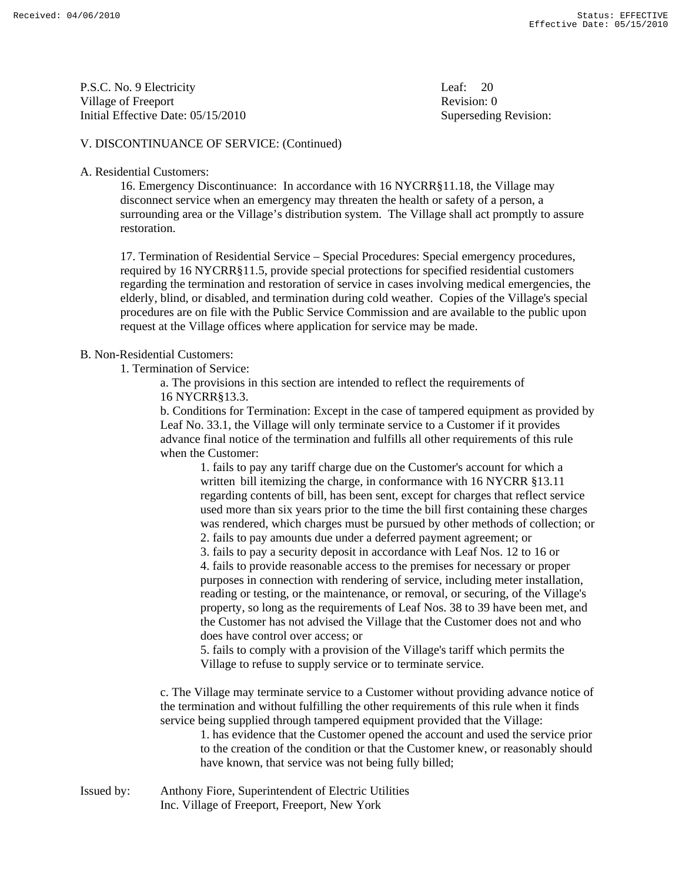P.S.C. No. 9 Electricity Leaf: 20 Village of Freeport **Revision:** 0 Initial Effective Date: 05/15/2010 Superseding Revision:

#### V. DISCONTINUANCE OF SERVICE: (Continued)

#### A. Residential Customers:

 16. Emergency Discontinuance: In accordance with 16 NYCRR§11.18, the Village may disconnect service when an emergency may threaten the health or safety of a person, a surrounding area or the Village's distribution system. The Village shall act promptly to assure restoration.

 17. Termination of Residential Service – Special Procedures: Special emergency procedures, required by 16 NYCRR§11.5, provide special protections for specified residential customers regarding the termination and restoration of service in cases involving medical emergencies, the elderly, blind, or disabled, and termination during cold weather. Copies of the Village's special procedures are on file with the Public Service Commission and are available to the public upon request at the Village offices where application for service may be made.

#### B. Non-Residential Customers:

1. Termination of Service:

 a. The provisions in this section are intended to reflect the requirements of 16 NYCRR§13.3.

 b. Conditions for Termination: Except in the case of tampered equipment as provided by Leaf No. 33.1, the Village will only terminate service to a Customer if it provides advance final notice of the termination and fulfills all other requirements of this rule when the Customer:

 1. fails to pay any tariff charge due on the Customer's account for which a written bill itemizing the charge, in conformance with 16 NYCRR §13.11 regarding contents of bill, has been sent, except for charges that reflect service used more than six years prior to the time the bill first containing these charges was rendered, which charges must be pursued by other methods of collection; or

2. fails to pay amounts due under a deferred payment agreement; or

3. fails to pay a security deposit in accordance with Leaf Nos. 12 to 16 or

 4. fails to provide reasonable access to the premises for necessary or proper purposes in connection with rendering of service, including meter installation, reading or testing, or the maintenance, or removal, or securing, of the Village's property, so long as the requirements of Leaf Nos. 38 to 39 have been met, and the Customer has not advised the Village that the Customer does not and who does have control over access; or

 5. fails to comply with a provision of the Village's tariff which permits the Village to refuse to supply service or to terminate service.

 c. The Village may terminate service to a Customer without providing advance notice of the termination and without fulfilling the other requirements of this rule when it finds service being supplied through tampered equipment provided that the Village:

 1. has evidence that the Customer opened the account and used the service prior to the creation of the condition or that the Customer knew, or reasonably should have known, that service was not being fully billed;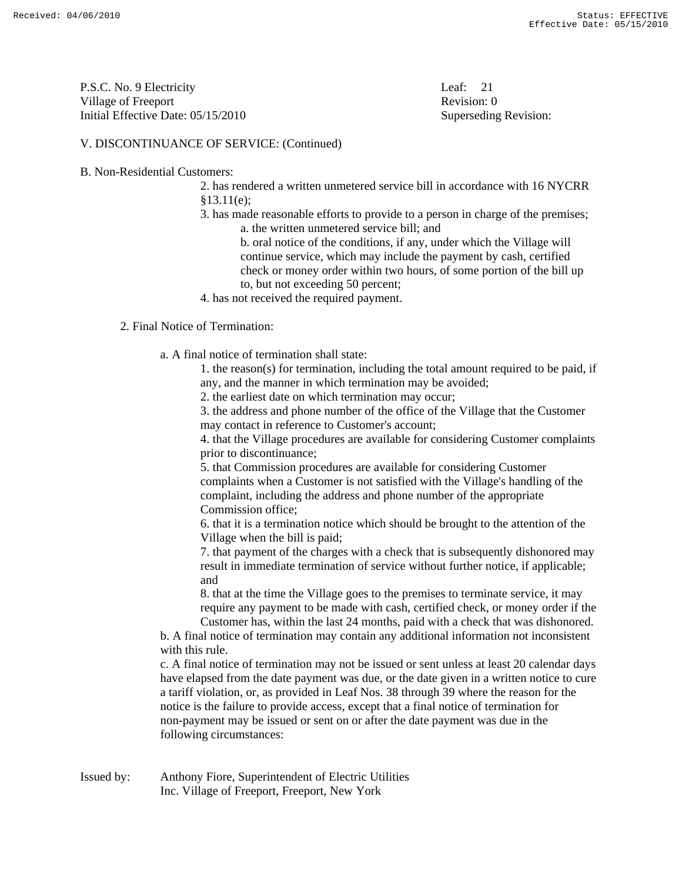P.S.C. No. 9 Electricity Leaf: 21 Village of Freeport **Revision:** 0 Initial Effective Date: 05/15/2010 Superseding Revision:

#### V. DISCONTINUANCE OF SERVICE: (Continued)

B. Non-Residential Customers:

 2. has rendered a written unmetered service bill in accordance with 16 NYCRR §13.11(e);

 3. has made reasonable efforts to provide to a person in charge of the premises; a. the written unmetered service bill; and

 b. oral notice of the conditions, if any, under which the Village will continue service, which may include the payment by cash, certified check or money order within two hours, of some portion of the bill up to, but not exceeding 50 percent;

4. has not received the required payment.

#### 2. Final Notice of Termination:

a. A final notice of termination shall state:

 1. the reason(s) for termination, including the total amount required to be paid, if any, and the manner in which termination may be avoided;

2. the earliest date on which termination may occur;

 3. the address and phone number of the office of the Village that the Customer may contact in reference to Customer's account;

 4. that the Village procedures are available for considering Customer complaints prior to discontinuance;

 5. that Commission procedures are available for considering Customer complaints when a Customer is not satisfied with the Village's handling of the complaint, including the address and phone number of the appropriate Commission office;

 6. that it is a termination notice which should be brought to the attention of the Village when the bill is paid;

 7. that payment of the charges with a check that is subsequently dishonored may result in immediate termination of service without further notice, if applicable; and

 8. that at the time the Village goes to the premises to terminate service, it may require any payment to be made with cash, certified check, or money order if the Customer has, within the last 24 months, paid with a check that was dishonored.

 b. A final notice of termination may contain any additional information not inconsistent with this rule.

 c. A final notice of termination may not be issued or sent unless at least 20 calendar days have elapsed from the date payment was due, or the date given in a written notice to cure a tariff violation, or, as provided in Leaf Nos. 38 through 39 where the reason for the notice is the failure to provide access, except that a final notice of termination for non-payment may be issued or sent on or after the date payment was due in the following circumstances: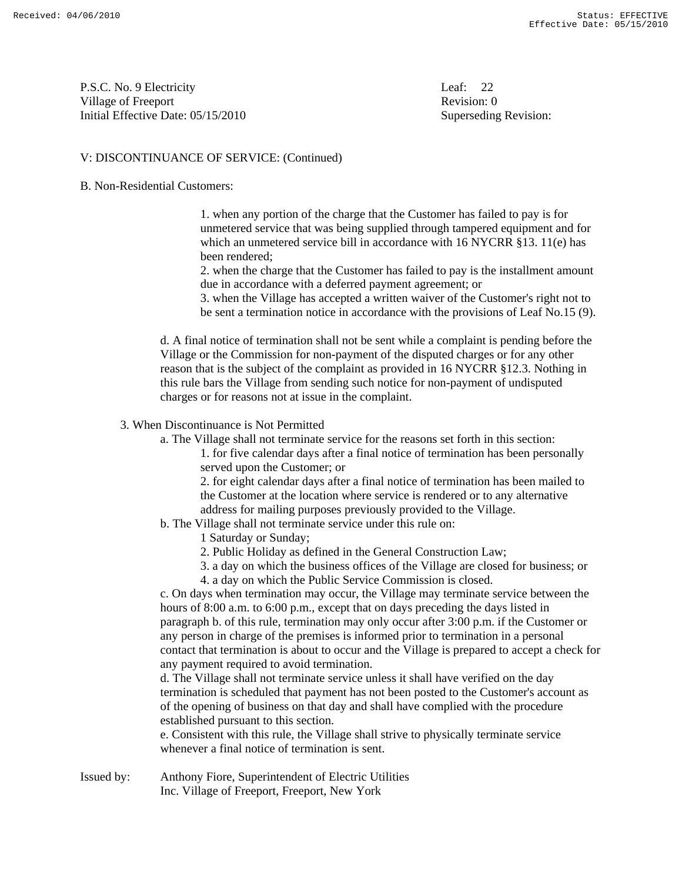P.S.C. No. 9 Electricity Leaf: 22 Village of Freeport **Revision:** 0 Initial Effective Date: 05/15/2010 Superseding Revision:

#### V: DISCONTINUANCE OF SERVICE: (Continued)

#### B. Non-Residential Customers:

 1. when any portion of the charge that the Customer has failed to pay is for unmetered service that was being supplied through tampered equipment and for which an unmetered service bill in accordance with 16 NYCRR §13. 11(e) has been rendered;

 2. when the charge that the Customer has failed to pay is the installment amount due in accordance with a deferred payment agreement; or

 3. when the Village has accepted a written waiver of the Customer's right not to be sent a termination notice in accordance with the provisions of Leaf No.15 (9).

 d. A final notice of termination shall not be sent while a complaint is pending before the Village or the Commission for non-payment of the disputed charges or for any other reason that is the subject of the complaint as provided in 16 NYCRR §12.3. Nothing in this rule bars the Village from sending such notice for non-payment of undisputed charges or for reasons not at issue in the complaint.

#### 3. When Discontinuance is Not Permitted

a. The Village shall not terminate service for the reasons set forth in this section:

 1. for five calendar days after a final notice of termination has been personally served upon the Customer; or

 2. for eight calendar days after a final notice of termination has been mailed to the Customer at the location where service is rendered or to any alternative address for mailing purposes previously provided to the Village.

b. The Village shall not terminate service under this rule on:

1 Saturday or Sunday;

- 2. Public Holiday as defined in the General Construction Law;
- 3. a day on which the business offices of the Village are closed for business; or
- 4. a day on which the Public Service Commission is closed.

 c. On days when termination may occur, the Village may terminate service between the hours of 8:00 a.m. to 6:00 p.m., except that on days preceding the days listed in paragraph b. of this rule, termination may only occur after 3:00 p.m. if the Customer or any person in charge of the premises is informed prior to termination in a personal contact that termination is about to occur and the Village is prepared to accept a check for any payment required to avoid termination.

 d. The Village shall not terminate service unless it shall have verified on the day termination is scheduled that payment has not been posted to the Customer's account as of the opening of business on that day and shall have complied with the procedure established pursuant to this section.

 e. Consistent with this rule, the Village shall strive to physically terminate service whenever a final notice of termination is sent.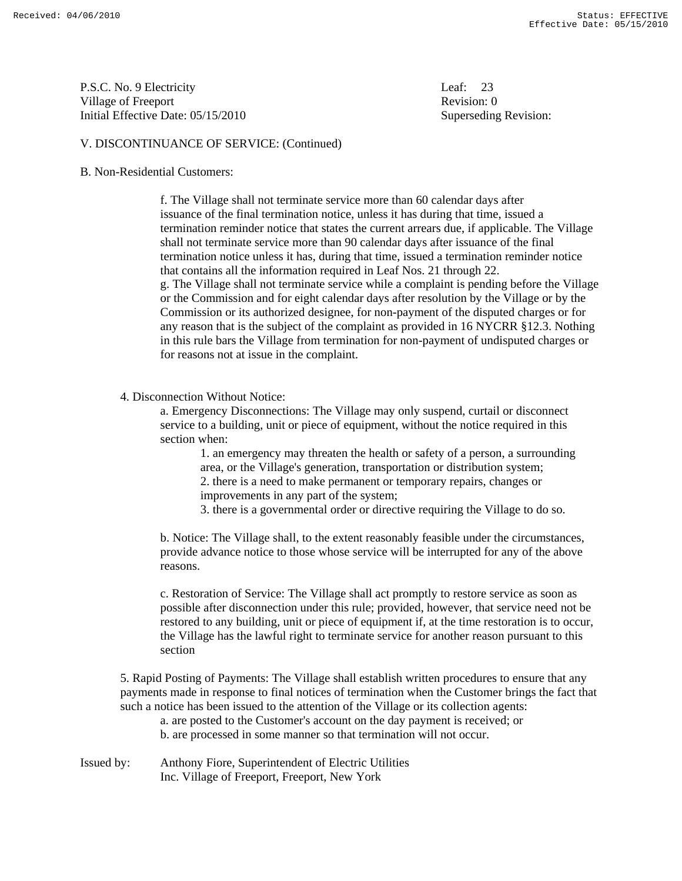P.S.C. No. 9 Electricity Leaf: 23 Village of Freeport **Revision:** 0 Initial Effective Date: 05/15/2010 Superseding Revision:

#### V. DISCONTINUANCE OF SERVICE: (Continued)

#### B. Non-Residential Customers:

 f. The Village shall not terminate service more than 60 calendar days after issuance of the final termination notice, unless it has during that time, issued a termination reminder notice that states the current arrears due, if applicable. The Village shall not terminate service more than 90 calendar days after issuance of the final termination notice unless it has, during that time, issued a termination reminder notice that contains all the information required in Leaf Nos. 21 through 22. g. The Village shall not terminate service while a complaint is pending before the Village or the Commission and for eight calendar days after resolution by the Village or by the Commission or its authorized designee, for non-payment of the disputed charges or for any reason that is the subject of the complaint as provided in 16 NYCRR §12.3. Nothing in this rule bars the Village from termination for non-payment of undisputed charges or for reasons not at issue in the complaint.

4. Disconnection Without Notice:

 a. Emergency Disconnections: The Village may only suspend, curtail or disconnect service to a building, unit or piece of equipment, without the notice required in this section when:

 1. an emergency may threaten the health or safety of a person, a surrounding area, or the Village's generation, transportation or distribution system; 2. there is a need to make permanent or temporary repairs, changes or improvements in any part of the system;

3. there is a governmental order or directive requiring the Village to do so.

 b. Notice: The Village shall, to the extent reasonably feasible under the circumstances, provide advance notice to those whose service will be interrupted for any of the above reasons.

 c. Restoration of Service: The Village shall act promptly to restore service as soon as possible after disconnection under this rule; provided, however, that service need not be restored to any building, unit or piece of equipment if, at the time restoration is to occur, the Village has the lawful right to terminate service for another reason pursuant to this section

 5. Rapid Posting of Payments: The Village shall establish written procedures to ensure that any payments made in response to final notices of termination when the Customer brings the fact that such a notice has been issued to the attention of the Village or its collection agents:

 a. are posted to the Customer's account on the day payment is received; or b. are processed in some manner so that termination will not occur.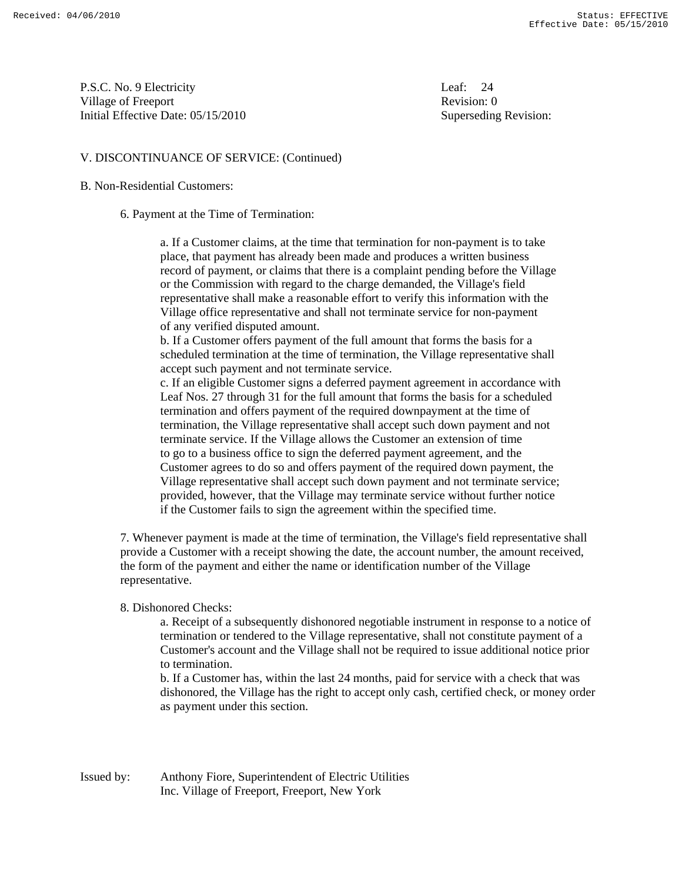P.S.C. No. 9 Electricity Leaf: 24 Village of Freeport **Revision:** 0 Initial Effective Date: 05/15/2010 Superseding Revision:

#### V. DISCONTINUANCE OF SERVICE: (Continued)

#### B. Non-Residential Customers:

6. Payment at the Time of Termination:

 a. If a Customer claims, at the time that termination for non-payment is to take place, that payment has already been made and produces a written business record of payment, or claims that there is a complaint pending before the Village or the Commission with regard to the charge demanded, the Village's field representative shall make a reasonable effort to verify this information with the Village office representative and shall not terminate service for non-payment of any verified disputed amount.

 b. If a Customer offers payment of the full amount that forms the basis for a scheduled termination at the time of termination, the Village representative shall accept such payment and not terminate service.

 c. If an eligible Customer signs a deferred payment agreement in accordance with Leaf Nos. 27 through 31 for the full amount that forms the basis for a scheduled termination and offers payment of the required downpayment at the time of termination, the Village representative shall accept such down payment and not terminate service. If the Village allows the Customer an extension of time to go to a business office to sign the deferred payment agreement, and the Customer agrees to do so and offers payment of the required down payment, the Village representative shall accept such down payment and not terminate service; provided, however, that the Village may terminate service without further notice if the Customer fails to sign the agreement within the specified time.

 7. Whenever payment is made at the time of termination, the Village's field representative shall provide a Customer with a receipt showing the date, the account number, the amount received, the form of the payment and either the name or identification number of the Village representative.

#### 8. Dishonored Checks:

 a. Receipt of a subsequently dishonored negotiable instrument in response to a notice of termination or tendered to the Village representative, shall not constitute payment of a Customer's account and the Village shall not be required to issue additional notice prior to termination.

 b. If a Customer has, within the last 24 months, paid for service with a check that was dishonored, the Village has the right to accept only cash, certified check, or money order as payment under this section.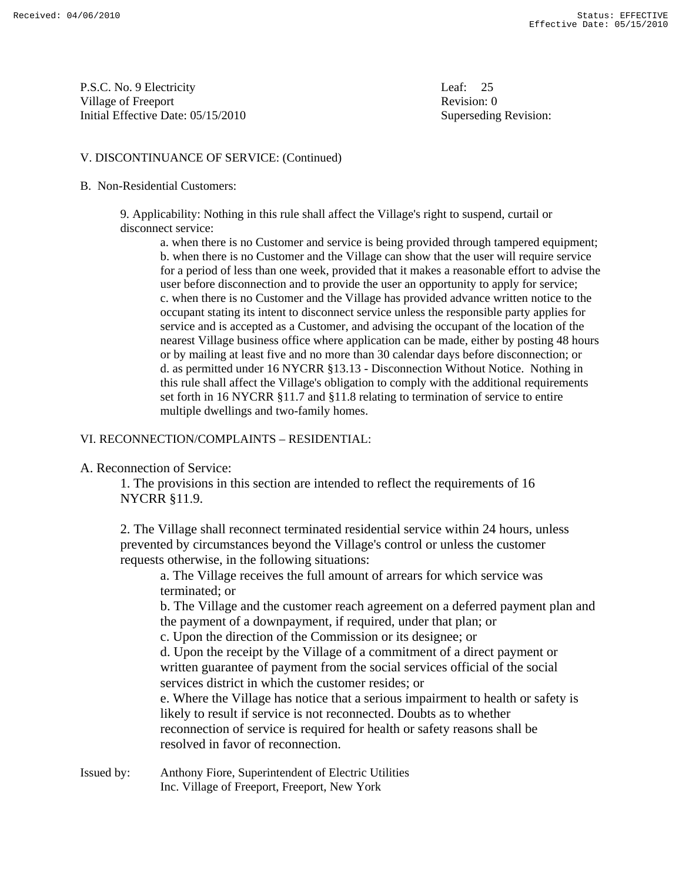P.S.C. No. 9 Electricity Leaf: 25 Village of Freeport **Revision:** 0 Initial Effective Date: 05/15/2010 Superseding Revision:

#### V. DISCONTINUANCE OF SERVICE: (Continued)

#### B. Non-Residential Customers:

 9. Applicability: Nothing in this rule shall affect the Village's right to suspend, curtail or disconnect service:

 a. when there is no Customer and service is being provided through tampered equipment; b. when there is no Customer and the Village can show that the user will require service for a period of less than one week, provided that it makes a reasonable effort to advise the user before disconnection and to provide the user an opportunity to apply for service; c. when there is no Customer and the Village has provided advance written notice to the occupant stating its intent to disconnect service unless the responsible party applies for service and is accepted as a Customer, and advising the occupant of the location of the nearest Village business office where application can be made, either by posting 48 hours or by mailing at least five and no more than 30 calendar days before disconnection; or d. as permitted under 16 NYCRR §13.13 - Disconnection Without Notice. Nothing in this rule shall affect the Village's obligation to comply with the additional requirements set forth in 16 NYCRR §11.7 and §11.8 relating to termination of service to entire multiple dwellings and two-family homes.

#### VI. RECONNECTION/COMPLAINTS – RESIDENTIAL:

A. Reconnection of Service:

 1. The provisions in this section are intended to reflect the requirements of 16 NYCRR §11.9.

 2. The Village shall reconnect terminated residential service within 24 hours, unless prevented by circumstances beyond the Village's control or unless the customer requests otherwise, in the following situations:

 a. The Village receives the full amount of arrears for which service was terminated; or

 b. The Village and the customer reach agreement on a deferred payment plan and the payment of a downpayment, if required, under that plan; or

c. Upon the direction of the Commission or its designee; or

 d. Upon the receipt by the Village of a commitment of a direct payment or written guarantee of payment from the social services official of the social services district in which the customer resides; or

 e. Where the Village has notice that a serious impairment to health or safety is likely to result if service is not reconnected. Doubts as to whether reconnection of service is required for health or safety reasons shall be resolved in favor of reconnection.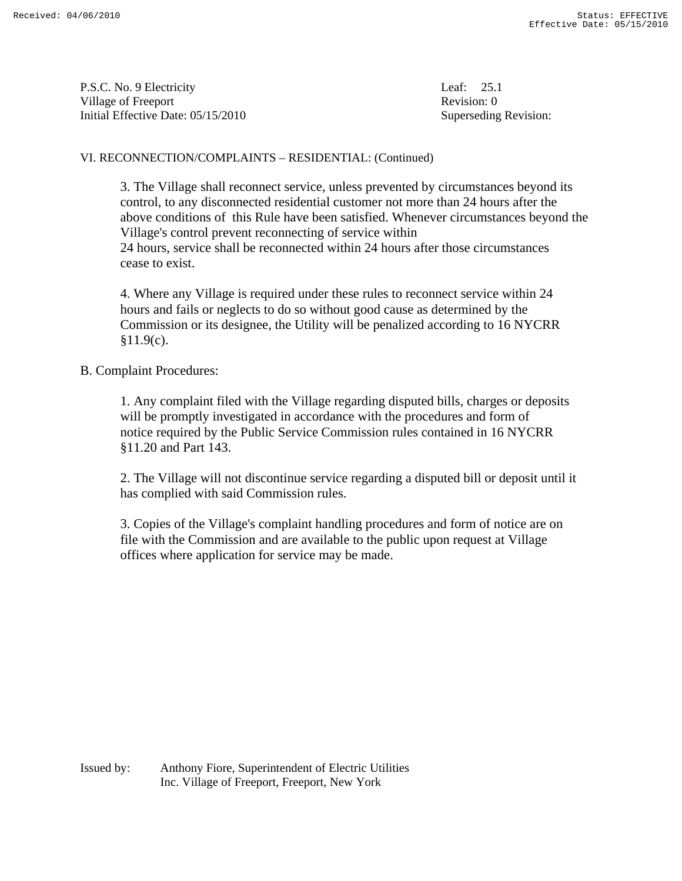P.S.C. No. 9 Electricity Leaf: 25.1 Village of Freeport **Revision:** 0 Initial Effective Date: 05/15/2010 Superseding Revision:

#### VI. RECONNECTION/COMPLAINTS – RESIDENTIAL: (Continued)

 3. The Village shall reconnect service, unless prevented by circumstances beyond its control, to any disconnected residential customer not more than 24 hours after the above conditions of this Rule have been satisfied. Whenever circumstances beyond the Village's control prevent reconnecting of service within 24 hours, service shall be reconnected within 24 hours after those circumstances cease to exist.

 4. Where any Village is required under these rules to reconnect service within 24 hours and fails or neglects to do so without good cause as determined by the Commission or its designee, the Utility will be penalized according to 16 NYCRR  $§11.9(c)$ .

#### B. Complaint Procedures:

 1. Any complaint filed with the Village regarding disputed bills, charges or deposits will be promptly investigated in accordance with the procedures and form of notice required by the Public Service Commission rules contained in 16 NYCRR §11.20 and Part 143.

 2. The Village will not discontinue service regarding a disputed bill or deposit until it has complied with said Commission rules.

 3. Copies of the Village's complaint handling procedures and form of notice are on file with the Commission and are available to the public upon request at Village offices where application for service may be made.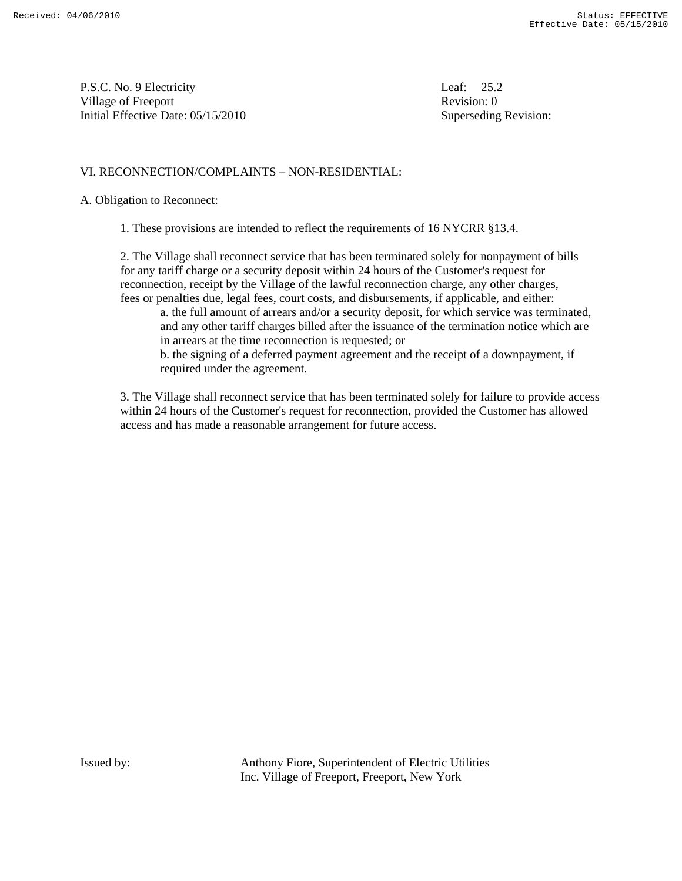P.S.C. No. 9 Electricity Leaf: 25.2 Village of Freeport Revision: 0 Initial Effective Date: 05/15/2010 Superseding Revision:

#### VI. RECONNECTION/COMPLAINTS – NON-RESIDENTIAL:

A. Obligation to Reconnect:

1. These provisions are intended to reflect the requirements of 16 NYCRR §13.4.

 2. The Village shall reconnect service that has been terminated solely for nonpayment of bills for any tariff charge or a security deposit within 24 hours of the Customer's request for reconnection, receipt by the Village of the lawful reconnection charge, any other charges, fees or penalties due, legal fees, court costs, and disbursements, if applicable, and either:

 a. the full amount of arrears and/or a security deposit, for which service was terminated, and any other tariff charges billed after the issuance of the termination notice which are in arrears at the time reconnection is requested; or

 b. the signing of a deferred payment agreement and the receipt of a downpayment, if required under the agreement.

 3. The Village shall reconnect service that has been terminated solely for failure to provide access within 24 hours of the Customer's request for reconnection, provided the Customer has allowed access and has made a reasonable arrangement for future access.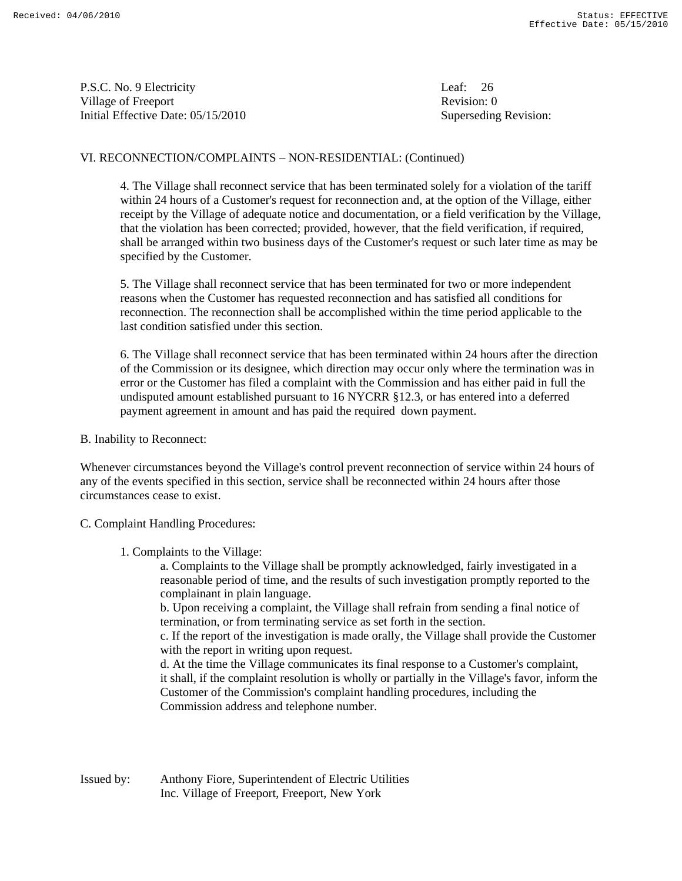P.S.C. No. 9 Electricity Leaf: 26 Village of Freeport **Revision:** 0 Initial Effective Date: 05/15/2010 Superseding Revision:

#### VI. RECONNECTION/COMPLAINTS – NON-RESIDENTIAL: (Continued)

 4. The Village shall reconnect service that has been terminated solely for a violation of the tariff within 24 hours of a Customer's request for reconnection and, at the option of the Village, either receipt by the Village of adequate notice and documentation, or a field verification by the Village, that the violation has been corrected; provided, however, that the field verification, if required, shall be arranged within two business days of the Customer's request or such later time as may be specified by the Customer.

 5. The Village shall reconnect service that has been terminated for two or more independent reasons when the Customer has requested reconnection and has satisfied all conditions for reconnection. The reconnection shall be accomplished within the time period applicable to the last condition satisfied under this section.

 6. The Village shall reconnect service that has been terminated within 24 hours after the direction of the Commission or its designee, which direction may occur only where the termination was in error or the Customer has filed a complaint with the Commission and has either paid in full the undisputed amount established pursuant to 16 NYCRR §12.3, or has entered into a deferred payment agreement in amount and has paid the required down payment.

B. Inability to Reconnect:

Whenever circumstances beyond the Village's control prevent reconnection of service within 24 hours of any of the events specified in this section, service shall be reconnected within 24 hours after those circumstances cease to exist.

C. Complaint Handling Procedures:

1. Complaints to the Village:

 a. Complaints to the Village shall be promptly acknowledged, fairly investigated in a reasonable period of time, and the results of such investigation promptly reported to the complainant in plain language.

 b. Upon receiving a complaint, the Village shall refrain from sending a final notice of termination, or from terminating service as set forth in the section.

 c. If the report of the investigation is made orally, the Village shall provide the Customer with the report in writing upon request.

 d. At the time the Village communicates its final response to a Customer's complaint, it shall, if the complaint resolution is wholly or partially in the Village's favor, inform the Customer of the Commission's complaint handling procedures, including the Commission address and telephone number.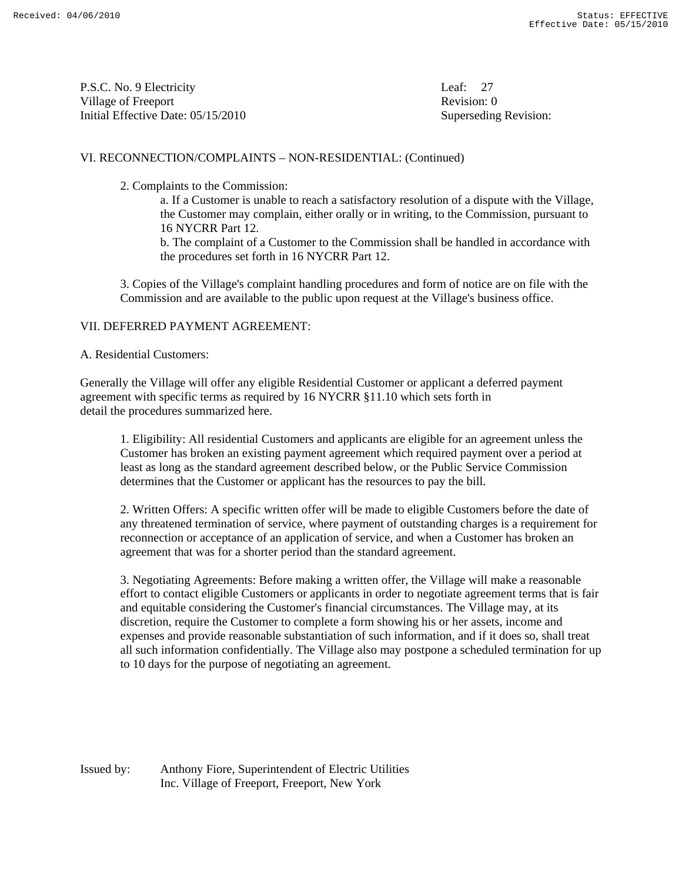P.S.C. No. 9 Electricity Leaf: 27 Village of Freeport **Revision:** 0 Initial Effective Date: 05/15/2010 Superseding Revision:

#### VI. RECONNECTION/COMPLAINTS – NON-RESIDENTIAL: (Continued)

2. Complaints to the Commission:

 a. If a Customer is unable to reach a satisfactory resolution of a dispute with the Village, the Customer may complain, either orally or in writing, to the Commission, pursuant to 16 NYCRR Part 12.

 b. The complaint of a Customer to the Commission shall be handled in accordance with the procedures set forth in 16 NYCRR Part 12.

 3. Copies of the Village's complaint handling procedures and form of notice are on file with the Commission and are available to the public upon request at the Village's business office.

#### VII. DEFERRED PAYMENT AGREEMENT:

A. Residential Customers:

Generally the Village will offer any eligible Residential Customer or applicant a deferred payment agreement with specific terms as required by 16 NYCRR §11.10 which sets forth in detail the procedures summarized here.

 1. Eligibility: All residential Customers and applicants are eligible for an agreement unless the Customer has broken an existing payment agreement which required payment over a period at least as long as the standard agreement described below, or the Public Service Commission determines that the Customer or applicant has the resources to pay the bill.

 2. Written Offers: A specific written offer will be made to eligible Customers before the date of any threatened termination of service, where payment of outstanding charges is a requirement for reconnection or acceptance of an application of service, and when a Customer has broken an agreement that was for a shorter period than the standard agreement.

 3. Negotiating Agreements: Before making a written offer, the Village will make a reasonable effort to contact eligible Customers or applicants in order to negotiate agreement terms that is fair and equitable considering the Customer's financial circumstances. The Village may, at its discretion, require the Customer to complete a form showing his or her assets, income and expenses and provide reasonable substantiation of such information, and if it does so, shall treat all such information confidentially. The Village also may postpone a scheduled termination for up to 10 days for the purpose of negotiating an agreement.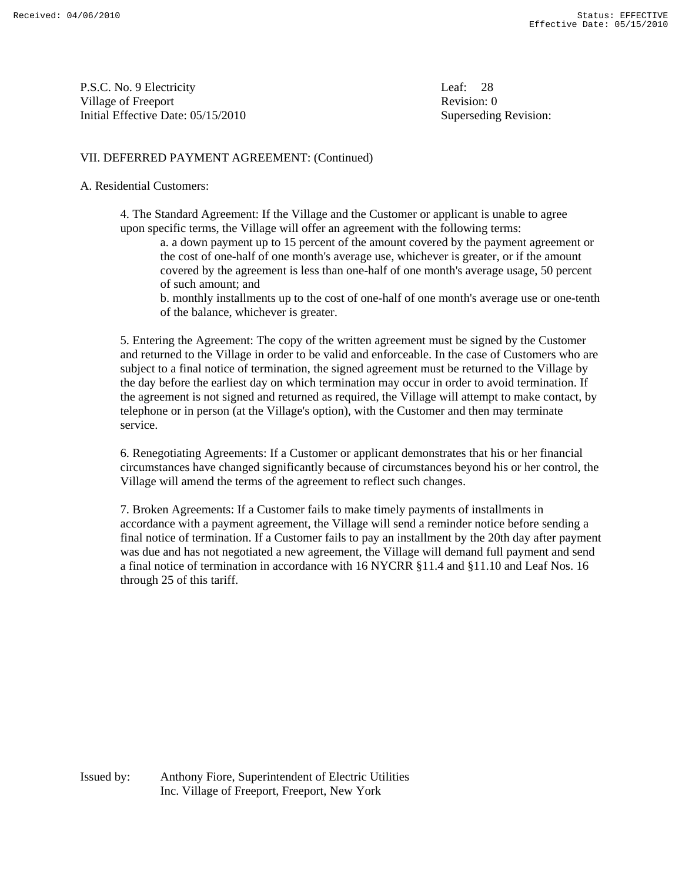P.S.C. No. 9 Electricity Leaf: 28 Village of Freeport **Revision:** 0 Initial Effective Date: 05/15/2010 Superseding Revision:

### VII. DEFERRED PAYMENT AGREEMENT: (Continued)

#### A. Residential Customers:

 4. The Standard Agreement: If the Village and the Customer or applicant is unable to agree upon specific terms, the Village will offer an agreement with the following terms:

 a. a down payment up to 15 percent of the amount covered by the payment agreement or the cost of one-half of one month's average use, whichever is greater, or if the amount covered by the agreement is less than one-half of one month's average usage, 50 percent of such amount; and

 b. monthly installments up to the cost of one-half of one month's average use or one-tenth of the balance, whichever is greater.

 5. Entering the Agreement: The copy of the written agreement must be signed by the Customer and returned to the Village in order to be valid and enforceable. In the case of Customers who are subject to a final notice of termination, the signed agreement must be returned to the Village by the day before the earliest day on which termination may occur in order to avoid termination. If the agreement is not signed and returned as required, the Village will attempt to make contact, by telephone or in person (at the Village's option), with the Customer and then may terminate service.

 6. Renegotiating Agreements: If a Customer or applicant demonstrates that his or her financial circumstances have changed significantly because of circumstances beyond his or her control, the Village will amend the terms of the agreement to reflect such changes.

 7. Broken Agreements: If a Customer fails to make timely payments of installments in accordance with a payment agreement, the Village will send a reminder notice before sending a final notice of termination. If a Customer fails to pay an installment by the 20th day after payment was due and has not negotiated a new agreement, the Village will demand full payment and send a final notice of termination in accordance with 16 NYCRR §11.4 and §11.10 and Leaf Nos. 16 through 25 of this tariff.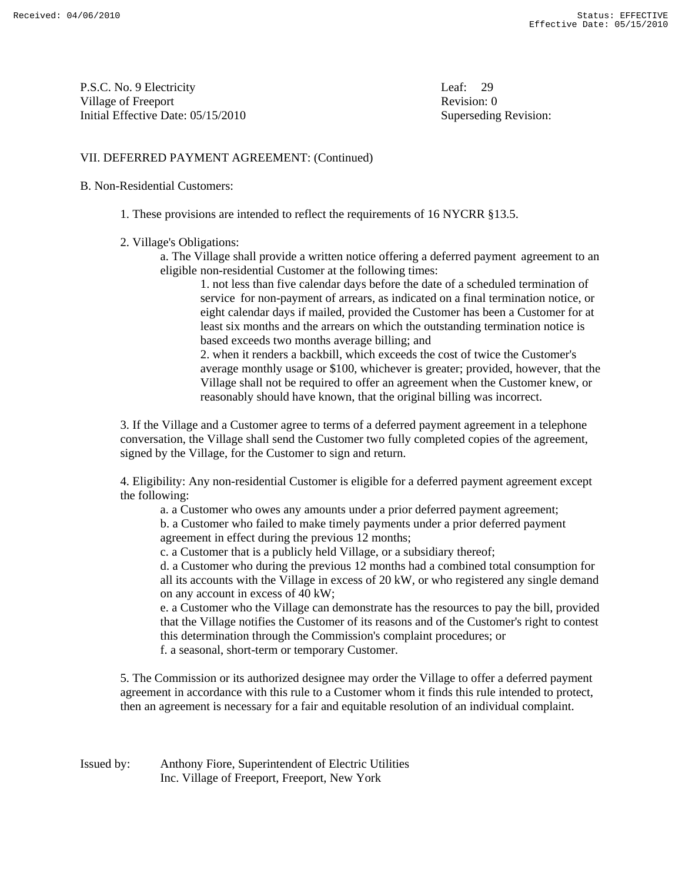P.S.C. No. 9 Electricity Leaf: 29 Village of Freeport **Revision:** 0 Initial Effective Date: 05/15/2010 Superseding Revision:

#### VII. DEFERRED PAYMENT AGREEMENT: (Continued)

#### B. Non-Residential Customers:

- 1. These provisions are intended to reflect the requirements of 16 NYCRR §13.5.
- 2. Village's Obligations:

 a. The Village shall provide a written notice offering a deferred payment agreement to an eligible non-residential Customer at the following times:

 1. not less than five calendar days before the date of a scheduled termination of service for non-payment of arrears, as indicated on a final termination notice, or eight calendar days if mailed, provided the Customer has been a Customer for at least six months and the arrears on which the outstanding termination notice is based exceeds two months average billing; and

 2. when it renders a backbill, which exceeds the cost of twice the Customer's average monthly usage or \$100, whichever is greater; provided, however, that the Village shall not be required to offer an agreement when the Customer knew, or reasonably should have known, that the original billing was incorrect.

 3. If the Village and a Customer agree to terms of a deferred payment agreement in a telephone conversation, the Village shall send the Customer two fully completed copies of the agreement, signed by the Village, for the Customer to sign and return.

 4. Eligibility: Any non-residential Customer is eligible for a deferred payment agreement except the following:

a. a Customer who owes any amounts under a prior deferred payment agreement;

 b. a Customer who failed to make timely payments under a prior deferred payment agreement in effect during the previous 12 months;

c. a Customer that is a publicly held Village, or a subsidiary thereof;

 d. a Customer who during the previous 12 months had a combined total consumption for all its accounts with the Village in excess of 20 kW, or who registered any single demand on any account in excess of 40 kW;

 e. a Customer who the Village can demonstrate has the resources to pay the bill, provided that the Village notifies the Customer of its reasons and of the Customer's right to contest this determination through the Commission's complaint procedures; or

f. a seasonal, short-term or temporary Customer.

 5. The Commission or its authorized designee may order the Village to offer a deferred payment agreement in accordance with this rule to a Customer whom it finds this rule intended to protect, then an agreement is necessary for a fair and equitable resolution of an individual complaint.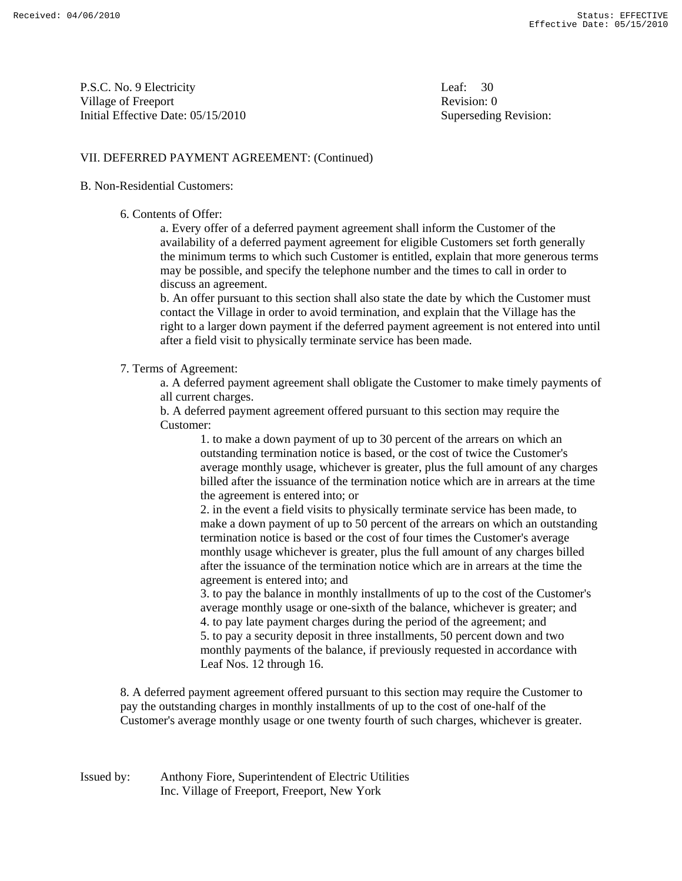P.S.C. No. 9 Electricity Leaf: 30 Village of Freeport **Revision:** 0 Initial Effective Date: 05/15/2010 Superseding Revision:

#### VII. DEFERRED PAYMENT AGREEMENT: (Continued)

#### B. Non-Residential Customers:

#### 6. Contents of Offer:

 a. Every offer of a deferred payment agreement shall inform the Customer of the availability of a deferred payment agreement for eligible Customers set forth generally the minimum terms to which such Customer is entitled, explain that more generous terms may be possible, and specify the telephone number and the times to call in order to discuss an agreement.

 b. An offer pursuant to this section shall also state the date by which the Customer must contact the Village in order to avoid termination, and explain that the Village has the right to a larger down payment if the deferred payment agreement is not entered into until after a field visit to physically terminate service has been made.

#### 7. Terms of Agreement:

 a. A deferred payment agreement shall obligate the Customer to make timely payments of all current charges.

 b. A deferred payment agreement offered pursuant to this section may require the Customer:

> 1. to make a down payment of up to 30 percent of the arrears on which an outstanding termination notice is based, or the cost of twice the Customer's average monthly usage, whichever is greater, plus the full amount of any charges billed after the issuance of the termination notice which are in arrears at the time the agreement is entered into; or

> 2. in the event a field visits to physically terminate service has been made, to make a down payment of up to 50 percent of the arrears on which an outstanding termination notice is based or the cost of four times the Customer's average monthly usage whichever is greater, plus the full amount of any charges billed after the issuance of the termination notice which are in arrears at the time the agreement is entered into; and

 3. to pay the balance in monthly installments of up to the cost of the Customer's average monthly usage or one-sixth of the balance, whichever is greater; and 4. to pay late payment charges during the period of the agreement; and

 5. to pay a security deposit in three installments, 50 percent down and two monthly payments of the balance, if previously requested in accordance with Leaf Nos. 12 through 16.

 8. A deferred payment agreement offered pursuant to this section may require the Customer to pay the outstanding charges in monthly installments of up to the cost of one-half of the Customer's average monthly usage or one twenty fourth of such charges, whichever is greater.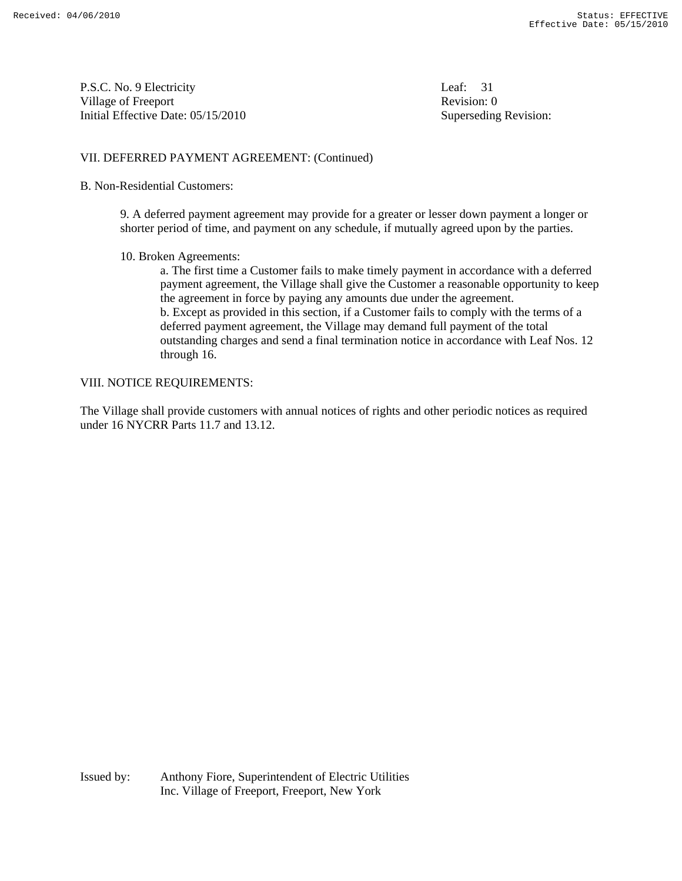P.S.C. No. 9 Electricity Leaf: 31 Village of Freeport Revision: 0 Initial Effective Date: 05/15/2010 Superseding Revision:

#### VII. DEFERRED PAYMENT AGREEMENT: (Continued)

#### B. Non-Residential Customers:

 9. A deferred payment agreement may provide for a greater or lesser down payment a longer or shorter period of time, and payment on any schedule, if mutually agreed upon by the parties.

10. Broken Agreements:

 a. The first time a Customer fails to make timely payment in accordance with a deferred payment agreement, the Village shall give the Customer a reasonable opportunity to keep the agreement in force by paying any amounts due under the agreement. b. Except as provided in this section, if a Customer fails to comply with the terms of a deferred payment agreement, the Village may demand full payment of the total outstanding charges and send a final termination notice in accordance with Leaf Nos. 12 through 16.

#### VIII. NOTICE REQUIREMENTS:

The Village shall provide customers with annual notices of rights and other periodic notices as required under 16 NYCRR Parts 11.7 and 13.12.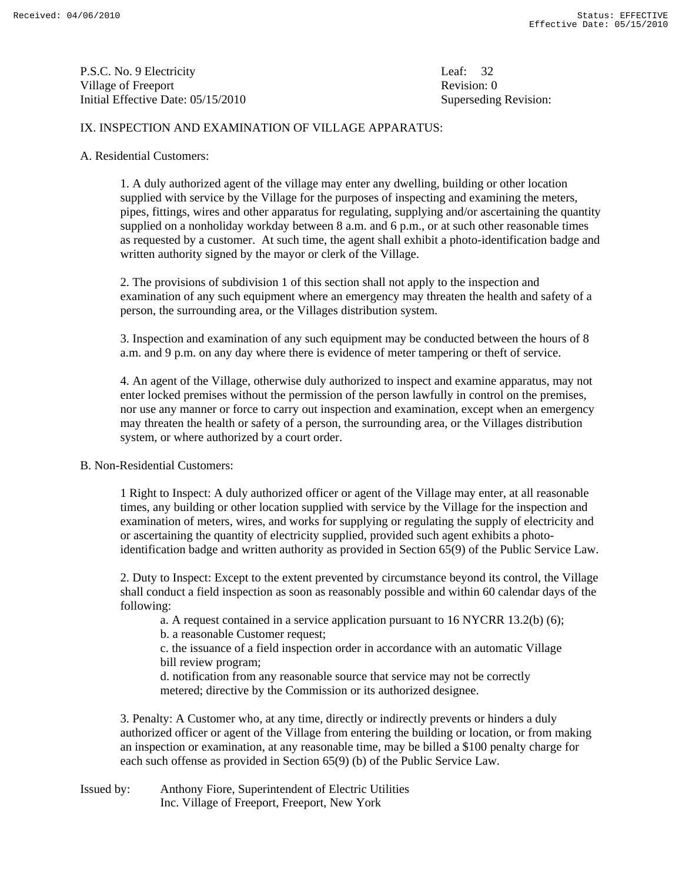P.S.C. No. 9 Electricity Leaf: 32 Village of Freeport Revision: 0 Initial Effective Date: 05/15/2010 Superseding Revision:

#### IX. INSPECTION AND EXAMINATION OF VILLAGE APPARATUS:

#### A. Residential Customers:

 1. A duly authorized agent of the village may enter any dwelling, building or other location supplied with service by the Village for the purposes of inspecting and examining the meters, pipes, fittings, wires and other apparatus for regulating, supplying and/or ascertaining the quantity supplied on a nonholiday workday between 8 a.m. and 6 p.m., or at such other reasonable times as requested by a customer. At such time, the agent shall exhibit a photo-identification badge and written authority signed by the mayor or clerk of the Village.

 2. The provisions of subdivision 1 of this section shall not apply to the inspection and examination of any such equipment where an emergency may threaten the health and safety of a person, the surrounding area, or the Villages distribution system.

 3. Inspection and examination of any such equipment may be conducted between the hours of 8 a.m. and 9 p.m. on any day where there is evidence of meter tampering or theft of service.

 4. An agent of the Village, otherwise duly authorized to inspect and examine apparatus, may not enter locked premises without the permission of the person lawfully in control on the premises, nor use any manner or force to carry out inspection and examination, except when an emergency may threaten the health or safety of a person, the surrounding area, or the Villages distribution system, or where authorized by a court order.

#### B. Non-Residential Customers:

 1 Right to Inspect: A duly authorized officer or agent of the Village may enter, at all reasonable times, any building or other location supplied with service by the Village for the inspection and examination of meters, wires, and works for supplying or regulating the supply of electricity and or ascertaining the quantity of electricity supplied, provided such agent exhibits a photo identification badge and written authority as provided in Section 65(9) of the Public Service Law.

 2. Duty to Inspect: Except to the extent prevented by circumstance beyond its control, the Village shall conduct a field inspection as soon as reasonably possible and within 60 calendar days of the following:

a. A request contained in a service application pursuant to 16 NYCRR 13.2(b) (6);

b. a reasonable Customer request;

 c. the issuance of a field inspection order in accordance with an automatic Village bill review program;

 d. notification from any reasonable source that service may not be correctly metered; directive by the Commission or its authorized designee.

 3. Penalty: A Customer who, at any time, directly or indirectly prevents or hinders a duly authorized officer or agent of the Village from entering the building or location, or from making an inspection or examination, at any reasonable time, may be billed a \$100 penalty charge for each such offense as provided in Section 65(9) (b) of the Public Service Law.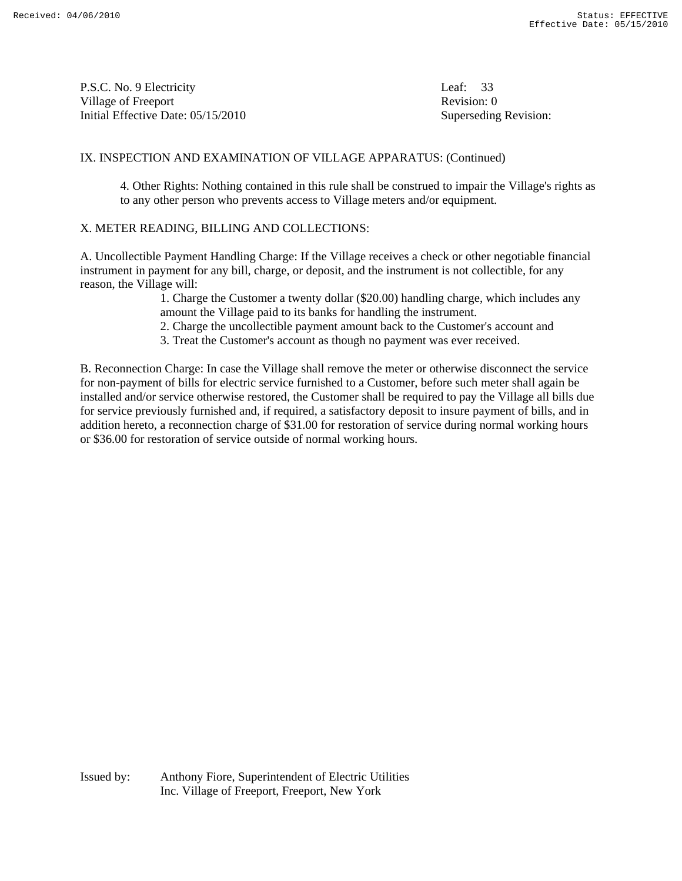P.S.C. No. 9 Electricity Leaf: 33 Village of Freeport Revision: 0 Initial Effective Date: 05/15/2010 Superseding Revision:

#### IX. INSPECTION AND EXAMINATION OF VILLAGE APPARATUS: (Continued)

 4. Other Rights: Nothing contained in this rule shall be construed to impair the Village's rights as to any other person who prevents access to Village meters and/or equipment.

#### X. METER READING, BILLING AND COLLECTIONS:

A. Uncollectible Payment Handling Charge: If the Village receives a check or other negotiable financial instrument in payment for any bill, charge, or deposit, and the instrument is not collectible, for any reason, the Village will:

> 1. Charge the Customer a twenty dollar (\$20.00) handling charge, which includes any amount the Village paid to its banks for handling the instrument.

2. Charge the uncollectible payment amount back to the Customer's account and

3. Treat the Customer's account as though no payment was ever received.

B. Reconnection Charge: In case the Village shall remove the meter or otherwise disconnect the service for non-payment of bills for electric service furnished to a Customer, before such meter shall again be installed and/or service otherwise restored, the Customer shall be required to pay the Village all bills due for service previously furnished and, if required, a satisfactory deposit to insure payment of bills, and in addition hereto, a reconnection charge of \$31.00 for restoration of service during normal working hours or \$36.00 for restoration of service outside of normal working hours.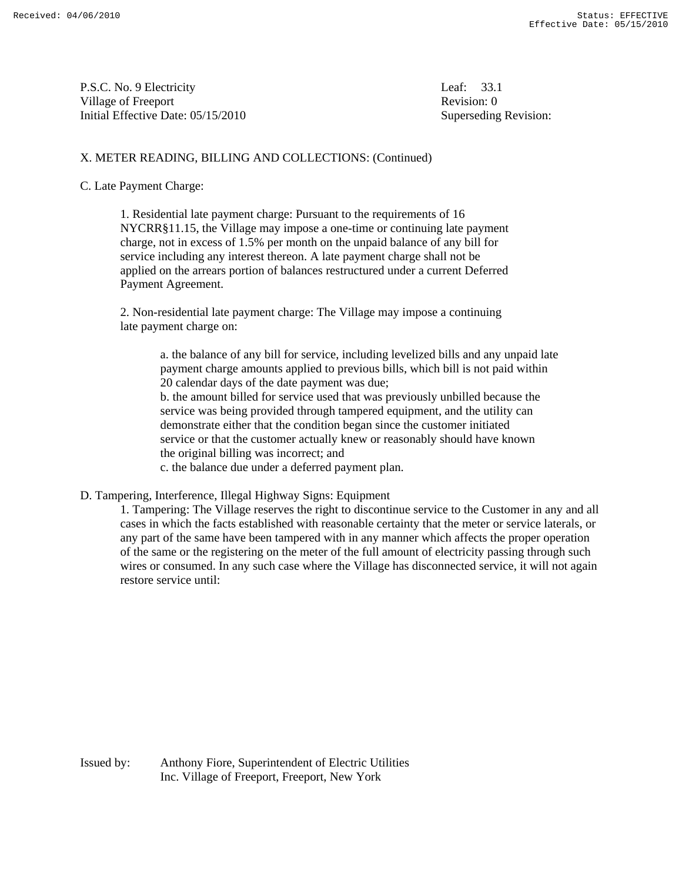P.S.C. No. 9 Electricity Leaf: 33.1 Village of Freeport **Revision:** 0 Initial Effective Date: 05/15/2010 Superseding Revision:

#### X. METER READING, BILLING AND COLLECTIONS: (Continued)

#### C. Late Payment Charge:

1. Residential late payment charge: Pursuant to the requirements of 16 NYCRR§11.15, the Village may impose a one-time or continuing late payment charge, not in excess of 1.5% per month on the unpaid balance of any bill for service including any interest thereon. A late payment charge shall not be applied on the arrears portion of balances restructured under a current Deferred Payment Agreement.

 2. Non-residential late payment charge: The Village may impose a continuing late payment charge on:

> a. the balance of any bill for service, including levelized bills and any unpaid late payment charge amounts applied to previous bills, which bill is not paid within 20 calendar days of the date payment was due;

 b. the amount billed for service used that was previously unbilled because the service was being provided through tampered equipment, and the utility can demonstrate either that the condition began since the customer initiated service or that the customer actually knew or reasonably should have known the original billing was incorrect; and

c. the balance due under a deferred payment plan.

D. Tampering, Interference, Illegal Highway Signs: Equipment

 1. Tampering: The Village reserves the right to discontinue service to the Customer in any and all cases in which the facts established with reasonable certainty that the meter or service laterals, or any part of the same have been tampered with in any manner which affects the proper operation of the same or the registering on the meter of the full amount of electricity passing through such wires or consumed. In any such case where the Village has disconnected service, it will not again restore service until: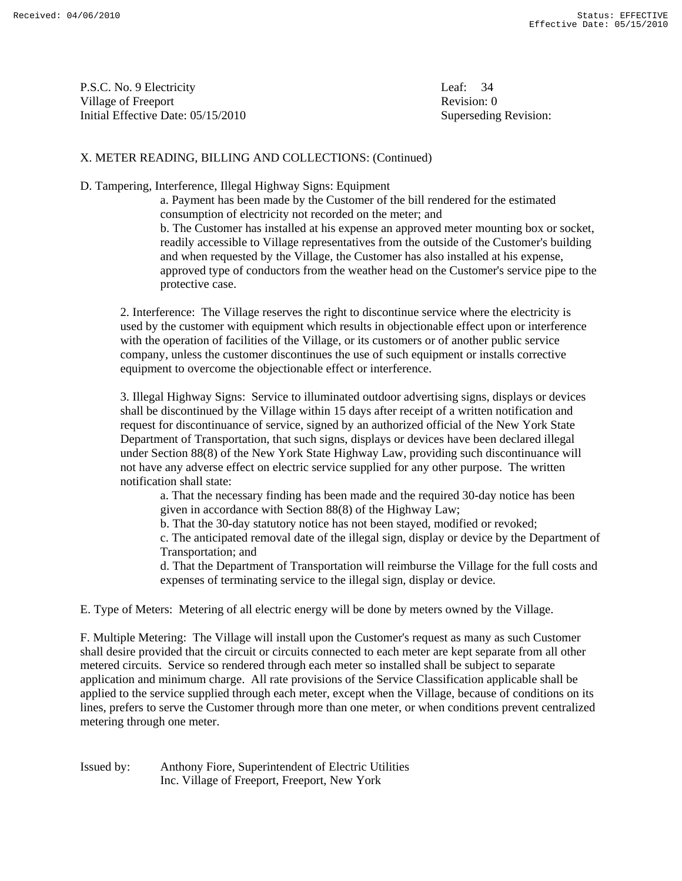P.S.C. No. 9 Electricity Leaf: 34 Village of Freeport **Revision:** 0 Initial Effective Date: 05/15/2010 Superseding Revision:

## X. METER READING, BILLING AND COLLECTIONS: (Continued)

D. Tampering, Interference, Illegal Highway Signs: Equipment

 a. Payment has been made by the Customer of the bill rendered for the estimated consumption of electricity not recorded on the meter; and

 b. The Customer has installed at his expense an approved meter mounting box or socket, readily accessible to Village representatives from the outside of the Customer's building and when requested by the Village, the Customer has also installed at his expense, approved type of conductors from the weather head on the Customer's service pipe to the protective case.

 2. Interference: The Village reserves the right to discontinue service where the electricity is used by the customer with equipment which results in objectionable effect upon or interference with the operation of facilities of the Village, or its customers or of another public service company, unless the customer discontinues the use of such equipment or installs corrective equipment to overcome the objectionable effect or interference.

 3. Illegal Highway Signs: Service to illuminated outdoor advertising signs, displays or devices shall be discontinued by the Village within 15 days after receipt of a written notification and request for discontinuance of service, signed by an authorized official of the New York State Department of Transportation, that such signs, displays or devices have been declared illegal under Section 88(8) of the New York State Highway Law, providing such discontinuance will not have any adverse effect on electric service supplied for any other purpose. The written notification shall state:

 a. That the necessary finding has been made and the required 30-day notice has been given in accordance with Section 88(8) of the Highway Law;

b. That the 30-day statutory notice has not been stayed, modified or revoked;

 c. The anticipated removal date of the illegal sign, display or device by the Department of Transportation; and

 d. That the Department of Transportation will reimburse the Village for the full costs and expenses of terminating service to the illegal sign, display or device.

E. Type of Meters: Metering of all electric energy will be done by meters owned by the Village.

F. Multiple Metering: The Village will install upon the Customer's request as many as such Customer shall desire provided that the circuit or circuits connected to each meter are kept separate from all other metered circuits. Service so rendered through each meter so installed shall be subject to separate application and minimum charge. All rate provisions of the Service Classification applicable shall be applied to the service supplied through each meter, except when the Village, because of conditions on its lines, prefers to serve the Customer through more than one meter, or when conditions prevent centralized metering through one meter.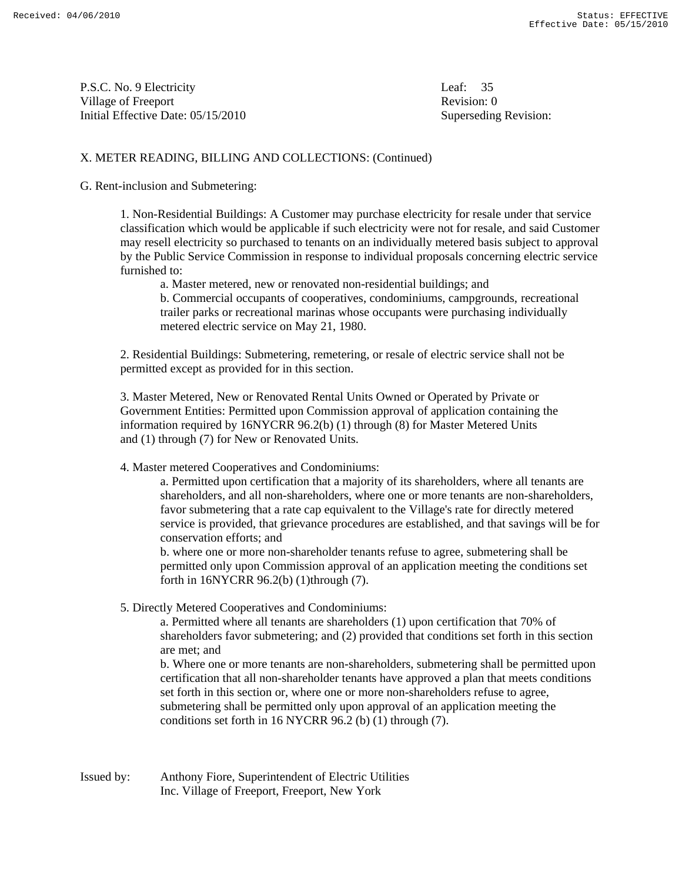P.S.C. No. 9 Electricity Leaf: 35 Village of Freeport **Revision:** 0 Initial Effective Date: 05/15/2010 Superseding Revision:

# X. METER READING, BILLING AND COLLECTIONS: (Continued)

#### G. Rent-inclusion and Submetering:

 1. Non-Residential Buildings: A Customer may purchase electricity for resale under that service classification which would be applicable if such electricity were not for resale, and said Customer may resell electricity so purchased to tenants on an individually metered basis subject to approval by the Public Service Commission in response to individual proposals concerning electric service furnished to:

a. Master metered, new or renovated non-residential buildings; and

 b. Commercial occupants of cooperatives, condominiums, campgrounds, recreational trailer parks or recreational marinas whose occupants were purchasing individually metered electric service on May 21, 1980.

 2. Residential Buildings: Submetering, remetering, or resale of electric service shall not be permitted except as provided for in this section.

 3. Master Metered, New or Renovated Rental Units Owned or Operated by Private or Government Entities: Permitted upon Commission approval of application containing the information required by 16NYCRR 96.2(b) (1) through (8) for Master Metered Units and (1) through (7) for New or Renovated Units.

4. Master metered Cooperatives and Condominiums:

 a. Permitted upon certification that a majority of its shareholders, where all tenants are shareholders, and all non-shareholders, where one or more tenants are non-shareholders, favor submetering that a rate cap equivalent to the Village's rate for directly metered service is provided, that grievance procedures are established, and that savings will be for conservation efforts; and

 b. where one or more non-shareholder tenants refuse to agree, submetering shall be permitted only upon Commission approval of an application meeting the conditions set forth in 16NYCRR 96.2(b) (1)through (7).

5. Directly Metered Cooperatives and Condominiums:

 a. Permitted where all tenants are shareholders (1) upon certification that 70% of shareholders favor submetering; and (2) provided that conditions set forth in this section are met; and

 b. Where one or more tenants are non-shareholders, submetering shall be permitted upon certification that all non-shareholder tenants have approved a plan that meets conditions set forth in this section or, where one or more non-shareholders refuse to agree, submetering shall be permitted only upon approval of an application meeting the conditions set forth in 16 NYCRR 96.2 (b) (1) through (7).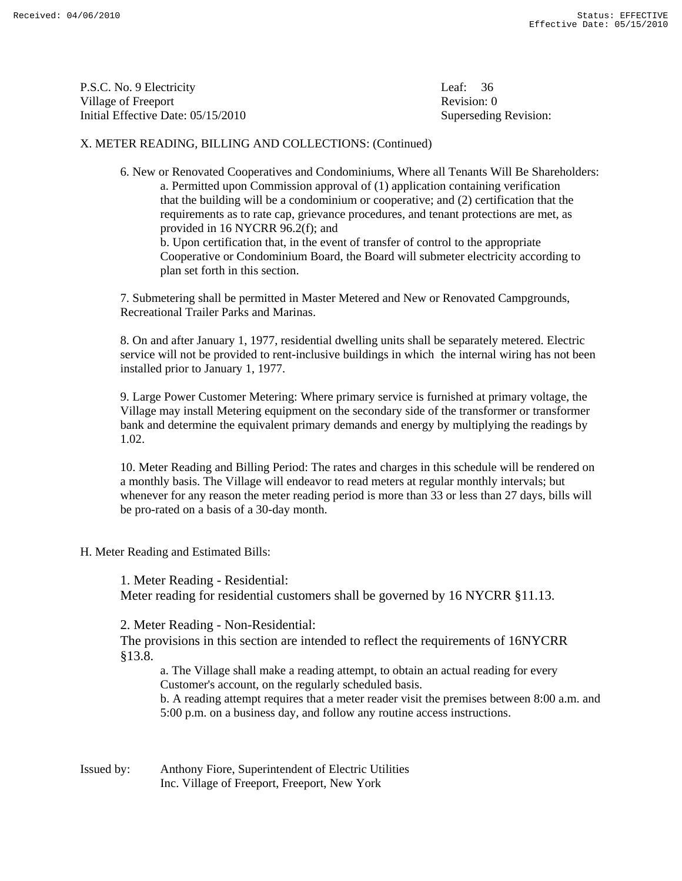P.S.C. No. 9 Electricity Leaf: 36 Village of Freeport **Revision:** 0 Initial Effective Date: 05/15/2010 Superseding Revision:

## X. METER READING, BILLING AND COLLECTIONS: (Continued)

 6. New or Renovated Cooperatives and Condominiums, Where all Tenants Will Be Shareholders: a. Permitted upon Commission approval of (1) application containing verification that the building will be a condominium or cooperative; and (2) certification that the requirements as to rate cap, grievance procedures, and tenant protections are met, as provided in 16 NYCRR 96.2(f); and

 b. Upon certification that, in the event of transfer of control to the appropriate Cooperative or Condominium Board, the Board will submeter electricity according to plan set forth in this section.

 7. Submetering shall be permitted in Master Metered and New or Renovated Campgrounds, Recreational Trailer Parks and Marinas.

 8. On and after January 1, 1977, residential dwelling units shall be separately metered. Electric service will not be provided to rent-inclusive buildings in which the internal wiring has not been installed prior to January 1, 1977.

 9. Large Power Customer Metering: Where primary service is furnished at primary voltage, the Village may install Metering equipment on the secondary side of the transformer or transformer bank and determine the equivalent primary demands and energy by multiplying the readings by 1.02.

 10. Meter Reading and Billing Period: The rates and charges in this schedule will be rendered on a monthly basis. The Village will endeavor to read meters at regular monthly intervals; but whenever for any reason the meter reading period is more than 33 or less than 27 days, bills will be pro-rated on a basis of a 30-day month.

H. Meter Reading and Estimated Bills:

 1. Meter Reading - Residential: Meter reading for residential customers shall be governed by 16 NYCRR §11.13.

2. Meter Reading - Non-Residential:

 The provisions in this section are intended to reflect the requirements of 16NYCRR §13.8.

 a. The Village shall make a reading attempt, to obtain an actual reading for every Customer's account, on the regularly scheduled basis.

 b. A reading attempt requires that a meter reader visit the premises between 8:00 a.m. and 5:00 p.m. on a business day, and follow any routine access instructions.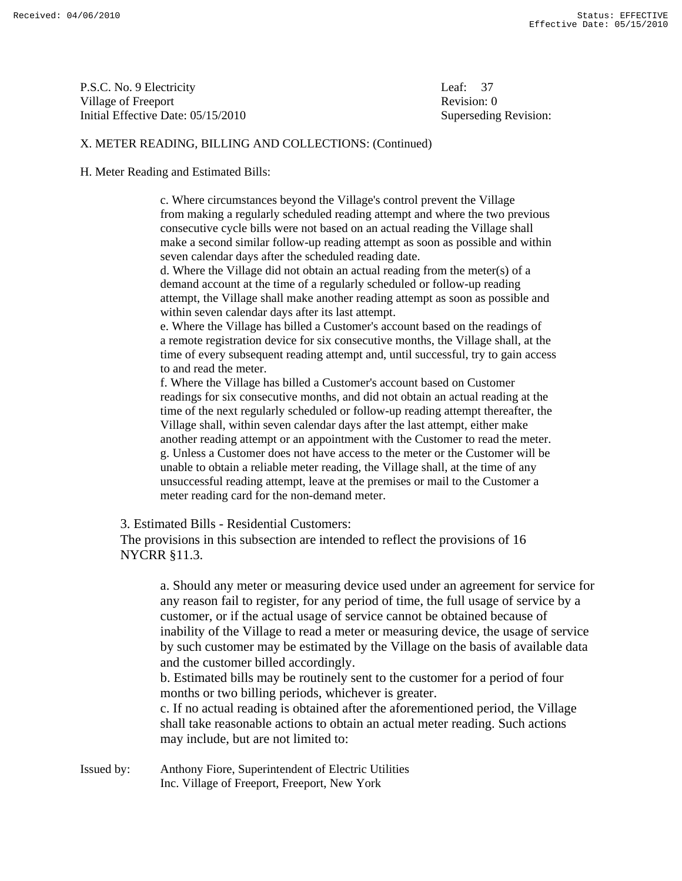P.S.C. No. 9 Electricity Leaf: 37 Village of Freeport **Revision:** 0 Initial Effective Date: 05/15/2010 Superseding Revision:

### X. METER READING, BILLING AND COLLECTIONS: (Continued)

#### H. Meter Reading and Estimated Bills:

 c. Where circumstances beyond the Village's control prevent the Village from making a regularly scheduled reading attempt and where the two previous consecutive cycle bills were not based on an actual reading the Village shall make a second similar follow-up reading attempt as soon as possible and within seven calendar days after the scheduled reading date.

 d. Where the Village did not obtain an actual reading from the meter(s) of a demand account at the time of a regularly scheduled or follow-up reading attempt, the Village shall make another reading attempt as soon as possible and within seven calendar days after its last attempt.

 e. Where the Village has billed a Customer's account based on the readings of a remote registration device for six consecutive months, the Village shall, at the time of every subsequent reading attempt and, until successful, try to gain access to and read the meter.

 f. Where the Village has billed a Customer's account based on Customer readings for six consecutive months, and did not obtain an actual reading at the time of the next regularly scheduled or follow-up reading attempt thereafter, the Village shall, within seven calendar days after the last attempt, either make another reading attempt or an appointment with the Customer to read the meter. g. Unless a Customer does not have access to the meter or the Customer will be unable to obtain a reliable meter reading, the Village shall, at the time of any unsuccessful reading attempt, leave at the premises or mail to the Customer a meter reading card for the non-demand meter.

3. Estimated Bills - Residential Customers:

 The provisions in this subsection are intended to reflect the provisions of 16 NYCRR §11.3.

 a. Should any meter or measuring device used under an agreement for service for any reason fail to register, for any period of time, the full usage of service by a customer, or if the actual usage of service cannot be obtained because of inability of the Village to read a meter or measuring device, the usage of service by such customer may be estimated by the Village on the basis of available data and the customer billed accordingly.

 b. Estimated bills may be routinely sent to the customer for a period of four months or two billing periods, whichever is greater.

 c. If no actual reading is obtained after the aforementioned period, the Village shall take reasonable actions to obtain an actual meter reading. Such actions may include, but are not limited to: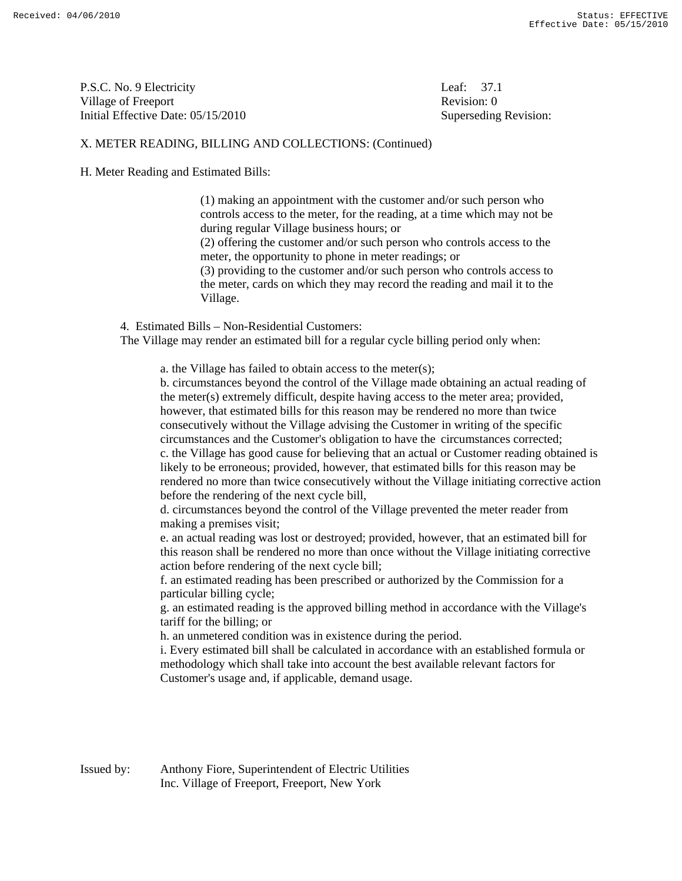P.S.C. No. 9 Electricity Leaf: 37.1 Village of Freeport **Revision:** 0 Initial Effective Date: 05/15/2010 Superseding Revision:

### X. METER READING, BILLING AND COLLECTIONS: (Continued)

H. Meter Reading and Estimated Bills:

 (1) making an appointment with the customer and/or such person who controls access to the meter, for the reading, at a time which may not be during regular Village business hours; or (2) offering the customer and/or such person who controls access to the meter, the opportunity to phone in meter readings; or (3) providing to the customer and/or such person who controls access to the meter, cards on which they may record the reading and mail it to the Village.

4. Estimated Bills – Non-Residential Customers:

The Village may render an estimated bill for a regular cycle billing period only when:

a. the Village has failed to obtain access to the meter(s);

 b. circumstances beyond the control of the Village made obtaining an actual reading of the meter(s) extremely difficult, despite having access to the meter area; provided, however, that estimated bills for this reason may be rendered no more than twice consecutively without the Village advising the Customer in writing of the specific circumstances and the Customer's obligation to have the circumstances corrected; c. the Village has good cause for believing that an actual or Customer reading obtained is likely to be erroneous; provided, however, that estimated bills for this reason may be rendered no more than twice consecutively without the Village initiating corrective action before the rendering of the next cycle bill,

 d. circumstances beyond the control of the Village prevented the meter reader from making a premises visit;

 e. an actual reading was lost or destroyed; provided, however, that an estimated bill for this reason shall be rendered no more than once without the Village initiating corrective action before rendering of the next cycle bill;

 f. an estimated reading has been prescribed or authorized by the Commission for a particular billing cycle;

 g. an estimated reading is the approved billing method in accordance with the Village's tariff for the billing; or

h. an unmetered condition was in existence during the period.

 i. Every estimated bill shall be calculated in accordance with an established formula or methodology which shall take into account the best available relevant factors for Customer's usage and, if applicable, demand usage.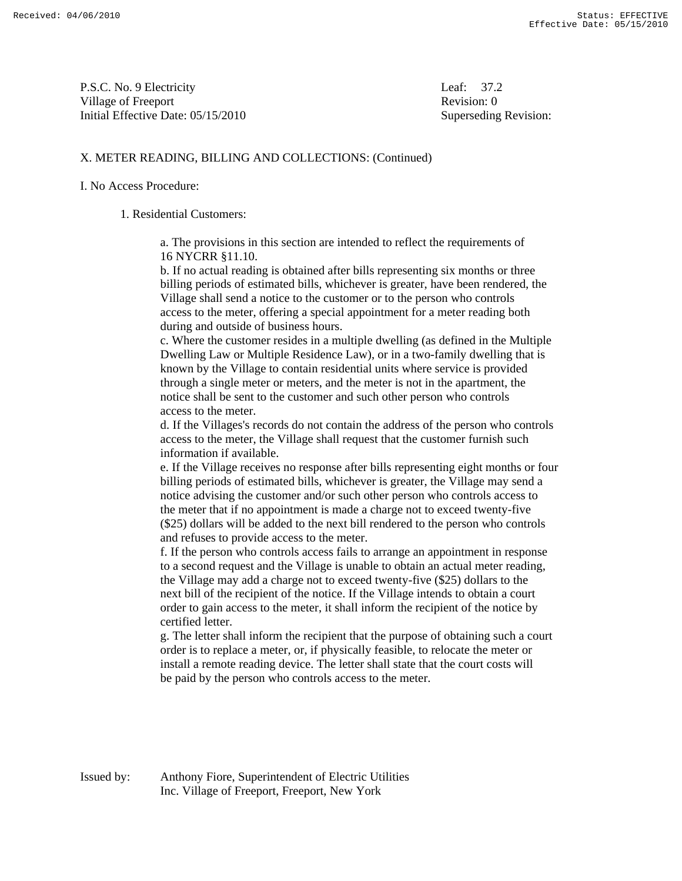P.S.C. No. 9 Electricity Leaf: 37.2 Village of Freeport **Revision:** 0 Initial Effective Date: 05/15/2010 Superseding Revision:

### X. METER READING, BILLING AND COLLECTIONS: (Continued)

#### I. No Access Procedure:

#### 1. Residential Customers:

 a. The provisions in this section are intended to reflect the requirements of 16 NYCRR §11.10.

 b. If no actual reading is obtained after bills representing six months or three billing periods of estimated bills, whichever is greater, have been rendered, the Village shall send a notice to the customer or to the person who controls access to the meter, offering a special appointment for a meter reading both during and outside of business hours.

 c. Where the customer resides in a multiple dwelling (as defined in the Multiple Dwelling Law or Multiple Residence Law), or in a two-family dwelling that is known by the Village to contain residential units where service is provided through a single meter or meters, and the meter is not in the apartment, the notice shall be sent to the customer and such other person who controls access to the meter.

 d. If the Villages's records do not contain the address of the person who controls access to the meter, the Village shall request that the customer furnish such information if available.

 e. If the Village receives no response after bills representing eight months or four billing periods of estimated bills, whichever is greater, the Village may send a notice advising the customer and/or such other person who controls access to the meter that if no appointment is made a charge not to exceed twenty-five (\$25) dollars will be added to the next bill rendered to the person who controls and refuses to provide access to the meter.

 f. If the person who controls access fails to arrange an appointment in response to a second request and the Village is unable to obtain an actual meter reading, the Village may add a charge not to exceed twenty-five (\$25) dollars to the next bill of the recipient of the notice. If the Village intends to obtain a court order to gain access to the meter, it shall inform the recipient of the notice by certified letter.

 g. The letter shall inform the recipient that the purpose of obtaining such a court order is to replace a meter, or, if physically feasible, to relocate the meter or install a remote reading device. The letter shall state that the court costs will be paid by the person who controls access to the meter.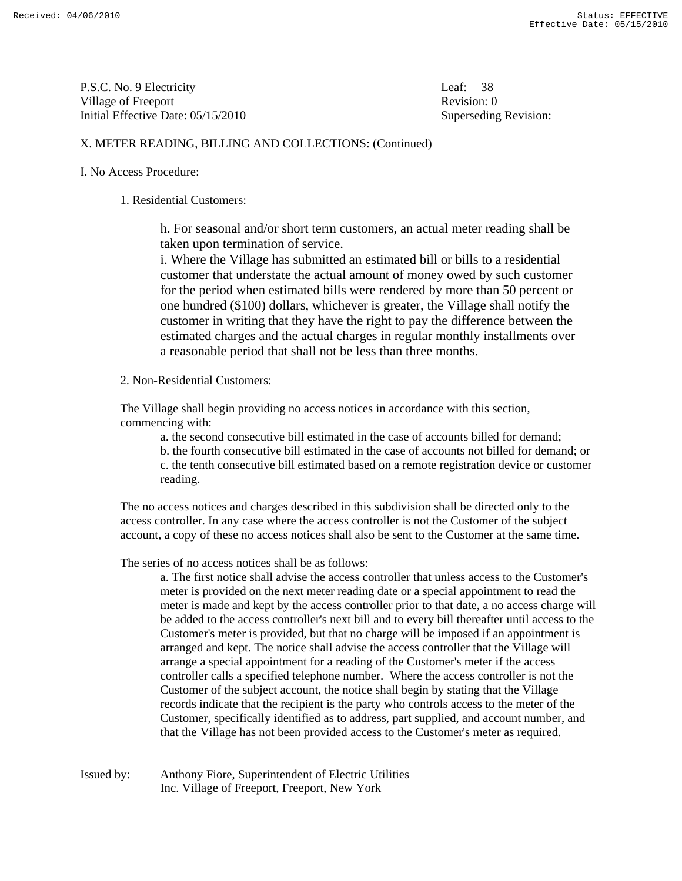P.S.C. No. 9 Electricity Leaf: 38 Village of Freeport **Revision:** 0 Initial Effective Date: 05/15/2010 Superseding Revision:

# X. METER READING, BILLING AND COLLECTIONS: (Continued)

## I. No Access Procedure:

### 1. Residential Customers:

 h. For seasonal and/or short term customers, an actual meter reading shall be taken upon termination of service.

 i. Where the Village has submitted an estimated bill or bills to a residential customer that understate the actual amount of money owed by such customer for the period when estimated bills were rendered by more than 50 percent or one hundred (\$100) dollars, whichever is greater, the Village shall notify the customer in writing that they have the right to pay the difference between the estimated charges and the actual charges in regular monthly installments over a reasonable period that shall not be less than three months.

### 2. Non-Residential Customers:

 The Village shall begin providing no access notices in accordance with this section, commencing with:

a. the second consecutive bill estimated in the case of accounts billed for demand;

 b. the fourth consecutive bill estimated in the case of accounts not billed for demand; or c. the tenth consecutive bill estimated based on a remote registration device or customer reading.

 The no access notices and charges described in this subdivision shall be directed only to the access controller. In any case where the access controller is not the Customer of the subject account, a copy of these no access notices shall also be sent to the Customer at the same time.

The series of no access notices shall be as follows:

 a. The first notice shall advise the access controller that unless access to the Customer's meter is provided on the next meter reading date or a special appointment to read the meter is made and kept by the access controller prior to that date, a no access charge will be added to the access controller's next bill and to every bill thereafter until access to the Customer's meter is provided, but that no charge will be imposed if an appointment is arranged and kept. The notice shall advise the access controller that the Village will arrange a special appointment for a reading of the Customer's meter if the access controller calls a specified telephone number. Where the access controller is not the Customer of the subject account, the notice shall begin by stating that the Village records indicate that the recipient is the party who controls access to the meter of the Customer, specifically identified as to address, part supplied, and account number, and that the Village has not been provided access to the Customer's meter as required.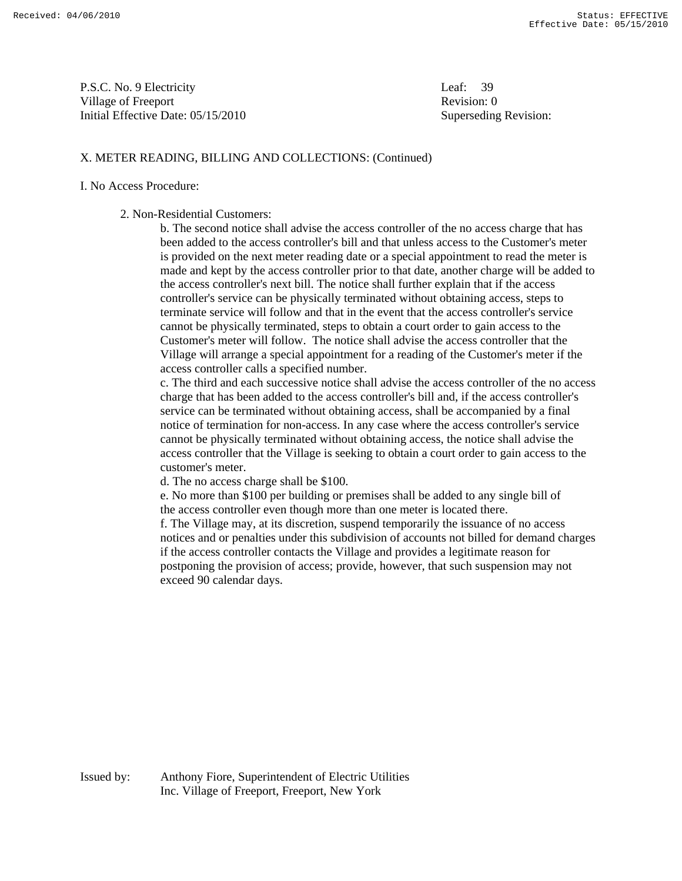P.S.C. No. 9 Electricity Leaf: 39 Village of Freeport **Revision:** 0 Initial Effective Date: 05/15/2010 Superseding Revision:

### X. METER READING, BILLING AND COLLECTIONS: (Continued)

#### I. No Access Procedure:

2. Non-Residential Customers:

 b. The second notice shall advise the access controller of the no access charge that has been added to the access controller's bill and that unless access to the Customer's meter is provided on the next meter reading date or a special appointment to read the meter is made and kept by the access controller prior to that date, another charge will be added to the access controller's next bill. The notice shall further explain that if the access controller's service can be physically terminated without obtaining access, steps to terminate service will follow and that in the event that the access controller's service cannot be physically terminated, steps to obtain a court order to gain access to the Customer's meter will follow. The notice shall advise the access controller that the Village will arrange a special appointment for a reading of the Customer's meter if the access controller calls a specified number.

 c. The third and each successive notice shall advise the access controller of the no access charge that has been added to the access controller's bill and, if the access controller's service can be terminated without obtaining access, shall be accompanied by a final notice of termination for non-access. In any case where the access controller's service cannot be physically terminated without obtaining access, the notice shall advise the access controller that the Village is seeking to obtain a court order to gain access to the customer's meter.

d. The no access charge shall be \$100.

 e. No more than \$100 per building or premises shall be added to any single bill of the access controller even though more than one meter is located there. f. The Village may, at its discretion, suspend temporarily the issuance of no access notices and or penalties under this subdivision of accounts not billed for demand charges if the access controller contacts the Village and provides a legitimate reason for postponing the provision of access; provide, however, that such suspension may not exceed 90 calendar days.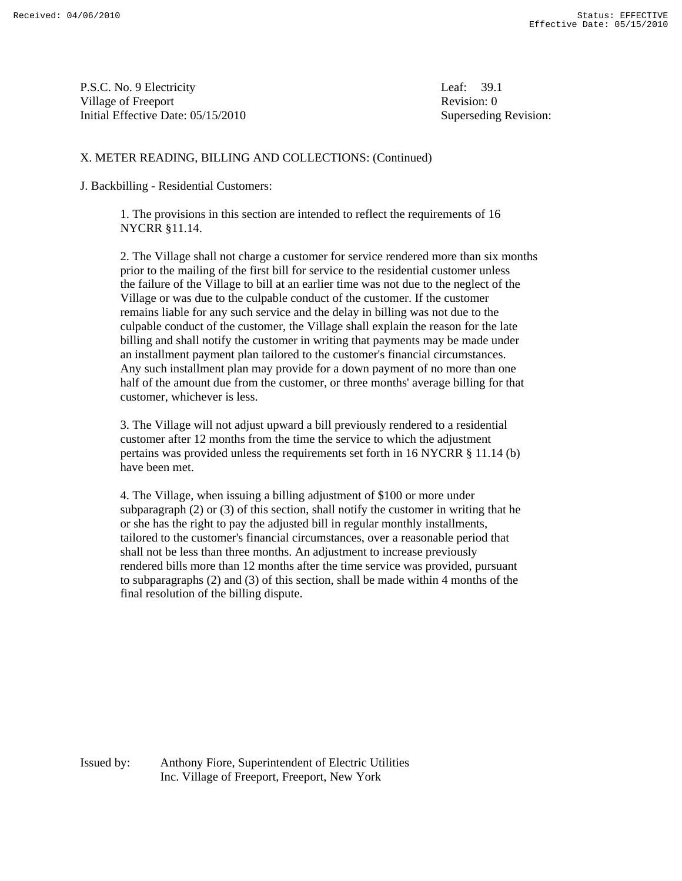P.S.C. No. 9 Electricity Leaf: 39.1 Village of Freeport **Revision:** 0 Initial Effective Date: 05/15/2010 Superseding Revision:

### X. METER READING, BILLING AND COLLECTIONS: (Continued)

J. Backbilling - Residential Customers:

 1. The provisions in this section are intended to reflect the requirements of 16 NYCRR §11.14.

 2. The Village shall not charge a customer for service rendered more than six months prior to the mailing of the first bill for service to the residential customer unless the failure of the Village to bill at an earlier time was not due to the neglect of the Village or was due to the culpable conduct of the customer. If the customer remains liable for any such service and the delay in billing was not due to the culpable conduct of the customer, the Village shall explain the reason for the late billing and shall notify the customer in writing that payments may be made under an installment payment plan tailored to the customer's financial circumstances. Any such installment plan may provide for a down payment of no more than one half of the amount due from the customer, or three months' average billing for that customer, whichever is less.

 3. The Village will not adjust upward a bill previously rendered to a residential customer after 12 months from the time the service to which the adjustment pertains was provided unless the requirements set forth in 16 NYCRR § 11.14 (b) have been met.

 4. The Village, when issuing a billing adjustment of \$100 or more under subparagraph (2) or (3) of this section, shall notify the customer in writing that he or she has the right to pay the adjusted bill in regular monthly installments, tailored to the customer's financial circumstances, over a reasonable period that shall not be less than three months. An adjustment to increase previously rendered bills more than 12 months after the time service was provided, pursuant to subparagraphs (2) and (3) of this section, shall be made within 4 months of the final resolution of the billing dispute.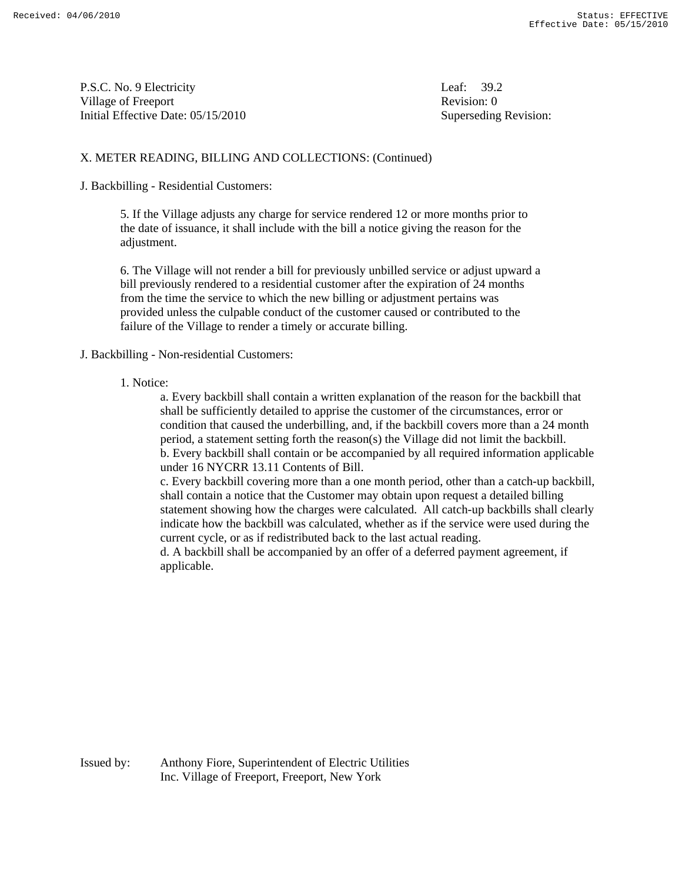P.S.C. No. 9 Electricity Leaf: 39.2 Village of Freeport **Revision:** 0 Initial Effective Date: 05/15/2010 Superseding Revision:

# X. METER READING, BILLING AND COLLECTIONS: (Continued)

### J. Backbilling - Residential Customers:

5. If the Village adjusts any charge for service rendered 12 or more months prior to the date of issuance, it shall include with the bill a notice giving the reason for the adjustment.

 6. The Village will not render a bill for previously unbilled service or adjust upward a bill previously rendered to a residential customer after the expiration of 24 months from the time the service to which the new billing or adjustment pertains was provided unless the culpable conduct of the customer caused or contributed to the failure of the Village to render a timely or accurate billing.

### J. Backbilling - Non-residential Customers:

#### 1. Notice:

 a. Every backbill shall contain a written explanation of the reason for the backbill that shall be sufficiently detailed to apprise the customer of the circumstances, error or condition that caused the underbilling, and, if the backbill covers more than a 24 month period, a statement setting forth the reason(s) the Village did not limit the backbill. b. Every backbill shall contain or be accompanied by all required information applicable under 16 NYCRR 13.11 Contents of Bill.

 c. Every backbill covering more than a one month period, other than a catch-up backbill, shall contain a notice that the Customer may obtain upon request a detailed billing statement showing how the charges were calculated. All catch-up backbills shall clearly indicate how the backbill was calculated, whether as if the service were used during the current cycle, or as if redistributed back to the last actual reading.

 d. A backbill shall be accompanied by an offer of a deferred payment agreement, if applicable.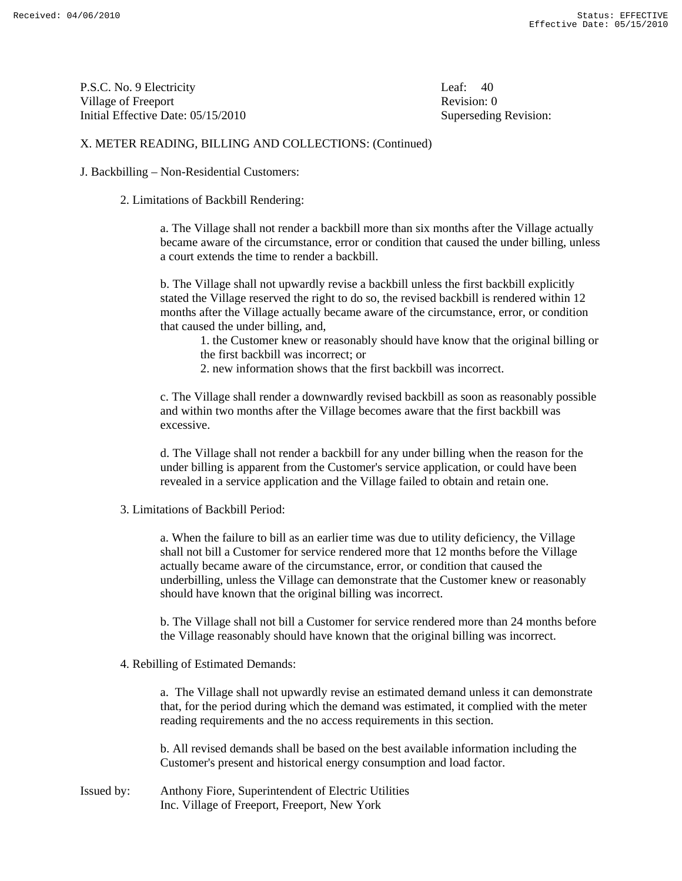P.S.C. No. 9 Electricity Leaf: 40 Village of Freeport **Revision:** 0 Initial Effective Date: 05/15/2010 Superseding Revision:

## X. METER READING, BILLING AND COLLECTIONS: (Continued)

J. Backbilling – Non-Residential Customers:

2. Limitations of Backbill Rendering:

 a. The Village shall not render a backbill more than six months after the Village actually became aware of the circumstance, error or condition that caused the under billing, unless a court extends the time to render a backbill.

 b. The Village shall not upwardly revise a backbill unless the first backbill explicitly stated the Village reserved the right to do so, the revised backbill is rendered within 12 months after the Village actually became aware of the circumstance, error, or condition that caused the under billing, and,

 1. the Customer knew or reasonably should have know that the original billing or the first backbill was incorrect; or

2. new information shows that the first backbill was incorrect.

 c. The Village shall render a downwardly revised backbill as soon as reasonably possible and within two months after the Village becomes aware that the first backbill was excessive.

 d. The Village shall not render a backbill for any under billing when the reason for the under billing is apparent from the Customer's service application, or could have been revealed in a service application and the Village failed to obtain and retain one.

3. Limitations of Backbill Period:

 a. When the failure to bill as an earlier time was due to utility deficiency, the Village shall not bill a Customer for service rendered more that 12 months before the Village actually became aware of the circumstance, error, or condition that caused the underbilling, unless the Village can demonstrate that the Customer knew or reasonably should have known that the original billing was incorrect.

 b. The Village shall not bill a Customer for service rendered more than 24 months before the Village reasonably should have known that the original billing was incorrect.

4. Rebilling of Estimated Demands:

 a. The Village shall not upwardly revise an estimated demand unless it can demonstrate that, for the period during which the demand was estimated, it complied with the meter reading requirements and the no access requirements in this section.

 b. All revised demands shall be based on the best available information including the Customer's present and historical energy consumption and load factor.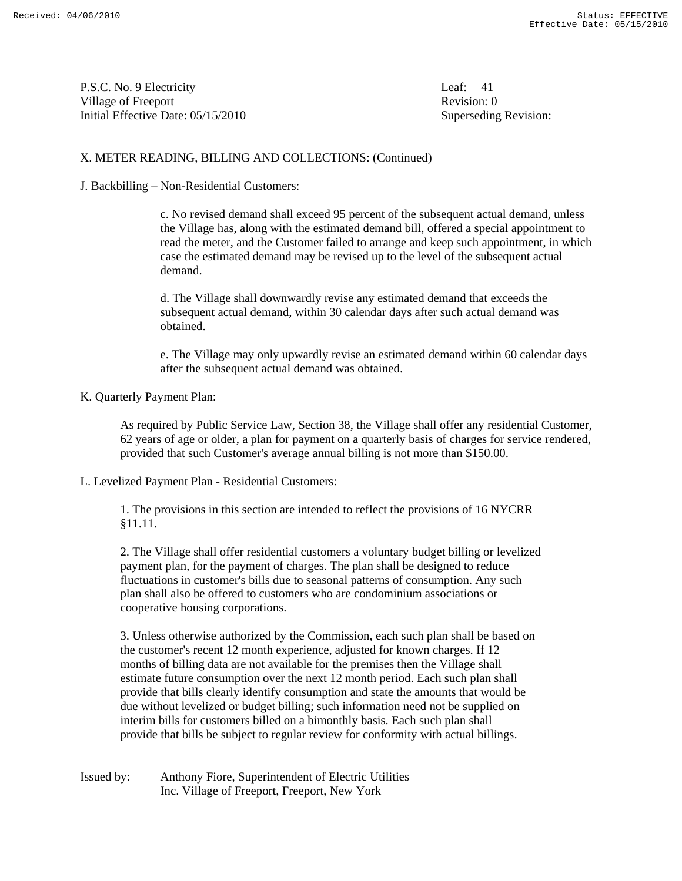P.S.C. No. 9 Electricity Leaf: 41 Village of Freeport **Revision:** 0 Initial Effective Date: 05/15/2010 Superseding Revision:

# X. METER READING, BILLING AND COLLECTIONS: (Continued)

J. Backbilling – Non-Residential Customers:

 c. No revised demand shall exceed 95 percent of the subsequent actual demand, unless the Village has, along with the estimated demand bill, offered a special appointment to read the meter, and the Customer failed to arrange and keep such appointment, in which case the estimated demand may be revised up to the level of the subsequent actual demand.

 d. The Village shall downwardly revise any estimated demand that exceeds the subsequent actual demand, within 30 calendar days after such actual demand was obtained.

 e. The Village may only upwardly revise an estimated demand within 60 calendar days after the subsequent actual demand was obtained.

K. Quarterly Payment Plan:

 As required by Public Service Law, Section 38, the Village shall offer any residential Customer, 62 years of age or older, a plan for payment on a quarterly basis of charges for service rendered, provided that such Customer's average annual billing is not more than \$150.00.

#### L. Levelized Payment Plan - Residential Customers:

 1. The provisions in this section are intended to reflect the provisions of 16 NYCRR §11.11.

 2. The Village shall offer residential customers a voluntary budget billing or levelized payment plan, for the payment of charges. The plan shall be designed to reduce fluctuations in customer's bills due to seasonal patterns of consumption. Any such plan shall also be offered to customers who are condominium associations or cooperative housing corporations.

 3. Unless otherwise authorized by the Commission, each such plan shall be based on the customer's recent 12 month experience, adjusted for known charges. If 12 months of billing data are not available for the premises then the Village shall estimate future consumption over the next 12 month period. Each such plan shall provide that bills clearly identify consumption and state the amounts that would be due without levelized or budget billing; such information need not be supplied on interim bills for customers billed on a bimonthly basis. Each such plan shall provide that bills be subject to regular review for conformity with actual billings.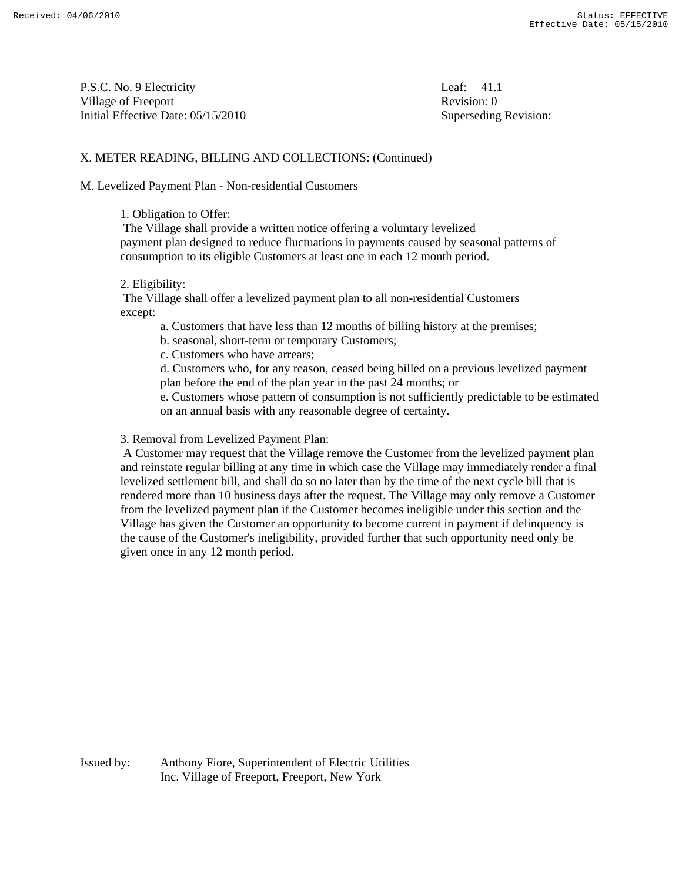P.S.C. No. 9 Electricity Leaf: 41.1 Village of Freeport **Revision:** 0 Initial Effective Date: 05/15/2010 Superseding Revision:

## X. METER READING, BILLING AND COLLECTIONS: (Continued)

M. Levelized Payment Plan - Non-residential Customers

#### 1. Obligation to Offer:

 The Village shall provide a written notice offering a voluntary levelized payment plan designed to reduce fluctuations in payments caused by seasonal patterns of consumption to its eligible Customers at least one in each 12 month period.

#### 2. Eligibility:

 The Village shall offer a levelized payment plan to all non-residential Customers except:

a. Customers that have less than 12 months of billing history at the premises;

b. seasonal, short-term or temporary Customers;

c. Customers who have arrears;

 d. Customers who, for any reason, ceased being billed on a previous levelized payment plan before the end of the plan year in the past 24 months; or

 e. Customers whose pattern of consumption is not sufficiently predictable to be estimated on an annual basis with any reasonable degree of certainty.

#### 3. Removal from Levelized Payment Plan:

 A Customer may request that the Village remove the Customer from the levelized payment plan and reinstate regular billing at any time in which case the Village may immediately render a final levelized settlement bill, and shall do so no later than by the time of the next cycle bill that is rendered more than 10 business days after the request. The Village may only remove a Customer from the levelized payment plan if the Customer becomes ineligible under this section and the Village has given the Customer an opportunity to become current in payment if delinquency is the cause of the Customer's ineligibility, provided further that such opportunity need only be given once in any 12 month period.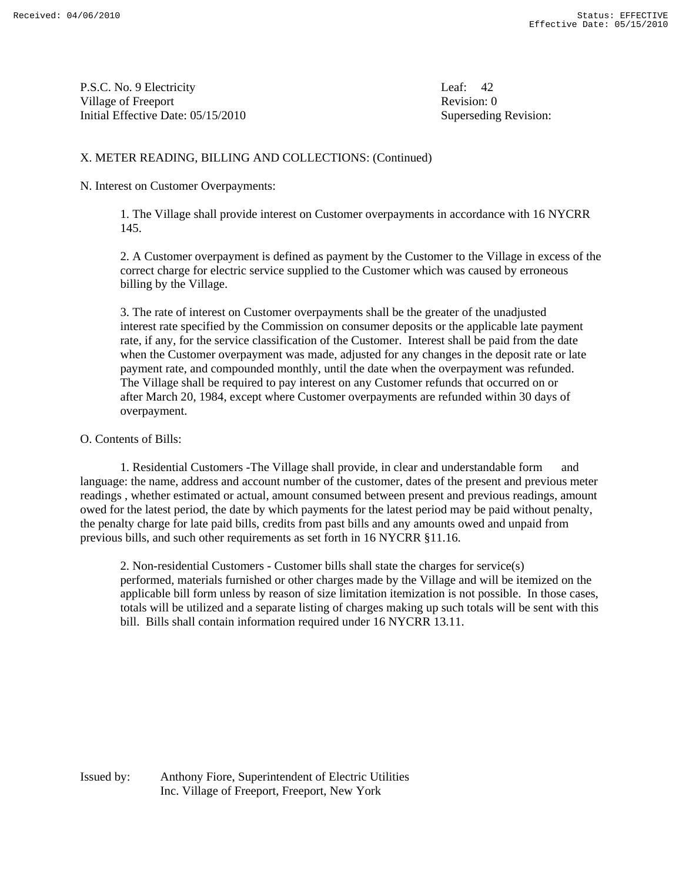P.S.C. No. 9 Electricity Leaf: 42 Village of Freeport **Revision:** 0 Initial Effective Date: 05/15/2010 Superseding Revision:

## X. METER READING, BILLING AND COLLECTIONS: (Continued)

#### N. Interest on Customer Overpayments:

 1. The Village shall provide interest on Customer overpayments in accordance with 16 NYCRR 145.

 2. A Customer overpayment is defined as payment by the Customer to the Village in excess of the correct charge for electric service supplied to the Customer which was caused by erroneous billing by the Village.

 3. The rate of interest on Customer overpayments shall be the greater of the unadjusted interest rate specified by the Commission on consumer deposits or the applicable late payment rate, if any, for the service classification of the Customer. Interest shall be paid from the date when the Customer overpayment was made, adjusted for any changes in the deposit rate or late payment rate, and compounded monthly, until the date when the overpayment was refunded. The Village shall be required to pay interest on any Customer refunds that occurred on or after March 20, 1984, except where Customer overpayments are refunded within 30 days of overpayment.

### O. Contents of Bills:

1. Residential Customers -The Village shall provide, in clear and understandable form and language: the name, address and account number of the customer, dates of the present and previous meter readings , whether estimated or actual, amount consumed between present and previous readings, amount owed for the latest period, the date by which payments for the latest period may be paid without penalty, the penalty charge for late paid bills, credits from past bills and any amounts owed and unpaid from previous bills, and such other requirements as set forth in 16 NYCRR §11.16.

 2. Non-residential Customers - Customer bills shall state the charges for service(s) performed, materials furnished or other charges made by the Village and will be itemized on the applicable bill form unless by reason of size limitation itemization is not possible. In those cases, totals will be utilized and a separate listing of charges making up such totals will be sent with this bill. Bills shall contain information required under 16 NYCRR 13.11.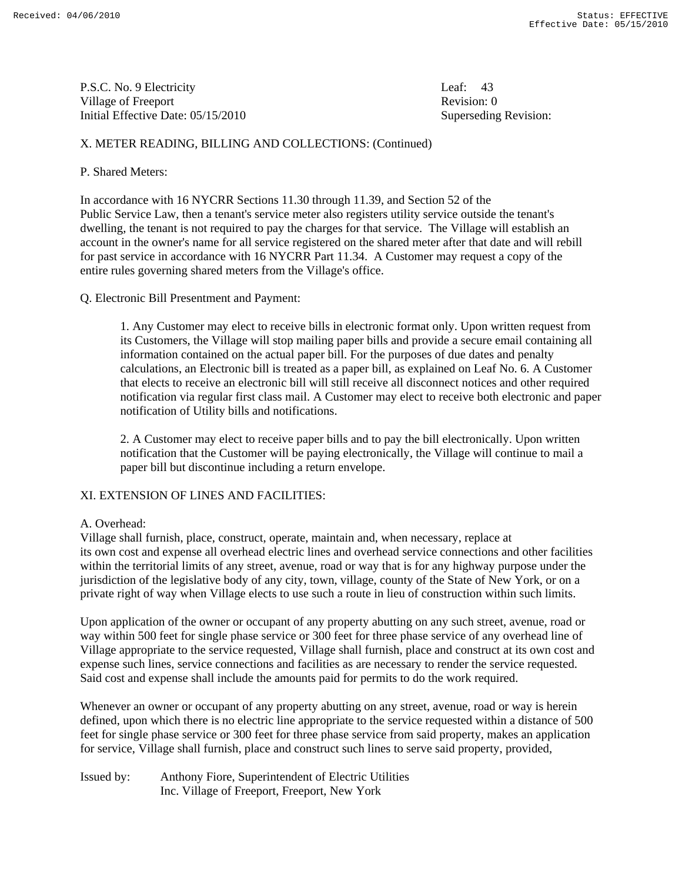P.S.C. No. 9 Electricity Leaf: 43 Village of Freeport **Revision:** 0 Initial Effective Date: 05/15/2010 Superseding Revision:

# X. METER READING, BILLING AND COLLECTIONS: (Continued)

# P. Shared Meters:

In accordance with 16 NYCRR Sections 11.30 through 11.39, and Section 52 of the Public Service Law, then a tenant's service meter also registers utility service outside the tenant's dwelling, the tenant is not required to pay the charges for that service. The Village will establish an account in the owner's name for all service registered on the shared meter after that date and will rebill for past service in accordance with 16 NYCRR Part 11.34. A Customer may request a copy of the entire rules governing shared meters from the Village's office.

Q. Electronic Bill Presentment and Payment:

 1. Any Customer may elect to receive bills in electronic format only. Upon written request from its Customers, the Village will stop mailing paper bills and provide a secure email containing all information contained on the actual paper bill. For the purposes of due dates and penalty calculations, an Electronic bill is treated as a paper bill, as explained on Leaf No. 6. A Customer that elects to receive an electronic bill will still receive all disconnect notices and other required notification via regular first class mail. A Customer may elect to receive both electronic and paper notification of Utility bills and notifications.

 2. A Customer may elect to receive paper bills and to pay the bill electronically. Upon written notification that the Customer will be paying electronically, the Village will continue to mail a paper bill but discontinue including a return envelope.

# XI. EXTENSION OF LINES AND FACILITIES:

#### A. Overhead:

Village shall furnish, place, construct, operate, maintain and, when necessary, replace at its own cost and expense all overhead electric lines and overhead service connections and other facilities within the territorial limits of any street, avenue, road or way that is for any highway purpose under the jurisdiction of the legislative body of any city, town, village, county of the State of New York, or on a private right of way when Village elects to use such a route in lieu of construction within such limits.

Upon application of the owner or occupant of any property abutting on any such street, avenue, road or way within 500 feet for single phase service or 300 feet for three phase service of any overhead line of Village appropriate to the service requested, Village shall furnish, place and construct at its own cost and expense such lines, service connections and facilities as are necessary to render the service requested. Said cost and expense shall include the amounts paid for permits to do the work required.

Whenever an owner or occupant of any property abutting on any street, avenue, road or way is herein defined, upon which there is no electric line appropriate to the service requested within a distance of 500 feet for single phase service or 300 feet for three phase service from said property, makes an application for service, Village shall furnish, place and construct such lines to serve said property, provided,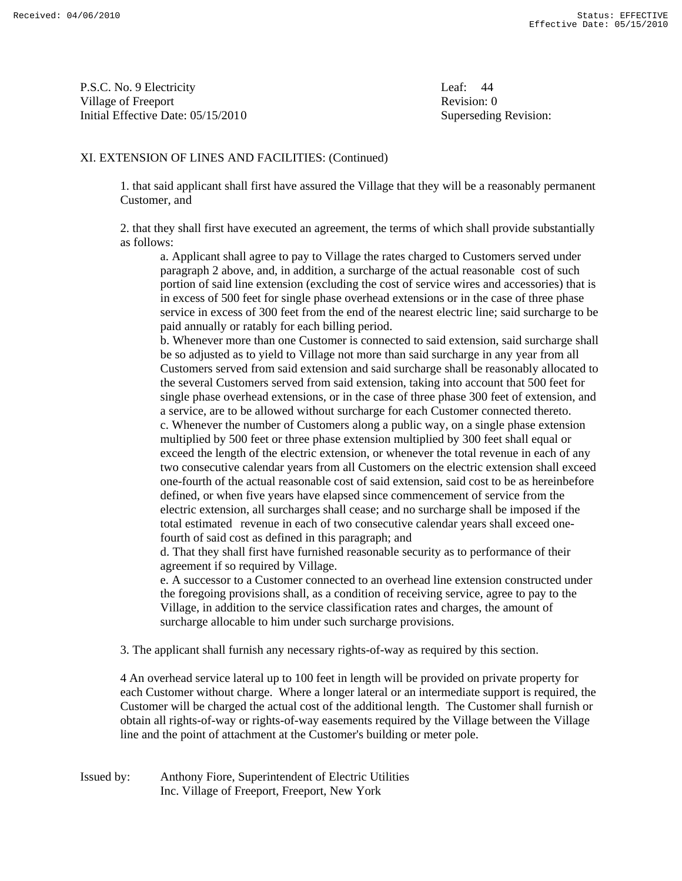P.S.C. No. 9 Electricity Leaf: 44 Village of Freeport **Revision:** 0 Initial Effective Date: 05/15/2010 Superseding Revision:

### XI. EXTENSION OF LINES AND FACILITIES: (Continued)

 1. that said applicant shall first have assured the Village that they will be a reasonably permanent Customer, and

 2. that they shall first have executed an agreement, the terms of which shall provide substantially as follows:

 a. Applicant shall agree to pay to Village the rates charged to Customers served under paragraph 2 above, and, in addition, a surcharge of the actual reasonable cost of such portion of said line extension (excluding the cost of service wires and accessories) that is in excess of 500 feet for single phase overhead extensions or in the case of three phase service in excess of 300 feet from the end of the nearest electric line; said surcharge to be paid annually or ratably for each billing period.

 b. Whenever more than one Customer is connected to said extension, said surcharge shall be so adjusted as to yield to Village not more than said surcharge in any year from all Customers served from said extension and said surcharge shall be reasonably allocated to the several Customers served from said extension, taking into account that 500 feet for single phase overhead extensions, or in the case of three phase 300 feet of extension, and a service, are to be allowed without surcharge for each Customer connected thereto. c. Whenever the number of Customers along a public way, on a single phase extension multiplied by 500 feet or three phase extension multiplied by 300 feet shall equal or exceed the length of the electric extension, or whenever the total revenue in each of any two consecutive calendar years from all Customers on the electric extension shall exceed one-fourth of the actual reasonable cost of said extension, said cost to be as hereinbefore defined, or when five years have elapsed since commencement of service from the electric extension, all surcharges shall cease; and no surcharge shall be imposed if the total estimated revenue in each of two consecutive calendar years shall exceed one fourth of said cost as defined in this paragraph; and

 d. That they shall first have furnished reasonable security as to performance of their agreement if so required by Village.

 e. A successor to a Customer connected to an overhead line extension constructed under the foregoing provisions shall, as a condition of receiving service, agree to pay to the Village, in addition to the service classification rates and charges, the amount of surcharge allocable to him under such surcharge provisions.

3. The applicant shall furnish any necessary rights-of-way as required by this section.

 4 An overhead service lateral up to 100 feet in length will be provided on private property for each Customer without charge. Where a longer lateral or an intermediate support is required, the Customer will be charged the actual cost of the additional length. The Customer shall furnish or obtain all rights-of-way or rights-of-way easements required by the Village between the Village line and the point of attachment at the Customer's building or meter pole.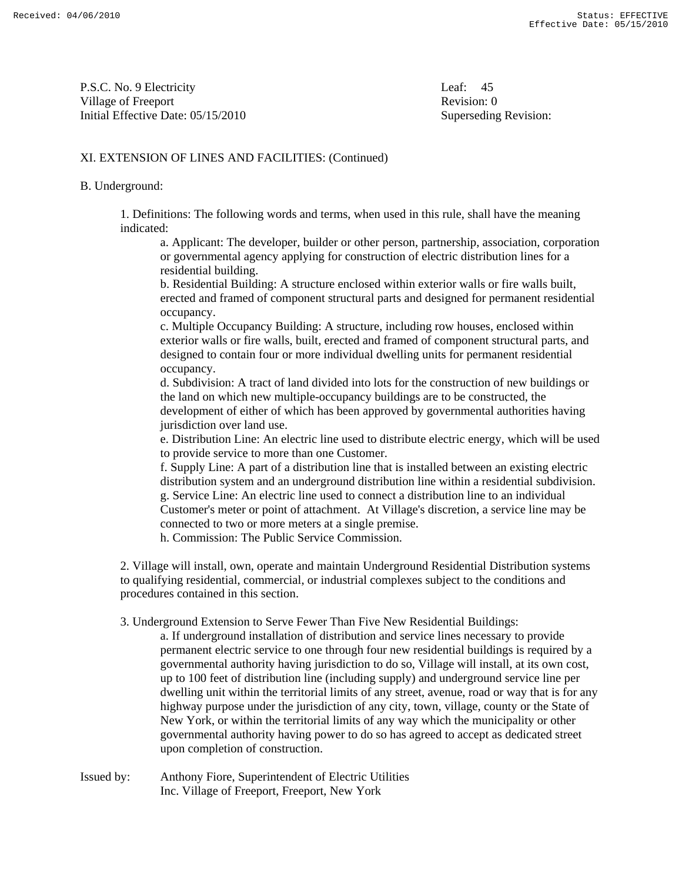P.S.C. No. 9 Electricity Leaf: 45 Village of Freeport **Revision:** 0 Initial Effective Date: 05/15/2010 Superseding Revision:

## XI. EXTENSION OF LINES AND FACILITIES: (Continued)

#### B. Underground:

 1. Definitions: The following words and terms, when used in this rule, shall have the meaning indicated:

 a. Applicant: The developer, builder or other person, partnership, association, corporation or governmental agency applying for construction of electric distribution lines for a residential building.

 b. Residential Building: A structure enclosed within exterior walls or fire walls built, erected and framed of component structural parts and designed for permanent residential occupancy.

 c. Multiple Occupancy Building: A structure, including row houses, enclosed within exterior walls or fire walls, built, erected and framed of component structural parts, and designed to contain four or more individual dwelling units for permanent residential occupancy.

 d. Subdivision: A tract of land divided into lots for the construction of new buildings or the land on which new multiple-occupancy buildings are to be constructed, the development of either of which has been approved by governmental authorities having jurisdiction over land use.

 e. Distribution Line: An electric line used to distribute electric energy, which will be used to provide service to more than one Customer.

 f. Supply Line: A part of a distribution line that is installed between an existing electric distribution system and an underground distribution line within a residential subdivision. g. Service Line: An electric line used to connect a distribution line to an individual Customer's meter or point of attachment. At Village's discretion, a service line may be connected to two or more meters at a single premise.

h. Commission: The Public Service Commission.

 2. Village will install, own, operate and maintain Underground Residential Distribution systems to qualifying residential, commercial, or industrial complexes subject to the conditions and procedures contained in this section.

3. Underground Extension to Serve Fewer Than Five New Residential Buildings:

 a. If underground installation of distribution and service lines necessary to provide permanent electric service to one through four new residential buildings is required by a governmental authority having jurisdiction to do so, Village will install, at its own cost, up to 100 feet of distribution line (including supply) and underground service line per dwelling unit within the territorial limits of any street, avenue, road or way that is for any highway purpose under the jurisdiction of any city, town, village, county or the State of New York, or within the territorial limits of any way which the municipality or other governmental authority having power to do so has agreed to accept as dedicated street upon completion of construction.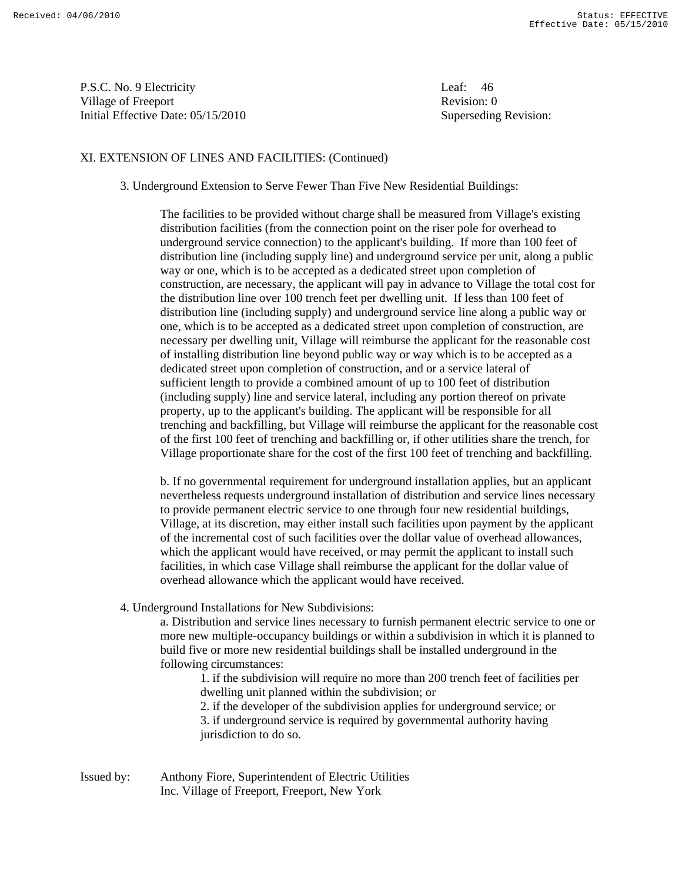P.S.C. No. 9 Electricity Leaf: 46 Village of Freeport **Revision:** 0 Initial Effective Date: 05/15/2010 Superseding Revision:

### XI. EXTENSION OF LINES AND FACILITIES: (Continued)

3. Underground Extension to Serve Fewer Than Five New Residential Buildings:

 The facilities to be provided without charge shall be measured from Village's existing distribution facilities (from the connection point on the riser pole for overhead to underground service connection) to the applicant's building. If more than 100 feet of distribution line (including supply line) and underground service per unit, along a public way or one, which is to be accepted as a dedicated street upon completion of construction, are necessary, the applicant will pay in advance to Village the total cost for the distribution line over 100 trench feet per dwelling unit. If less than 100 feet of distribution line (including supply) and underground service line along a public way or one, which is to be accepted as a dedicated street upon completion of construction, are necessary per dwelling unit, Village will reimburse the applicant for the reasonable cost of installing distribution line beyond public way or way which is to be accepted as a dedicated street upon completion of construction, and or a service lateral of sufficient length to provide a combined amount of up to 100 feet of distribution (including supply) line and service lateral, including any portion thereof on private property, up to the applicant's building. The applicant will be responsible for all trenching and backfilling, but Village will reimburse the applicant for the reasonable cost of the first 100 feet of trenching and backfilling or, if other utilities share the trench, for Village proportionate share for the cost of the first 100 feet of trenching and backfilling.

 b. If no governmental requirement for underground installation applies, but an applicant nevertheless requests underground installation of distribution and service lines necessary to provide permanent electric service to one through four new residential buildings, Village, at its discretion, may either install such facilities upon payment by the applicant of the incremental cost of such facilities over the dollar value of overhead allowances, which the applicant would have received, or may permit the applicant to install such facilities, in which case Village shall reimburse the applicant for the dollar value of overhead allowance which the applicant would have received.

4. Underground Installations for New Subdivisions:

 a. Distribution and service lines necessary to furnish permanent electric service to one or more new multiple-occupancy buildings or within a subdivision in which it is planned to build five or more new residential buildings shall be installed underground in the following circumstances:

 1. if the subdivision will require no more than 200 trench feet of facilities per dwelling unit planned within the subdivision; or

 2. if the developer of the subdivision applies for underground service; or 3. if underground service is required by governmental authority having jurisdiction to do so.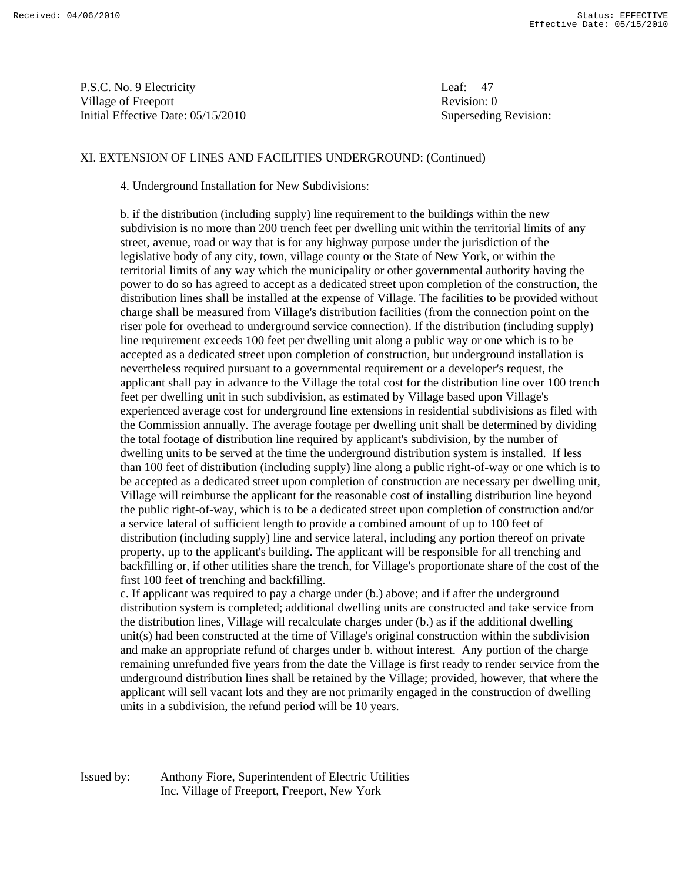P.S.C. No. 9 Electricity Leaf: 47 Village of Freeport **Revision:** 0 Initial Effective Date: 05/15/2010 Superseding Revision:

### XI. EXTENSION OF LINES AND FACILITIES UNDERGROUND: (Continued)

4. Underground Installation for New Subdivisions:

 b. if the distribution (including supply) line requirement to the buildings within the new subdivision is no more than 200 trench feet per dwelling unit within the territorial limits of any street, avenue, road or way that is for any highway purpose under the jurisdiction of the legislative body of any city, town, village county or the State of New York, or within the territorial limits of any way which the municipality or other governmental authority having the power to do so has agreed to accept as a dedicated street upon completion of the construction, the distribution lines shall be installed at the expense of Village. The facilities to be provided without charge shall be measured from Village's distribution facilities (from the connection point on the riser pole for overhead to underground service connection). If the distribution (including supply) line requirement exceeds 100 feet per dwelling unit along a public way or one which is to be accepted as a dedicated street upon completion of construction, but underground installation is nevertheless required pursuant to a governmental requirement or a developer's request, the applicant shall pay in advance to the Village the total cost for the distribution line over 100 trench feet per dwelling unit in such subdivision, as estimated by Village based upon Village's experienced average cost for underground line extensions in residential subdivisions as filed with the Commission annually. The average footage per dwelling unit shall be determined by dividing the total footage of distribution line required by applicant's subdivision, by the number of dwelling units to be served at the time the underground distribution system is installed. If less than 100 feet of distribution (including supply) line along a public right-of-way or one which is to be accepted as a dedicated street upon completion of construction are necessary per dwelling unit, Village will reimburse the applicant for the reasonable cost of installing distribution line beyond the public right-of-way, which is to be a dedicated street upon completion of construction and/or a service lateral of sufficient length to provide a combined amount of up to 100 feet of distribution (including supply) line and service lateral, including any portion thereof on private property, up to the applicant's building. The applicant will be responsible for all trenching and backfilling or, if other utilities share the trench, for Village's proportionate share of the cost of the first 100 feet of trenching and backfilling.

 c. If applicant was required to pay a charge under (b.) above; and if after the underground distribution system is completed; additional dwelling units are constructed and take service from the distribution lines, Village will recalculate charges under (b.) as if the additional dwelling unit(s) had been constructed at the time of Village's original construction within the subdivision and make an appropriate refund of charges under b. without interest. Any portion of the charge remaining unrefunded five years from the date the Village is first ready to render service from the underground distribution lines shall be retained by the Village; provided, however, that where the applicant will sell vacant lots and they are not primarily engaged in the construction of dwelling units in a subdivision, the refund period will be 10 years.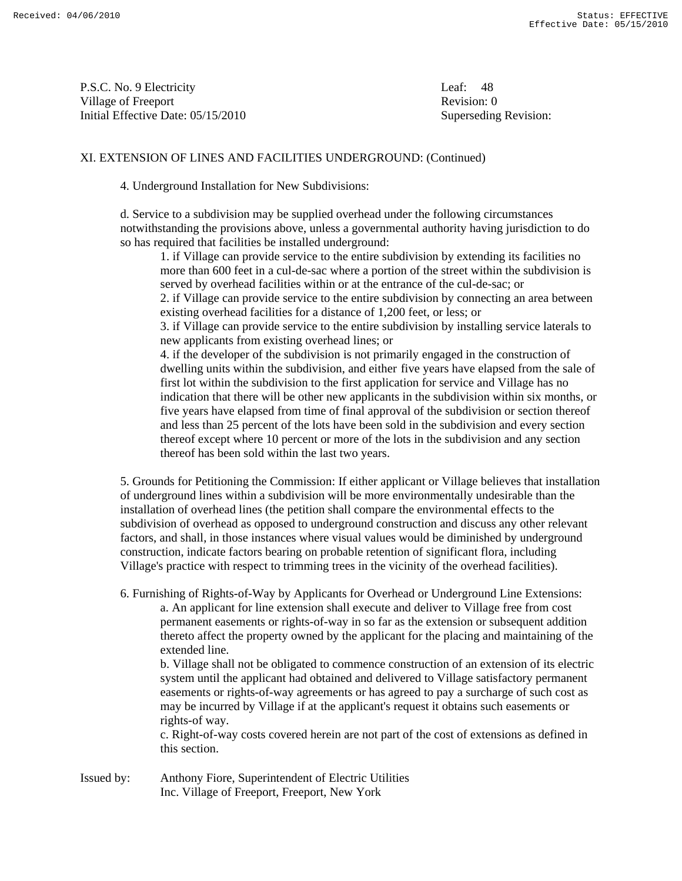P.S.C. No. 9 Electricity Leaf: 48 Village of Freeport **Revision:** 0 Initial Effective Date: 05/15/2010 Superseding Revision:

# XI. EXTENSION OF LINES AND FACILITIES UNDERGROUND: (Continued)

4. Underground Installation for New Subdivisions:

 d. Service to a subdivision may be supplied overhead under the following circumstances notwithstanding the provisions above, unless a governmental authority having jurisdiction to do so has required that facilities be installed underground:

 1. if Village can provide service to the entire subdivision by extending its facilities no more than 600 feet in a cul-de-sac where a portion of the street within the subdivision is served by overhead facilities within or at the entrance of the cul-de-sac; or 2. if Village can provide service to the entire subdivision by connecting an area between existing overhead facilities for a distance of 1,200 feet, or less; or 3. if Village can provide service to the entire subdivision by installing service laterals to new applicants from existing overhead lines; or 4. if the developer of the subdivision is not primarily engaged in the construction of dwelling units within the subdivision, and either five years have elapsed from the sale of first lot within the subdivision to the first application for service and Village has no indication that there will be other new applicants in the subdivision within six months, or five years have elapsed from time of final approval of the subdivision or section thereof and less than 25 percent of the lots have been sold in the subdivision and every section thereof except where 10 percent or more of the lots in the subdivision and any section thereof has been sold within the last two years.

 5. Grounds for Petitioning the Commission: If either applicant or Village believes that installation of underground lines within a subdivision will be more environmentally undesirable than the installation of overhead lines (the petition shall compare the environmental effects to the subdivision of overhead as opposed to underground construction and discuss any other relevant factors, and shall, in those instances where visual values would be diminished by underground construction, indicate factors bearing on probable retention of significant flora, including Village's practice with respect to trimming trees in the vicinity of the overhead facilities).

 6. Furnishing of Rights-of-Way by Applicants for Overhead or Underground Line Extensions: a. An applicant for line extension shall execute and deliver to Village free from cost permanent easements or rights-of-way in so far as the extension or subsequent addition thereto affect the property owned by the applicant for the placing and maintaining of the extended line.

 b. Village shall not be obligated to commence construction of an extension of its electric system until the applicant had obtained and delivered to Village satisfactory permanent easements or rights-of-way agreements or has agreed to pay a surcharge of such cost as may be incurred by Village if at the applicant's request it obtains such easements or rights-of way.

 c. Right-of-way costs covered herein are not part of the cost of extensions as defined in this section.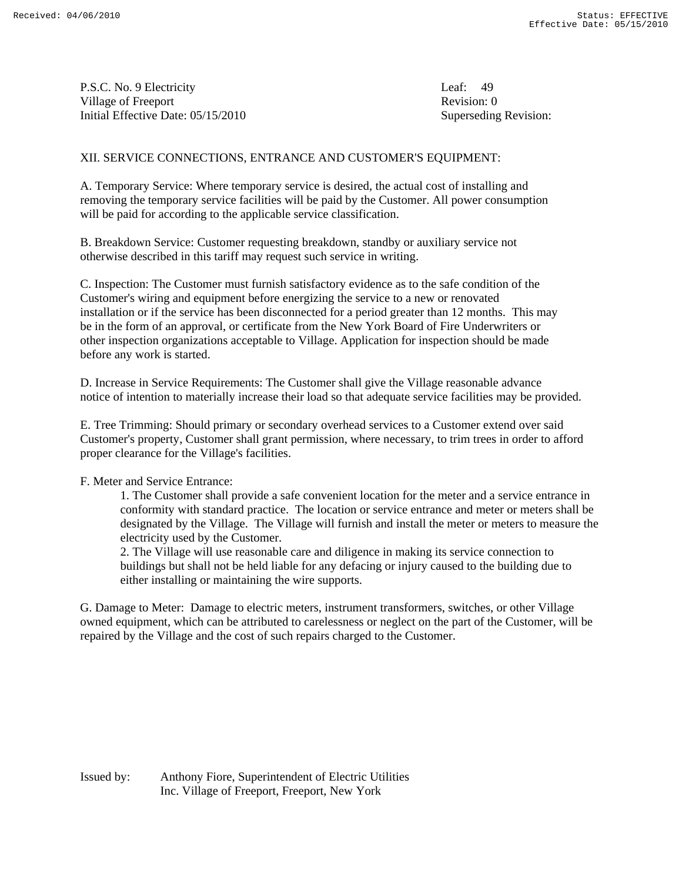P.S.C. No. 9 Electricity Leaf: 49 Village of Freeport **Revision:** 0 Initial Effective Date: 05/15/2010 Superseding Revision:

### XII. SERVICE CONNECTIONS, ENTRANCE AND CUSTOMER'S EQUIPMENT:

A. Temporary Service: Where temporary service is desired, the actual cost of installing and removing the temporary service facilities will be paid by the Customer. All power consumption will be paid for according to the applicable service classification.

B. Breakdown Service: Customer requesting breakdown, standby or auxiliary service not otherwise described in this tariff may request such service in writing.

C. Inspection: The Customer must furnish satisfactory evidence as to the safe condition of the Customer's wiring and equipment before energizing the service to a new or renovated installation or if the service has been disconnected for a period greater than 12 months. This may be in the form of an approval, or certificate from the New York Board of Fire Underwriters or other inspection organizations acceptable to Village. Application for inspection should be made before any work is started.

D. Increase in Service Requirements: The Customer shall give the Village reasonable advance notice of intention to materially increase their load so that adequate service facilities may be provided.

E. Tree Trimming: Should primary or secondary overhead services to a Customer extend over said Customer's property, Customer shall grant permission, where necessary, to trim trees in order to afford proper clearance for the Village's facilities.

F. Meter and Service Entrance:

 1. The Customer shall provide a safe convenient location for the meter and a service entrance in conformity with standard practice. The location or service entrance and meter or meters shall be designated by the Village. The Village will furnish and install the meter or meters to measure the electricity used by the Customer.

 2. The Village will use reasonable care and diligence in making its service connection to buildings but shall not be held liable for any defacing or injury caused to the building due to either installing or maintaining the wire supports.

G. Damage to Meter: Damage to electric meters, instrument transformers, switches, or other Village owned equipment, which can be attributed to carelessness or neglect on the part of the Customer, will be repaired by the Village and the cost of such repairs charged to the Customer.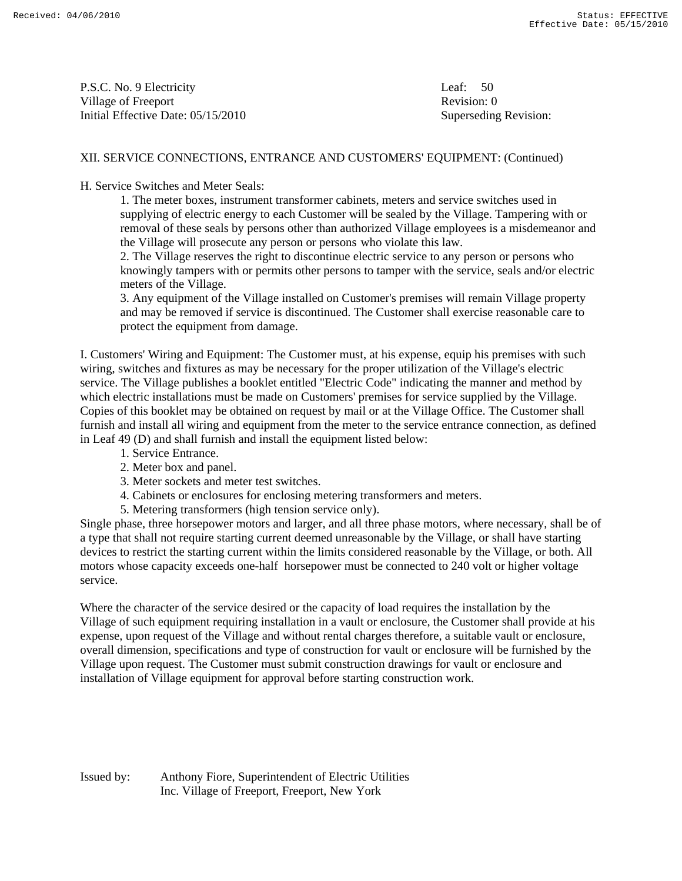P.S.C. No. 9 Electricity Leaf: 50 Village of Freeport **Revision:** 0 Initial Effective Date: 05/15/2010 Superseding Revision:

### XII. SERVICE CONNECTIONS, ENTRANCE AND CUSTOMERS' EQUIPMENT: (Continued)

H. Service Switches and Meter Seals:

 1. The meter boxes, instrument transformer cabinets, meters and service switches used in supplying of electric energy to each Customer will be sealed by the Village. Tampering with or removal of these seals by persons other than authorized Village employees is a misdemeanor and the Village will prosecute any person or persons who violate this law.

 2. The Village reserves the right to discontinue electric service to any person or persons who knowingly tampers with or permits other persons to tamper with the service, seals and/or electric meters of the Village.

 3. Any equipment of the Village installed on Customer's premises will remain Village property and may be removed if service is discontinued. The Customer shall exercise reasonable care to protect the equipment from damage.

I. Customers' Wiring and Equipment: The Customer must, at his expense, equip his premises with such wiring, switches and fixtures as may be necessary for the proper utilization of the Village's electric service. The Village publishes a booklet entitled "Electric Code" indicating the manner and method by which electric installations must be made on Customers' premises for service supplied by the Village. Copies of this booklet may be obtained on request by mail or at the Village Office. The Customer shall furnish and install all wiring and equipment from the meter to the service entrance connection, as defined in Leaf 49 (D) and shall furnish and install the equipment listed below:

- 1. Service Entrance.
- 2. Meter box and panel.
- 3. Meter sockets and meter test switches.
- 4. Cabinets or enclosures for enclosing metering transformers and meters.
- 5. Metering transformers (high tension service only).

Single phase, three horsepower motors and larger, and all three phase motors, where necessary, shall be of a type that shall not require starting current deemed unreasonable by the Village, or shall have starting devices to restrict the starting current within the limits considered reasonable by the Village, or both. All motors whose capacity exceeds one-half horsepower must be connected to 240 volt or higher voltage service.

Where the character of the service desired or the capacity of load requires the installation by the Village of such equipment requiring installation in a vault or enclosure, the Customer shall provide at his expense, upon request of the Village and without rental charges therefore, a suitable vault or enclosure, overall dimension, specifications and type of construction for vault or enclosure will be furnished by the Village upon request. The Customer must submit construction drawings for vault or enclosure and installation of Village equipment for approval before starting construction work.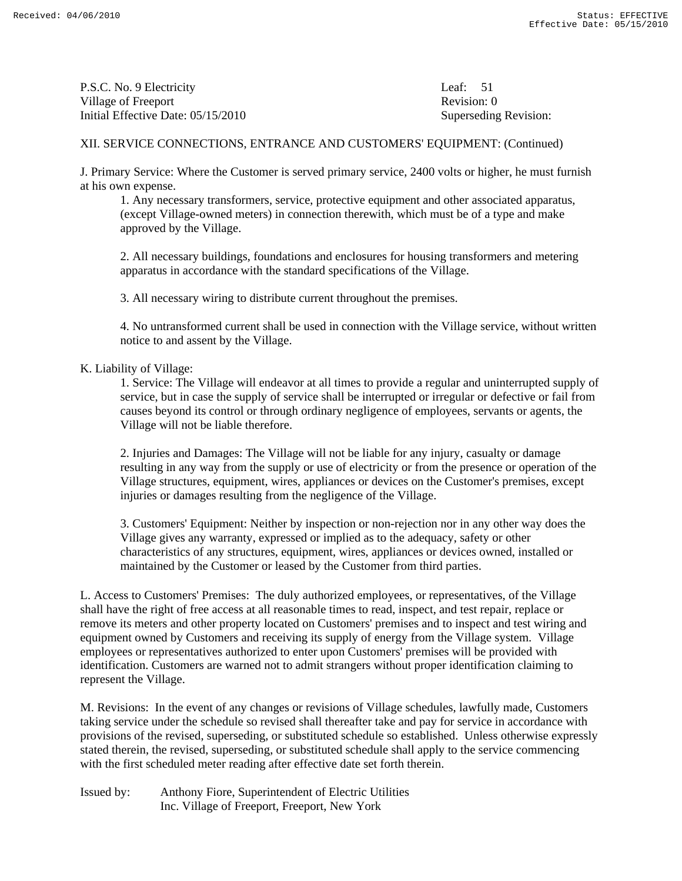P.S.C. No. 9 Electricity Leaf: 51 Village of Freeport **Revision:** 0 Initial Effective Date: 05/15/2010 Superseding Revision:

# XII. SERVICE CONNECTIONS, ENTRANCE AND CUSTOMERS' EQUIPMENT: (Continued)

J. Primary Service: Where the Customer is served primary service, 2400 volts or higher, he must furnish at his own expense.

 1. Any necessary transformers, service, protective equipment and other associated apparatus, (except Village-owned meters) in connection therewith, which must be of a type and make approved by the Village.

 2. All necessary buildings, foundations and enclosures for housing transformers and metering apparatus in accordance with the standard specifications of the Village.

3. All necessary wiring to distribute current throughout the premises.

 4. No untransformed current shall be used in connection with the Village service, without written notice to and assent by the Village.

#### K. Liability of Village:

 1. Service: The Village will endeavor at all times to provide a regular and uninterrupted supply of service, but in case the supply of service shall be interrupted or irregular or defective or fail from causes beyond its control or through ordinary negligence of employees, servants or agents, the Village will not be liable therefore.

 2. Injuries and Damages: The Village will not be liable for any injury, casualty or damage resulting in any way from the supply or use of electricity or from the presence or operation of the Village structures, equipment, wires, appliances or devices on the Customer's premises, except injuries or damages resulting from the negligence of the Village.

 3. Customers' Equipment: Neither by inspection or non-rejection nor in any other way does the Village gives any warranty, expressed or implied as to the adequacy, safety or other characteristics of any structures, equipment, wires, appliances or devices owned, installed or maintained by the Customer or leased by the Customer from third parties.

L. Access to Customers' Premises: The duly authorized employees, or representatives, of the Village shall have the right of free access at all reasonable times to read, inspect, and test repair, replace or remove its meters and other property located on Customers' premises and to inspect and test wiring and equipment owned by Customers and receiving its supply of energy from the Village system. Village employees or representatives authorized to enter upon Customers' premises will be provided with identification. Customers are warned not to admit strangers without proper identification claiming to represent the Village.

M. Revisions: In the event of any changes or revisions of Village schedules, lawfully made, Customers taking service under the schedule so revised shall thereafter take and pay for service in accordance with provisions of the revised, superseding, or substituted schedule so established. Unless otherwise expressly stated therein, the revised, superseding, or substituted schedule shall apply to the service commencing with the first scheduled meter reading after effective date set forth therein.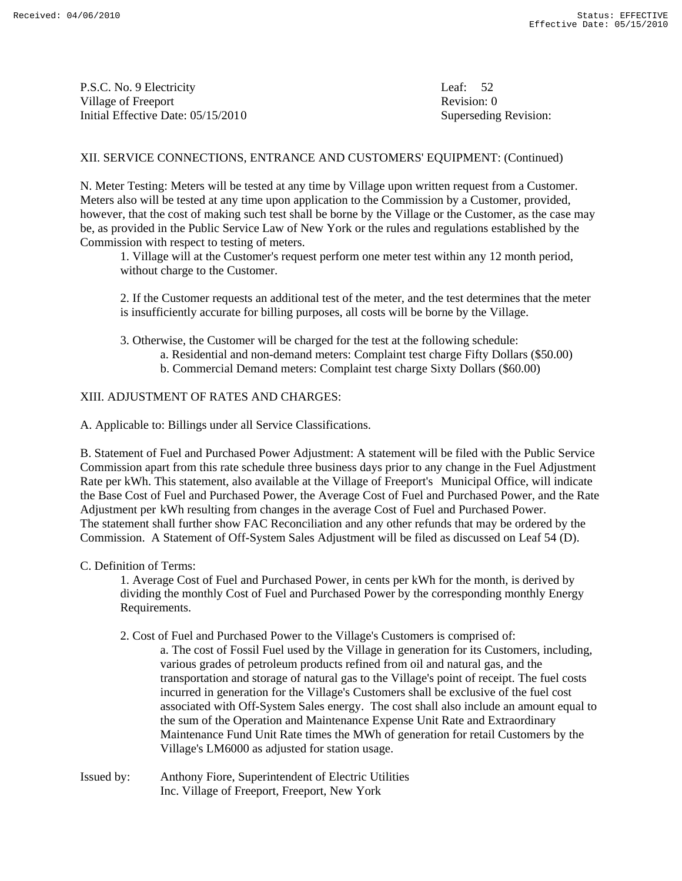P.S.C. No. 9 Electricity Leaf: 52 Village of Freeport Revision: 0 Initial Effective Date: 05/15/2010 Superseding Revision:

### XII. SERVICE CONNECTIONS, ENTRANCE AND CUSTOMERS' EQUIPMENT: (Continued)

N. Meter Testing: Meters will be tested at any time by Village upon written request from a Customer. Meters also will be tested at any time upon application to the Commission by a Customer, provided, however, that the cost of making such test shall be borne by the Village or the Customer, as the case may be, as provided in the Public Service Law of New York or the rules and regulations established by the Commission with respect to testing of meters.

 1. Village will at the Customer's request perform one meter test within any 12 month period, without charge to the Customer.

 2. If the Customer requests an additional test of the meter, and the test determines that the meter is insufficiently accurate for billing purposes, all costs will be borne by the Village.

3. Otherwise, the Customer will be charged for the test at the following schedule:

- a. Residential and non-demand meters: Complaint test charge Fifty Dollars (\$50.00)
- b. Commercial Demand meters: Complaint test charge Sixty Dollars (\$60.00)

### XIII. ADJUSTMENT OF RATES AND CHARGES:

A. Applicable to: Billings under all Service Classifications.

B. Statement of Fuel and Purchased Power Adjustment: A statement will be filed with the Public Service Commission apart from this rate schedule three business days prior to any change in the Fuel Adjustment Rate per kWh. This statement, also available at the Village of Freeport's Municipal Office, will indicate the Base Cost of Fuel and Purchased Power, the Average Cost of Fuel and Purchased Power, and the Rate Adjustment per kWh resulting from changes in the average Cost of Fuel and Purchased Power. The statement shall further show FAC Reconciliation and any other refunds that may be ordered by the Commission. A Statement of Off-System Sales Adjustment will be filed as discussed on Leaf 54 (D).

#### C. Definition of Terms:

 1. Average Cost of Fuel and Purchased Power, in cents per kWh for the month, is derived by dividing the monthly Cost of Fuel and Purchased Power by the corresponding monthly Energy Requirements.

2. Cost of Fuel and Purchased Power to the Village's Customers is comprised of:

 a. The cost of Fossil Fuel used by the Village in generation for its Customers, including, various grades of petroleum products refined from oil and natural gas, and the transportation and storage of natural gas to the Village's point of receipt. The fuel costs incurred in generation for the Village's Customers shall be exclusive of the fuel cost associated with Off-System Sales energy. The cost shall also include an amount equal to the sum of the Operation and Maintenance Expense Unit Rate and Extraordinary Maintenance Fund Unit Rate times the MWh of generation for retail Customers by the Village's LM6000 as adjusted for station usage.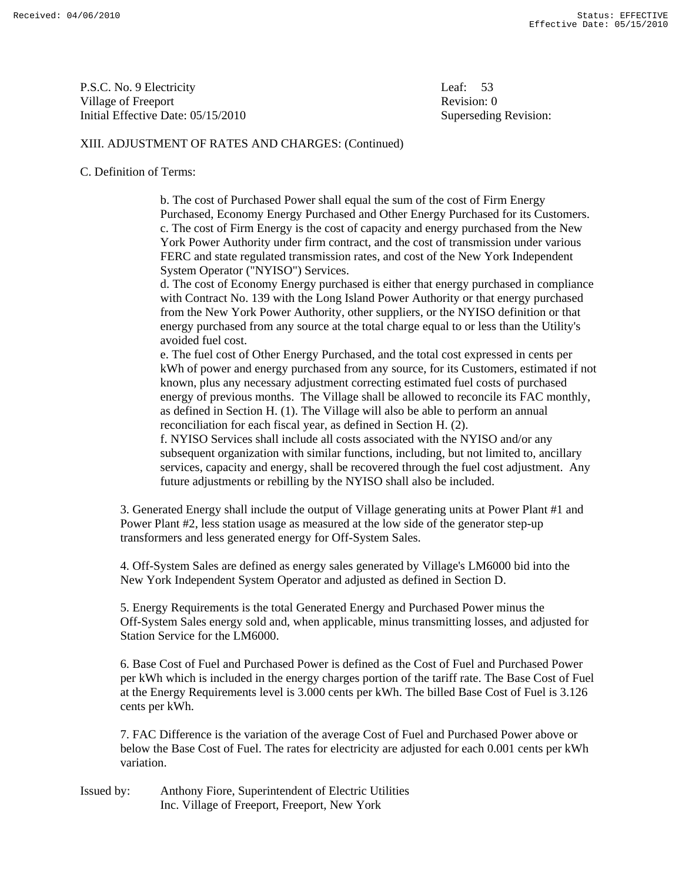P.S.C. No. 9 Electricity Leaf: 53 Village of Freeport **Revision:** 0 Initial Effective Date: 05/15/2010 Superseding Revision:

### XIII. ADJUSTMENT OF RATES AND CHARGES: (Continued)

#### C. Definition of Terms:

 b. The cost of Purchased Power shall equal the sum of the cost of Firm Energy Purchased, Economy Energy Purchased and Other Energy Purchased for its Customers. c. The cost of Firm Energy is the cost of capacity and energy purchased from the New York Power Authority under firm contract, and the cost of transmission under various FERC and state regulated transmission rates, and cost of the New York Independent System Operator ("NYISO") Services.

 d. The cost of Economy Energy purchased is either that energy purchased in compliance with Contract No. 139 with the Long Island Power Authority or that energy purchased from the New York Power Authority, other suppliers, or the NYISO definition or that energy purchased from any source at the total charge equal to or less than the Utility's avoided fuel cost.

 e. The fuel cost of Other Energy Purchased, and the total cost expressed in cents per kWh of power and energy purchased from any source, for its Customers, estimated if not known, plus any necessary adjustment correcting estimated fuel costs of purchased energy of previous months. The Village shall be allowed to reconcile its FAC monthly, as defined in Section H. (1). The Village will also be able to perform an annual reconciliation for each fiscal year, as defined in Section H. (2).

 f. NYISO Services shall include all costs associated with the NYISO and/or any subsequent organization with similar functions, including, but not limited to, ancillary services, capacity and energy, shall be recovered through the fuel cost adjustment. Any future adjustments or rebilling by the NYISO shall also be included.

 3. Generated Energy shall include the output of Village generating units at Power Plant #1 and Power Plant #2, less station usage as measured at the low side of the generator step-up transformers and less generated energy for Off-System Sales.

 4. Off-System Sales are defined as energy sales generated by Village's LM6000 bid into the New York Independent System Operator and adjusted as defined in Section D.

 5. Energy Requirements is the total Generated Energy and Purchased Power minus the Off-System Sales energy sold and, when applicable, minus transmitting losses, and adjusted for Station Service for the LM6000.

 6. Base Cost of Fuel and Purchased Power is defined as the Cost of Fuel and Purchased Power per kWh which is included in the energy charges portion of the tariff rate. The Base Cost of Fuel at the Energy Requirements level is 3.000 cents per kWh. The billed Base Cost of Fuel is 3.126 cents per kWh.

 7. FAC Difference is the variation of the average Cost of Fuel and Purchased Power above or below the Base Cost of Fuel. The rates for electricity are adjusted for each 0.001 cents per kWh variation.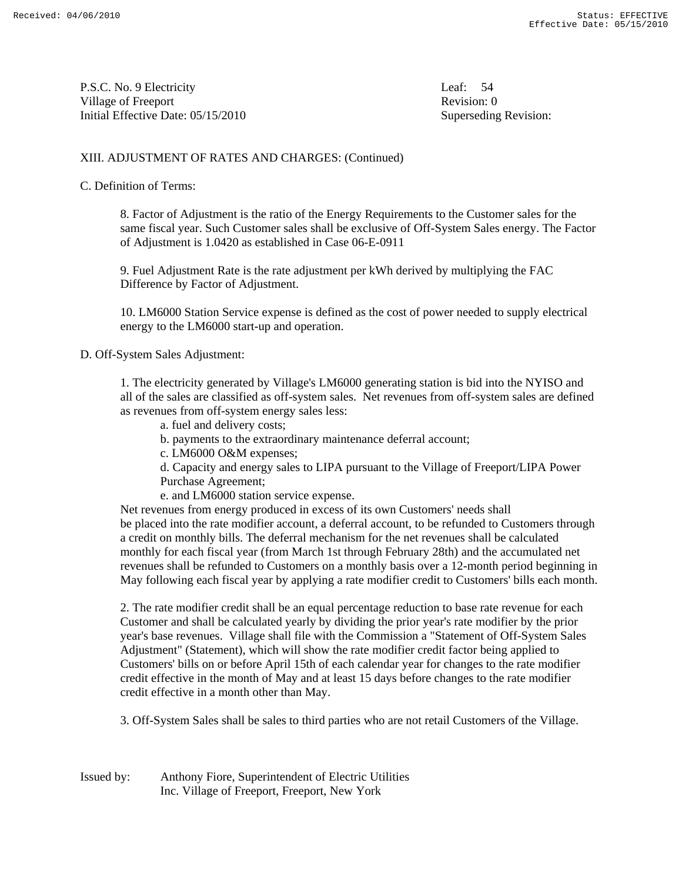P.S.C. No. 9 Electricity Leaf: 54 Village of Freeport **Revision:** 0 Initial Effective Date: 05/15/2010 Superseding Revision:

### XIII. ADJUSTMENT OF RATES AND CHARGES: (Continued)

#### C. Definition of Terms:

 8. Factor of Adjustment is the ratio of the Energy Requirements to the Customer sales for the same fiscal year. Such Customer sales shall be exclusive of Off-System Sales energy. The Factor of Adjustment is 1.0420 as established in Case 06-E-0911

 9. Fuel Adjustment Rate is the rate adjustment per kWh derived by multiplying the FAC Difference by Factor of Adjustment.

 10. LM6000 Station Service expense is defined as the cost of power needed to supply electrical energy to the LM6000 start-up and operation.

D. Off-System Sales Adjustment:

 1. The electricity generated by Village's LM6000 generating station is bid into the NYISO and all of the sales are classified as off-system sales. Net revenues from off-system sales are defined as revenues from off-system energy sales less:

- a. fuel and delivery costs;
- b. payments to the extraordinary maintenance deferral account;
- c. LM6000 O&M expenses;

 d. Capacity and energy sales to LIPA pursuant to the Village of Freeport/LIPA Power Purchase Agreement;

e. and LM6000 station service expense.

 Net revenues from energy produced in excess of its own Customers' needs shall be placed into the rate modifier account, a deferral account, to be refunded to Customers through a credit on monthly bills. The deferral mechanism for the net revenues shall be calculated monthly for each fiscal year (from March 1st through February 28th) and the accumulated net revenues shall be refunded to Customers on a monthly basis over a 12-month period beginning in May following each fiscal year by applying a rate modifier credit to Customers' bills each month.

 2. The rate modifier credit shall be an equal percentage reduction to base rate revenue for each Customer and shall be calculated yearly by dividing the prior year's rate modifier by the prior year's base revenues. Village shall file with the Commission a "Statement of Off-System Sales Adjustment" (Statement), which will show the rate modifier credit factor being applied to Customers' bills on or before April 15th of each calendar year for changes to the rate modifier credit effective in the month of May and at least 15 days before changes to the rate modifier credit effective in a month other than May.

3. Off-System Sales shall be sales to third parties who are not retail Customers of the Village.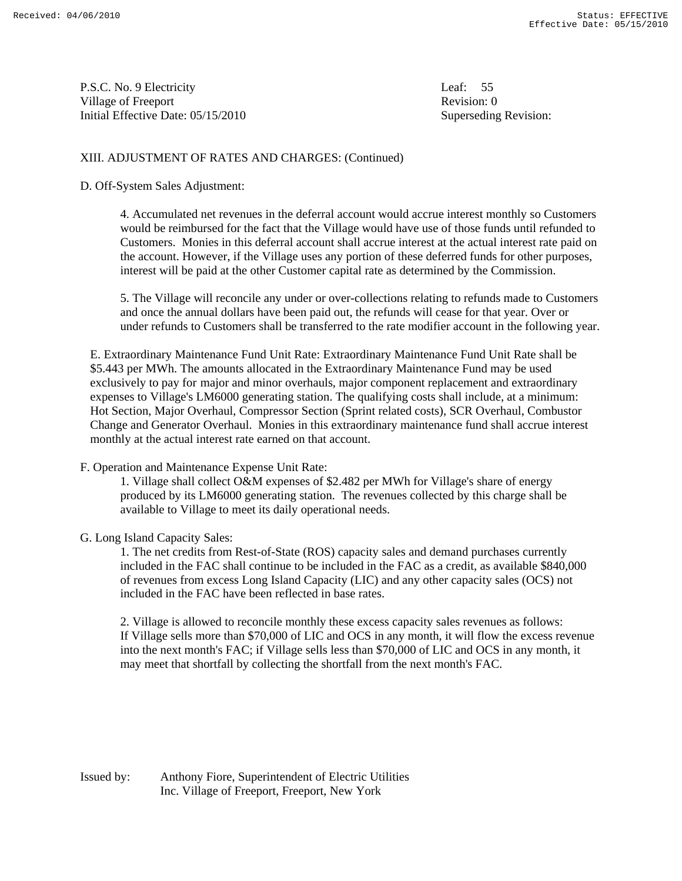P.S.C. No. 9 Electricity Leaf: 55 Village of Freeport **Revision:** 0 Initial Effective Date: 05/15/2010 Superseding Revision:

### XIII. ADJUSTMENT OF RATES AND CHARGES: (Continued)

D. Off-System Sales Adjustment:

 4. Accumulated net revenues in the deferral account would accrue interest monthly so Customers would be reimbursed for the fact that the Village would have use of those funds until refunded to Customers. Monies in this deferral account shall accrue interest at the actual interest rate paid on the account. However, if the Village uses any portion of these deferred funds for other purposes, interest will be paid at the other Customer capital rate as determined by the Commission.

 5. The Village will reconcile any under or over-collections relating to refunds made to Customers and once the annual dollars have been paid out, the refunds will cease for that year. Over or under refunds to Customers shall be transferred to the rate modifier account in the following year.

E. Extraordinary Maintenance Fund Unit Rate: Extraordinary Maintenance Fund Unit Rate shall be \$5.443 per MWh. The amounts allocated in the Extraordinary Maintenance Fund may be used exclusively to pay for major and minor overhauls, major component replacement and extraordinary expenses to Village's LM6000 generating station. The qualifying costs shall include, at a minimum: Hot Section, Major Overhaul, Compressor Section (Sprint related costs), SCR Overhaul, Combustor Change and Generator Overhaul. Monies in this extraordinary maintenance fund shall accrue interest monthly at the actual interest rate earned on that account.

#### F. Operation and Maintenance Expense Unit Rate:

 1. Village shall collect O&M expenses of \$2.482 per MWh for Village's share of energy produced by its LM6000 generating station. The revenues collected by this charge shall be available to Village to meet its daily operational needs.

#### G. Long Island Capacity Sales:

 1. The net credits from Rest-of-State (ROS) capacity sales and demand purchases currently included in the FAC shall continue to be included in the FAC as a credit, as available \$840,000 of revenues from excess Long Island Capacity (LIC) and any other capacity sales (OCS) not included in the FAC have been reflected in base rates.

 2. Village is allowed to reconcile monthly these excess capacity sales revenues as follows: If Village sells more than \$70,000 of LIC and OCS in any month, it will flow the excess revenue into the next month's FAC; if Village sells less than \$70,000 of LIC and OCS in any month, it may meet that shortfall by collecting the shortfall from the next month's FAC.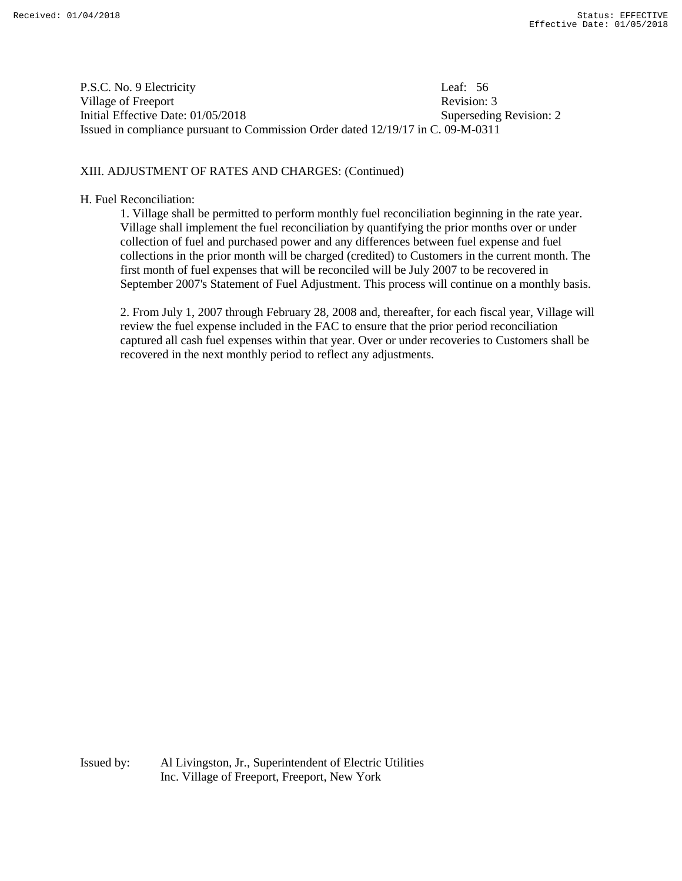P.S.C. No. 9 Electricity Leaf: 56 Village of Freeport **Revision: 3** Revision: 3 Initial Effective Date: 01/05/2018 Superseding Revision: 2 Issued in compliance pursuant to Commission Order dated 12/19/17 in C. 09-M-0311

## XIII. ADJUSTMENT OF RATES AND CHARGES: (Continued)

#### H. Fuel Reconciliation:

1. Village shall be permitted to perform monthly fuel reconciliation beginning in the rate year. Village shall implement the fuel reconciliation by quantifying the prior months over or under collection of fuel and purchased power and any differences between fuel expense and fuel collections in the prior month will be charged (credited) to Customers in the current month. The first month of fuel expenses that will be reconciled will be July 2007 to be recovered in September 2007's Statement of Fuel Adjustment. This process will continue on a monthly basis.

2. From July 1, 2007 through February 28, 2008 and, thereafter, for each fiscal year, Village will review the fuel expense included in the FAC to ensure that the prior period reconciliation captured all cash fuel expenses within that year. Over or under recoveries to Customers shall be recovered in the next monthly period to reflect any adjustments.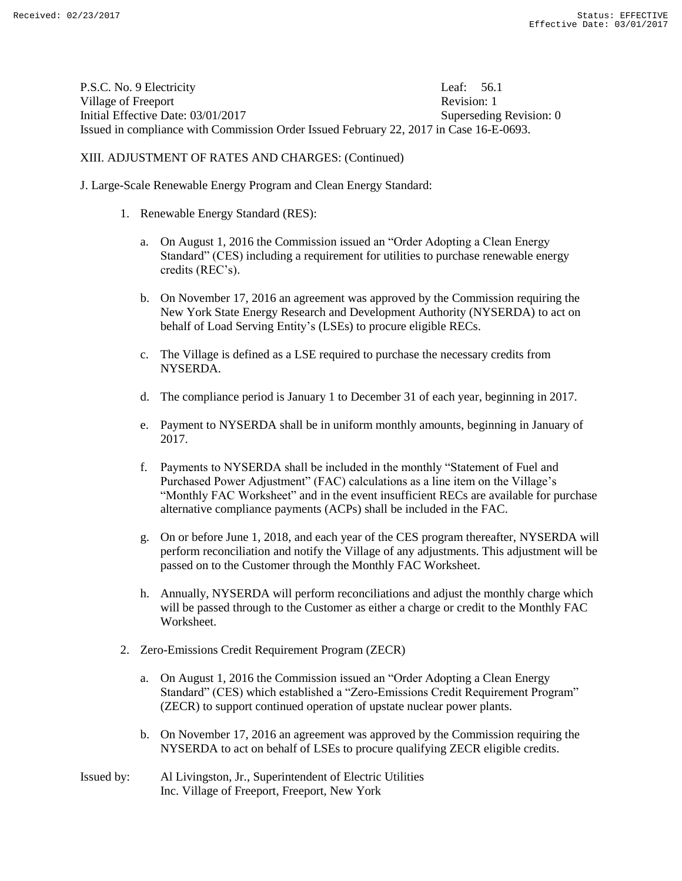P.S.C. No. 9 Electricity Leaf: 56.1 Village of Freeport **Revision:** 1 Initial Effective Date: 03/01/2017 Superseding Revision: 0 Issued in compliance with Commission Order Issued February 22, 2017 in Case 16-E-0693.

XIII. ADJUSTMENT OF RATES AND CHARGES: (Continued)

J. Large-Scale Renewable Energy Program and Clean Energy Standard:

- 1. Renewable Energy Standard (RES):
	- a. On August 1, 2016 the Commission issued an "Order Adopting a Clean Energy Standard" (CES) including a requirement for utilities to purchase renewable energy credits (REC's).
	- b. On November 17, 2016 an agreement was approved by the Commission requiring the New York State Energy Research and Development Authority (NYSERDA) to act on behalf of Load Serving Entity's (LSEs) to procure eligible RECs.
	- c. The Village is defined as a LSE required to purchase the necessary credits from NYSERDA.
	- d. The compliance period is January 1 to December 31 of each year, beginning in 2017.
	- e. Payment to NYSERDA shall be in uniform monthly amounts, beginning in January of 2017.
	- f. Payments to NYSERDA shall be included in the monthly "Statement of Fuel and Purchased Power Adjustment" (FAC) calculations as a line item on the Village's "Monthly FAC Worksheet" and in the event insufficient RECs are available for purchase alternative compliance payments (ACPs) shall be included in the FAC.
	- g. On or before June 1, 2018, and each year of the CES program thereafter, NYSERDA will perform reconciliation and notify the Village of any adjustments. This adjustment will be passed on to the Customer through the Monthly FAC Worksheet.
	- h. Annually, NYSERDA will perform reconciliations and adjust the monthly charge which will be passed through to the Customer as either a charge or credit to the Monthly FAC Worksheet.
- 2. Zero-Emissions Credit Requirement Program (ZECR)
	- a. On August 1, 2016 the Commission issued an "Order Adopting a Clean Energy Standard" (CES) which established a "Zero-Emissions Credit Requirement Program" (ZECR) to support continued operation of upstate nuclear power plants.
	- b. On November 17, 2016 an agreement was approved by the Commission requiring the NYSERDA to act on behalf of LSEs to procure qualifying ZECR eligible credits.
- Issued by: Al Livingston, Jr., Superintendent of Electric Utilities Inc. Village of Freeport, Freeport, New York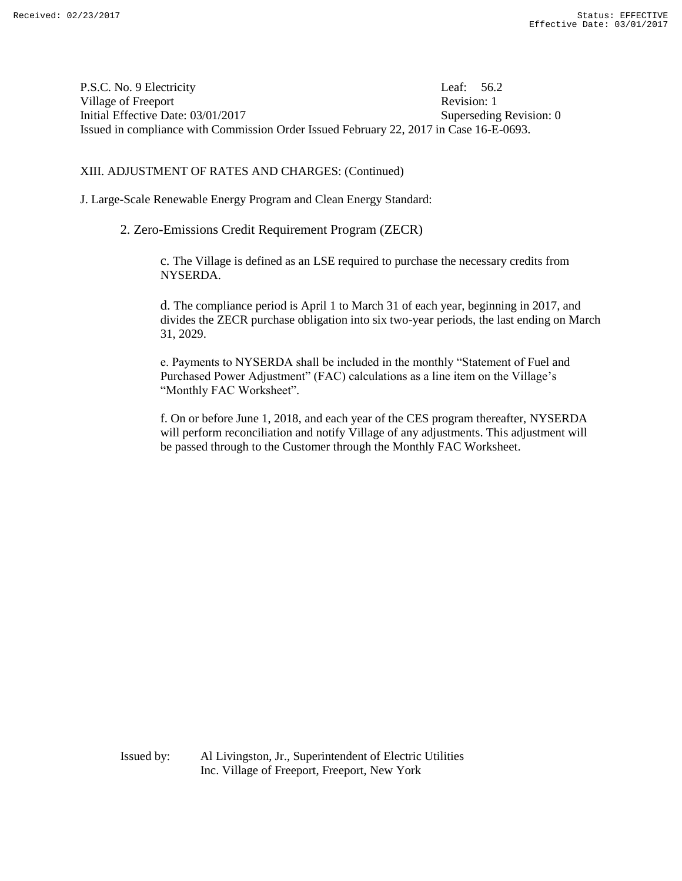P.S.C. No. 9 Electricity Leaf: 56.2 Village of Freeport **Revision:** 1 Initial Effective Date: 03/01/2017 Superseding Revision: 0 Issued in compliance with Commission Order Issued February 22, 2017 in Case 16-E-0693.

XIII. ADJUSTMENT OF RATES AND CHARGES: (Continued)

J. Large-Scale Renewable Energy Program and Clean Energy Standard:

2. Zero-Emissions Credit Requirement Program (ZECR)

c. The Village is defined as an LSE required to purchase the necessary credits from NYSERDA.

d. The compliance period is April 1 to March 31 of each year, beginning in 2017, and divides the ZECR purchase obligation into six two-year periods, the last ending on March 31, 2029.

e. Payments to NYSERDA shall be included in the monthly "Statement of Fuel and Purchased Power Adjustment" (FAC) calculations as a line item on the Village's "Monthly FAC Worksheet".

f. On or before June 1, 2018, and each year of the CES program thereafter, NYSERDA will perform reconciliation and notify Village of any adjustments. This adjustment will be passed through to the Customer through the Monthly FAC Worksheet.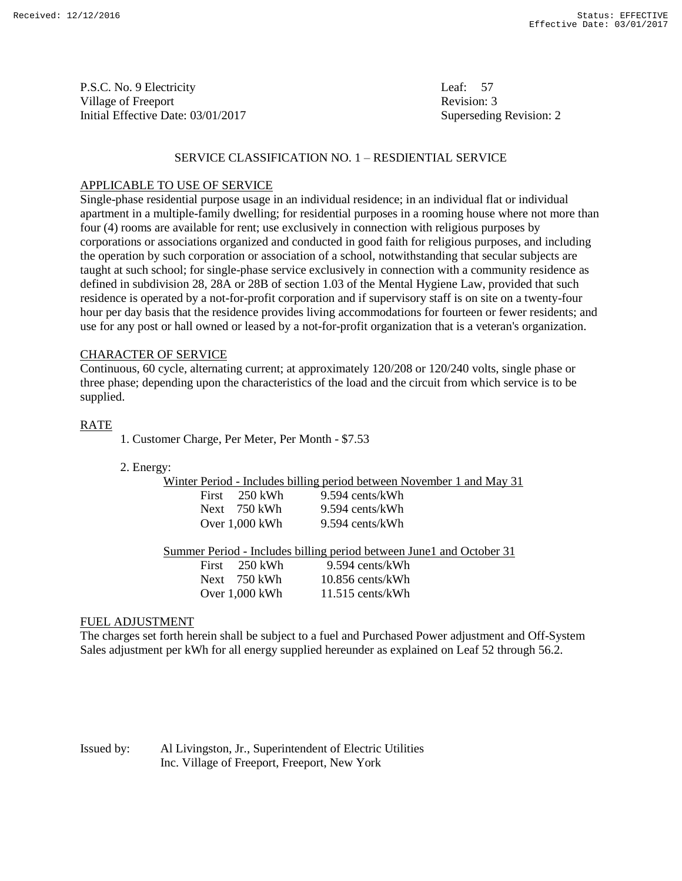P.S.C. No. 9 Electricity Leaf: 57 Village of Freeport **Revision: 3** Revision: 3 Initial Effective Date: 03/01/2017 Superseding Revision: 2

### SERVICE CLASSIFICATION NO. 1 – RESDIENTIAL SERVICE

#### APPLICABLE TO USE OF SERVICE

Single-phase residential purpose usage in an individual residence; in an individual flat or individual apartment in a multiple-family dwelling; for residential purposes in a rooming house where not more than four (4) rooms are available for rent; use exclusively in connection with religious purposes by corporations or associations organized and conducted in good faith for religious purposes, and including the operation by such corporation or association of a school, notwithstanding that secular subjects are taught at such school; for single-phase service exclusively in connection with a community residence as defined in subdivision 28, 28A or 28B of section 1.03 of the Mental Hygiene Law, provided that such residence is operated by a not-for-profit corporation and if supervisory staff is on site on a twenty-four hour per day basis that the residence provides living accommodations for fourteen or fewer residents; and use for any post or hall owned or leased by a not-for-profit organization that is a veteran's organization.

#### CHARACTER OF SERVICE

Continuous, 60 cycle, alternating current; at approximately 120/208 or 120/240 volts, single phase or three phase; depending upon the characteristics of the load and the circuit from which service is to be supplied.

#### RATE

- 1. Customer Charge, Per Meter, Per Month \$7.53
- 2. Energy:

|                         | Winter Period - Includes billing period between November 1 and May 31 |
|-------------------------|-----------------------------------------------------------------------|
| First $250 \text{ kWh}$ | 9.594 cents/kWh                                                       |
| Next 750 kWh            | 9.594 cents/kWh                                                       |
| Over $1.000$ kWh        | 9.594 cents/kWh                                                       |
|                         |                                                                       |

Summer Period - Includes billing period between June1 and October 31

| First | – 250 kWh      | 9.594 cents/kWh    |
|-------|----------------|--------------------|
|       | Next 750 kWh   | $10.856$ cents/kWh |
|       | Over 1,000 kWh | $11.515$ cents/kWh |

#### FUEL ADJUSTMENT

The charges set forth herein shall be subject to a fuel and Purchased Power adjustment and Off-System Sales adjustment per kWh for all energy supplied hereunder as explained on Leaf 52 through 56.2.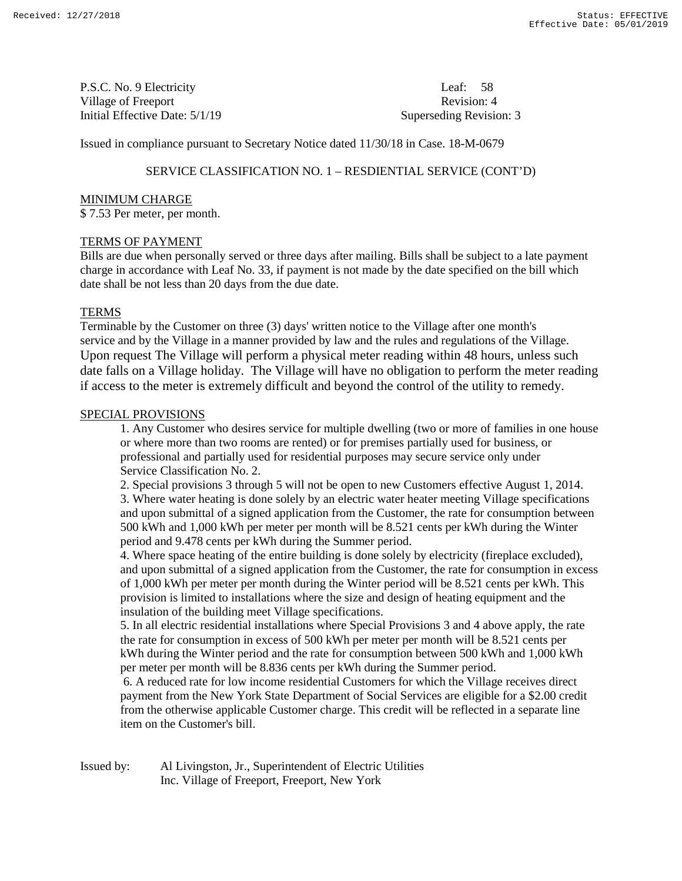P.S.C. No. 9 Electricity Leaf: 58 Village of Freeport **Revision: 4** Revision: 4 Initial Effective Date:  $5/1/19$  Superseding Revision: 3

Issued in compliance pursuant to Secretary Notice dated 11/30/18 in Case. 18-M-0679

# SERVICE CLASSIFICATION NO. 1 – RESDIENTIAL SERVICE (CONT'D)

#### MINIMUM CHARGE

\$ 7.53 Per meter, per month.

#### TERMS OF PAYMENT

Bills are due when personally served or three days after mailing. Bills shall be subject to a late payment charge in accordance with Leaf No. 33, if payment is not made by the date specified on the bill which date shall be not less than 20 days from the due date.

### **TERMS**

Terminable by the Customer on three (3) days' written notice to the Village after one month's service and by the Village in a manner provided by law and the rules and regulations of the Village. Upon request The Village will perform a physical meter reading within 48 hours, unless such date falls on a Village holiday. The Village will have no obligation to perform the meter reading if access to the meter is extremely difficult and beyond the control of the utility to remedy.

#### SPECIAL PROVISIONS

1. Any Customer who desires service for multiple dwelling (two or more of families in one house or where more than two rooms are rented) or for premises partially used for business, or professional and partially used for residential purposes may secure service only under Service Classification No. 2.

2. Special provisions 3 through 5 will not be open to new Customers effective August 1, 2014. 3. Where water heating is done solely by an electric water heater meeting Village specifications and upon submittal of a signed application from the Customer, the rate for consumption between 500 kWh and 1,000 kWh per meter per month will be 8.521 cents per kWh during the Winter period and 9.478 cents per kWh during the Summer period.

4. Where space heating of the entire building is done solely by electricity (fireplace excluded), and upon submittal of a signed application from the Customer, the rate for consumption in excess of 1,000 kWh per meter per month during the Winter period will be 8.521 cents per kWh. This provision is limited to installations where the size and design of heating equipment and the insulation of the building meet Village specifications.

5. In all electric residential installations where Special Provisions 3 and 4 above apply, the rate the rate for consumption in excess of 500 kWh per meter per month will be 8.521 cents per kWh during the Winter period and the rate for consumption between 500 kWh and 1,000 kWh per meter per month will be 8.836 cents per kWh during the Summer period.

6. A reduced rate for low income residential Customers for which the Village receives direct payment from the New York State Department of Social Services are eligible for a \$2.00 credit from the otherwise applicable Customer charge. This credit will be reflected in a separate line item on the Customer's bill.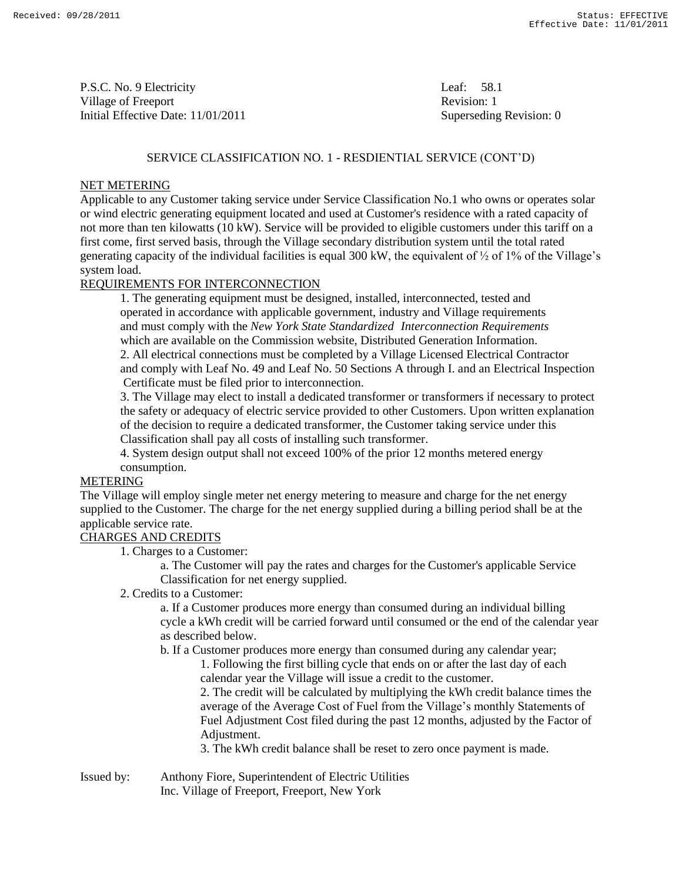P.S.C. No. 9 Electricity Leaf: 58.1 Village of Freeport **Revision:** 1 Initial Effective Date: 11/01/2011 Superseding Revision: 0

## SERVICE CLASSIFICATION NO. 1 - RESDIENTIAL SERVICE (CONT'D)

### NET METERING

Applicable to any Customer taking service under Service Classification No.1 who owns or operates solar or wind electric generating equipment located and used at Customer's residence with a rated capacity of not more than ten kilowatts (10 kW). Service will be provided to eligible customers under this tariff on a first come, first served basis, through the Village secondary distribution system until the total rated generating capacity of the individual facilities is equal 300 kW, the equivalent of  $\frac{1}{2}$  of 1% of the Village's system load.

# REQUIREMENTS FOR INTERCONNECTION

1. The generating equipment must be designed, installed, interconnected, tested and operated in accordance with applicable government, industry and Village requirements and must comply with the *New York State Standardized Interconnection Requirements* which are available on the Commission website, Distributed Generation Information. 2. All electrical connections must be completed by a Village Licensed Electrical Contractor and comply with Leaf No. 49 and Leaf No. 50 Sections A through I. and an Electrical Inspection Certificate must be filed prior to interconnection.

3. The Village may elect to install a dedicated transformer or transformers if necessary to protect the safety or adequacy of electric service provided to other Customers. Upon written explanation of the decision to require a dedicated transformer, the Customer taking service under this Classification shall pay all costs of installing such transformer.

4. System design output shall not exceed 100% of the prior 12 months metered energy consumption.

#### METERING

The Village will employ single meter net energy metering to measure and charge for the net energy supplied to the Customer. The charge for the net energy supplied during a billing period shall be at the applicable service rate.

# CHARGES AND CREDITS

1. Charges to a Customer:

a. The Customer will pay the rates and charges for the Customer's applicable Service Classification for net energy supplied.

2. Credits to a Customer:

a. If a Customer produces more energy than consumed during an individual billing cycle a kWh credit will be carried forward until consumed or the end of the calendar year as described below.

b. If a Customer produces more energy than consumed during any calendar year;

1. Following the first billing cycle that ends on or after the last day of each calendar year the Village will issue a credit to the customer.

2. The credit will be calculated by multiplying the kWh credit balance times the average of the Average Cost of Fuel from the Village's monthly Statements of Fuel Adjustment Cost filed during the past 12 months, adjusted by the Factor of Adjustment.

3. The kWh credit balance shall be reset to zero once payment is made.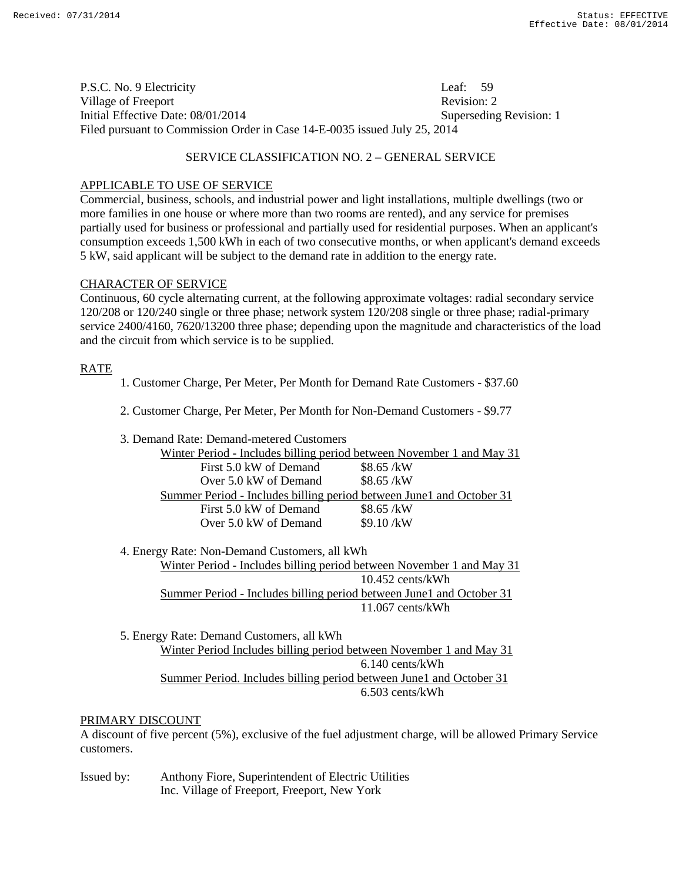P.S.C. No. 9 Electricity Leaf: 59 Village of Freeport **Revision:** 2 Initial Effective Date: 08/01/2014 Superseding Revision: 1 Filed pursuant to Commission Order in Case 14-E-0035 issued July 25, 2014

## SERVICE CLASSIFICATION NO. 2 – GENERAL SERVICE

### APPLICABLE TO USE OF SERVICE

Commercial, business, schools, and industrial power and light installations, multiple dwellings (two or more families in one house or where more than two rooms are rented), and any service for premises partially used for business or professional and partially used for residential purposes. When an applicant's consumption exceeds 1,500 kWh in each of two consecutive months, or when applicant's demand exceeds 5 kW, said applicant will be subject to the demand rate in addition to the energy rate.

### CHARACTER OF SERVICE

Continuous, 60 cycle alternating current, at the following approximate voltages: radial secondary service 120/208 or 120/240 single or three phase; network system 120/208 single or three phase; radial-primary service 2400/4160, 7620/13200 three phase; depending upon the magnitude and characteristics of the load and the circuit from which service is to be supplied.

### RATE

- 1. Customer Charge, Per Meter, Per Month for Demand Rate Customers \$37.60
- 2. Customer Charge, Per Meter, Per Month for Non-Demand Customers \$9.77
- 3. Demand Rate: Demand-metered Customers Winter Period - Includes billing period between November 1 and May 31 First  $5.0 \text{ kW}$  of Demand \$8.65 /kW Over  $5.0 \text{ kW}$  of Demand \$8.65 /kW Summer Period - Includes billing period between June1 and October 31 First 5.0 kW of Demand \$8.65 /kW Over  $5.0 \text{ kW}$  of Demand  $$9.10 / \text{kW}$

4. Energy Rate: Non-Demand Customers, all kWh Winter Period - Includes billing period between November 1 and May 31 10.452 cents/kWh Summer Period - Includes billing period between June1 and October 31 11.067 cents/kWh

5. Energy Rate: Demand Customers, all kWh Winter Period Includes billing period between November 1 and May 31 6.140 cents/kWh Summer Period. Includes billing period between June1 and October 31 6.503 cents/kWh

# PRIMARY DISCOUNT

A discount of five percent (5%), exclusive of the fuel adjustment charge, will be allowed Primary Service customers.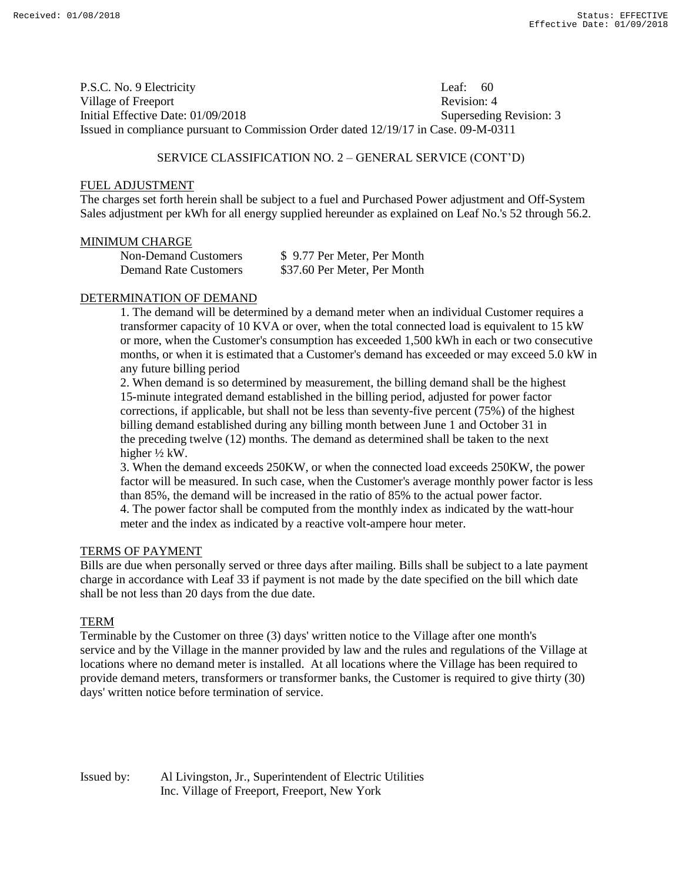P.S.C. No. 9 Electricity Leaf: 60 Village of Freeport **Revision:** 4 Initial Effective Date: 01/09/2018 Superseding Revision: 3 Issued in compliance pursuant to Commission Order dated 12/19/17 in Case. 09-M-0311

#### SERVICE CLASSIFICATION NO. 2 – GENERAL SERVICE (CONT'D)

#### FUEL ADJUSTMENT

The charges set forth herein shall be subject to a fuel and Purchased Power adjustment and Off-System Sales adjustment per kWh for all energy supplied hereunder as explained on Leaf No.'s 52 through 56.2.

#### MINIMUM CHARGE

| <b>Non-Demand Customers</b>  | \$9.77 Per Meter, Per Month  |
|------------------------------|------------------------------|
| <b>Demand Rate Customers</b> | \$37.60 Per Meter, Per Month |

### DETERMINATION OF DEMAND

1. The demand will be determined by a demand meter when an individual Customer requires a transformer capacity of 10 KVA or over, when the total connected load is equivalent to 15 kW or more, when the Customer's consumption has exceeded 1,500 kWh in each or two consecutive months, or when it is estimated that a Customer's demand has exceeded or may exceed 5.0 kW in any future billing period

2. When demand is so determined by measurement, the billing demand shall be the highest 15-minute integrated demand established in the billing period, adjusted for power factor corrections, if applicable, but shall not be less than seventy-five percent (75%) of the highest billing demand established during any billing month between June 1 and October 31 in the preceding twelve (12) months. The demand as determined shall be taken to the next higher ½ kW.

3. When the demand exceeds 250KW, or when the connected load exceeds 250KW, the power factor will be measured. In such case, when the Customer's average monthly power factor is less than 85%, the demand will be increased in the ratio of 85% to the actual power factor. 4. The power factor shall be computed from the monthly index as indicated by the watt-hour meter and the index as indicated by a reactive volt-ampere hour meter.

#### TERMS OF PAYMENT

Bills are due when personally served or three days after mailing. Bills shall be subject to a late payment charge in accordance with Leaf 33 if payment is not made by the date specified on the bill which date shall be not less than 20 days from the due date.

#### TERM

Terminable by the Customer on three (3) days' written notice to the Village after one month's service and by the Village in the manner provided by law and the rules and regulations of the Village at locations where no demand meter is installed. At all locations where the Village has been required to provide demand meters, transformers or transformer banks, the Customer is required to give thirty (30) days' written notice before termination of service.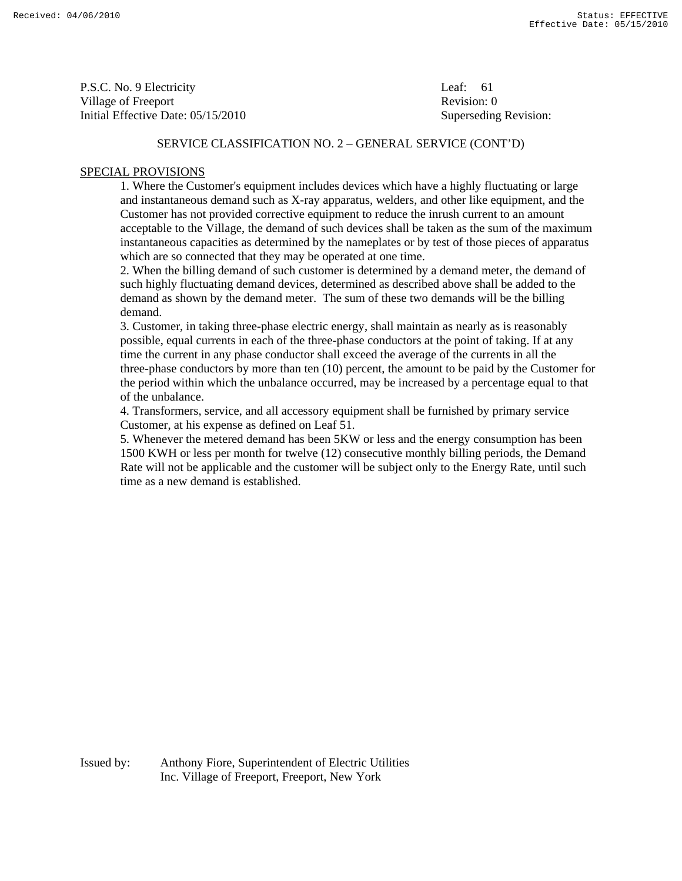P.S.C. No. 9 Electricity Leaf: 61 Village of Freeport **Revision:** 0 Initial Effective Date: 05/15/2010 Superseding Revision:

## SERVICE CLASSIFICATION NO. 2 – GENERAL SERVICE (CONT'D)

### SPECIAL PROVISIONS

 1. Where the Customer's equipment includes devices which have a highly fluctuating or large and instantaneous demand such as X-ray apparatus, welders, and other like equipment, and the Customer has not provided corrective equipment to reduce the inrush current to an amount acceptable to the Village, the demand of such devices shall be taken as the sum of the maximum instantaneous capacities as determined by the nameplates or by test of those pieces of apparatus which are so connected that they may be operated at one time.

 2. When the billing demand of such customer is determined by a demand meter, the demand of such highly fluctuating demand devices, determined as described above shall be added to the demand as shown by the demand meter. The sum of these two demands will be the billing demand.

 3. Customer, in taking three-phase electric energy, shall maintain as nearly as is reasonably possible, equal currents in each of the three-phase conductors at the point of taking. If at any time the current in any phase conductor shall exceed the average of the currents in all the three-phase conductors by more than ten (10) percent, the amount to be paid by the Customer for the period within which the unbalance occurred, may be increased by a percentage equal to that of the unbalance.

 4. Transformers, service, and all accessory equipment shall be furnished by primary service Customer, at his expense as defined on Leaf 51.

 5. Whenever the metered demand has been 5KW or less and the energy consumption has been 1500 KWH or less per month for twelve (12) consecutive monthly billing periods, the Demand Rate will not be applicable and the customer will be subject only to the Energy Rate, until such time as a new demand is established.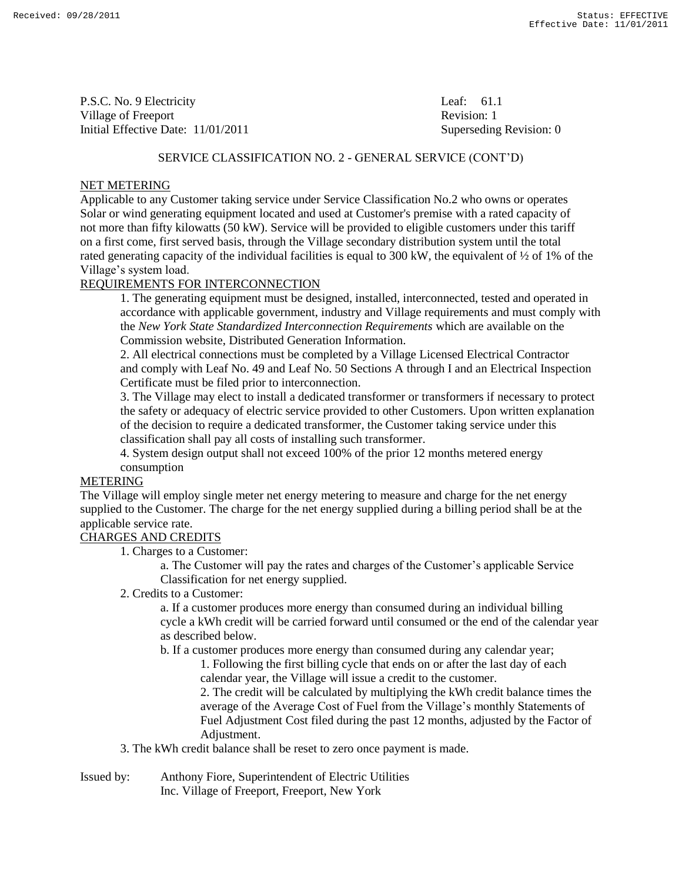P.S.C. No. 9 Electricity Leaf: 61.1 Village of Freeport **Revision:** 1 Initial Effective Date: 11/01/2011 Superseding Revision: 0

#### SERVICE CLASSIFICATION NO. 2 - GENERAL SERVICE (CONT'D)

### NET METERING

Applicable to any Customer taking service under Service Classification No.2 who owns or operates Solar or wind generating equipment located and used at Customer's premise with a rated capacity of not more than fifty kilowatts (50 kW). Service will be provided to eligible customers under this tariff on a first come, first served basis, through the Village secondary distribution system until the total rated generating capacity of the individual facilities is equal to 300 kW, the equivalent of ½ of 1% of the Village's system load.

## REQUIREMENTS FOR INTERCONNECTION

1. The generating equipment must be designed, installed, interconnected, tested and operated in accordance with applicable government, industry and Village requirements and must comply with the *New York State Standardized Interconnection Requirements* which are available on the Commission website, Distributed Generation Information.

2. All electrical connections must be completed by a Village Licensed Electrical Contractor and comply with Leaf No. 49 and Leaf No. 50 Sections A through I and an Electrical Inspection Certificate must be filed prior to interconnection.

3. The Village may elect to install a dedicated transformer or transformers if necessary to protect the safety or adequacy of electric service provided to other Customers. Upon written explanation of the decision to require a dedicated transformer, the Customer taking service under this classification shall pay all costs of installing such transformer.

4. System design output shall not exceed 100% of the prior 12 months metered energy consumption

## METERING

The Village will employ single meter net energy metering to measure and charge for the net energy supplied to the Customer. The charge for the net energy supplied during a billing period shall be at the applicable service rate.

## CHARGES AND CREDITS

1. Charges to a Customer:

a. The Customer will pay the rates and charges of the Customer's applicable Service Classification for net energy supplied.

2. Credits to a Customer:

a. If a customer produces more energy than consumed during an individual billing cycle a kWh credit will be carried forward until consumed or the end of the calendar year as described below.

b. If a customer produces more energy than consumed during any calendar year;

1. Following the first billing cycle that ends on or after the last day of each calendar year, the Village will issue a credit to the customer.

2. The credit will be calculated by multiplying the kWh credit balance times the average of the Average Cost of Fuel from the Village's monthly Statements of Fuel Adjustment Cost filed during the past 12 months, adjusted by the Factor of Adjustment.

3. The kWh credit balance shall be reset to zero once payment is made.

Issued by: Anthony Fiore, Superintendent of Electric Utilities Inc. Village of Freeport, Freeport, New York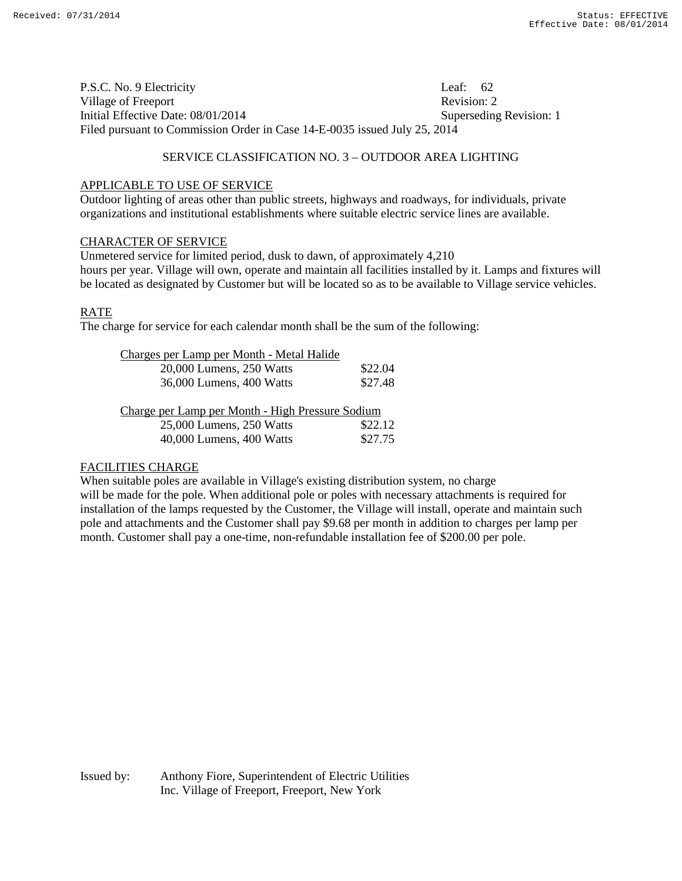P.S.C. No. 9 Electricity Leaf: 62 Village of Freeport **Revision: 2** Revision: 2 Initial Effective Date: 08/01/2014 Superseding Revision: 1 Filed pursuant to Commission Order in Case 14-E-0035 issued July 25, 2014

### SERVICE CLASSIFICATION NO. 3 – OUTDOOR AREA LIGHTING

#### APPLICABLE TO USE OF SERVICE

Outdoor lighting of areas other than public streets, highways and roadways, for individuals, private organizations and institutional establishments where suitable electric service lines are available.

#### CHARACTER OF SERVICE

Unmetered service for limited period, dusk to dawn, of approximately 4,210 hours per year. Village will own, operate and maintain all facilities installed by it. Lamps and fixtures will be located as designated by Customer but will be located so as to be available to Village service vehicles.

#### RATE

The charge for service for each calendar month shall be the sum of the following:

| Charges per Lamp per Month - Metal Halide        |         |
|--------------------------------------------------|---------|
| 20,000 Lumens, 250 Watts                         | \$22.04 |
| 36,000 Lumens, 400 Watts                         | \$27.48 |
|                                                  |         |
| Charge per Lamp per Month - High Pressure Sodium |         |

| 25,000 Lumens, 250 Watts | \$22.12 |
|--------------------------|---------|
| 40,000 Lumens, 400 Watts | \$27.75 |

#### FACILITIES CHARGE

When suitable poles are available in Village's existing distribution system, no charge will be made for the pole. When additional pole or poles with necessary attachments is required for installation of the lamps requested by the Customer, the Village will install, operate and maintain such pole and attachments and the Customer shall pay \$9.68 per month in addition to charges per lamp per month. Customer shall pay a one-time, non-refundable installation fee of \$200.00 per pole.

Issued by: Anthony Fiore, Superintendent of Electric Utilities Inc. Village of Freeport, Freeport, New York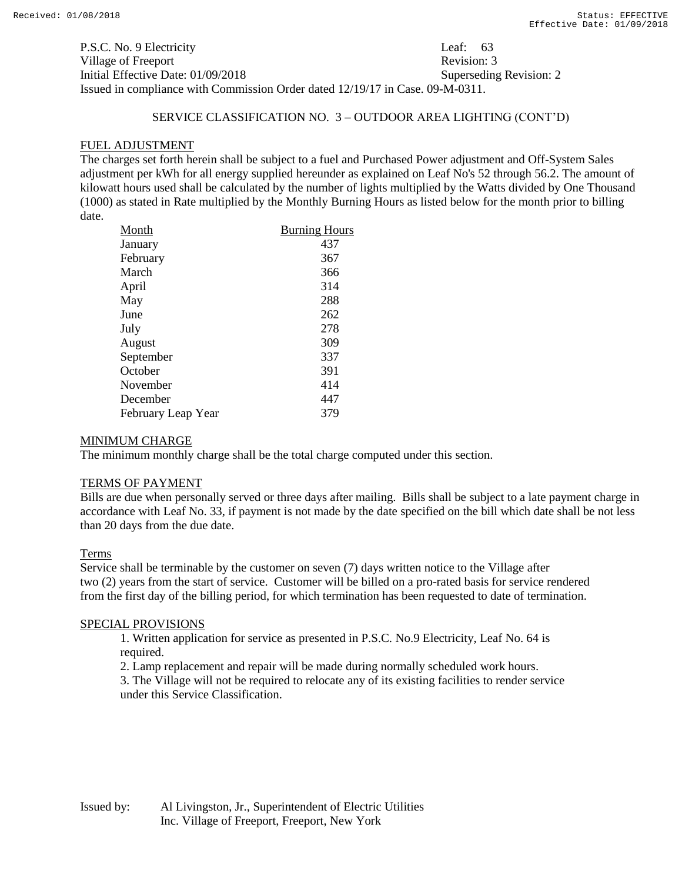P.S.C. No. 9 Electricity Leaf: 63 Village of Freeport **Revision: 3** Revision: 3 Initial Effective Date: 01/09/2018 Superseding Revision: 2 Issued in compliance with Commission Order dated 12/19/17 in Case. 09-M-0311.

# SERVICE CLASSIFICATION NO. 3 – OUTDOOR AREA LIGHTING (CONT'D)

# FUEL ADJUSTMENT

The charges set forth herein shall be subject to a fuel and Purchased Power adjustment and Off-System Sales adjustment per kWh for all energy supplied hereunder as explained on Leaf No's 52 through 56.2. The amount of kilowatt hours used shall be calculated by the number of lights multiplied by the Watts divided by One Thousand (1000) as stated in Rate multiplied by the Monthly Burning Hours as listed below for the month prior to billing date.

| Month              | <b>Burning Hours</b> |
|--------------------|----------------------|
| January            | 437                  |
| February           | 367                  |
| March              | 366                  |
| April              | 314                  |
| May                | 288                  |
| June               | 262                  |
| July               | 278                  |
| August             | 309                  |
| September          | 337                  |
| October            | 391                  |
| November           | 414                  |
| December           | 447                  |
| February Leap Year | 379                  |

## MINIMUM CHARGE

The minimum monthly charge shall be the total charge computed under this section.

## TERMS OF PAYMENT

Bills are due when personally served or three days after mailing. Bills shall be subject to a late payment charge in accordance with Leaf No. 33, if payment is not made by the date specified on the bill which date shall be not less than 20 days from the due date.

## Terms

Service shall be terminable by the customer on seven (7) days written notice to the Village after two (2) years from the start of service. Customer will be billed on a pro-rated basis for service rendered from the first day of the billing period, for which termination has been requested to date of termination.

## SPECIAL PROVISIONS

1. Written application for service as presented in P.S.C. No.9 Electricity, Leaf No. 64 is required.

2. Lamp replacement and repair will be made during normally scheduled work hours.

3. The Village will not be required to relocate any of its existing facilities to render service under this Service Classification.